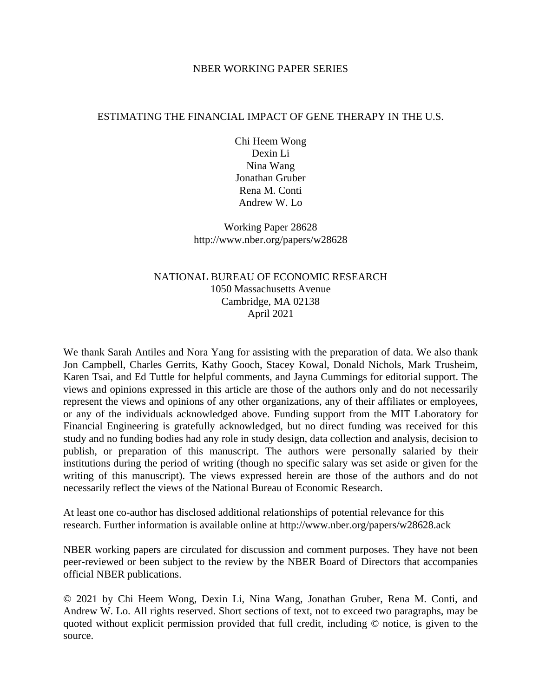### NBER WORKING PAPER SERIES

### ESTIMATING THE FINANCIAL IMPACT OF GENE THERAPY IN THE U.S.

Chi Heem Wong Dexin Li Nina Wang Jonathan Gruber Rena M. Conti Andrew W. Lo

Working Paper 28628 http://www.nber.org/papers/w28628

## NATIONAL BUREAU OF ECONOMIC RESEARCH 1050 Massachusetts Avenue Cambridge, MA 02138 April 2021

We thank Sarah Antiles and Nora Yang for assisting with the preparation of data. We also thank Jon Campbell, Charles Gerrits, Kathy Gooch, Stacey Kowal, Donald Nichols, Mark Trusheim, Karen Tsai, and Ed Tuttle for helpful comments, and Jayna Cummings for editorial support. The views and opinions expressed in this article are those of the authors only and do not necessarily represent the views and opinions of any other organizations, any of their affiliates or employees, or any of the individuals acknowledged above. Funding support from the MIT Laboratory for Financial Engineering is gratefully acknowledged, but no direct funding was received for this study and no funding bodies had any role in study design, data collection and analysis, decision to publish, or preparation of this manuscript. The authors were personally salaried by their institutions during the period of writing (though no specific salary was set aside or given for the writing of this manuscript). The views expressed herein are those of the authors and do not necessarily reflect the views of the National Bureau of Economic Research.

At least one co-author has disclosed additional relationships of potential relevance for this research. Further information is available online at http://www.nber.org/papers/w28628.ack

NBER working papers are circulated for discussion and comment purposes. They have not been peer-reviewed or been subject to the review by the NBER Board of Directors that accompanies official NBER publications.

© 2021 by Chi Heem Wong, Dexin Li, Nina Wang, Jonathan Gruber, Rena M. Conti, and Andrew W. Lo. All rights reserved. Short sections of text, not to exceed two paragraphs, may be quoted without explicit permission provided that full credit, including © notice, is given to the source.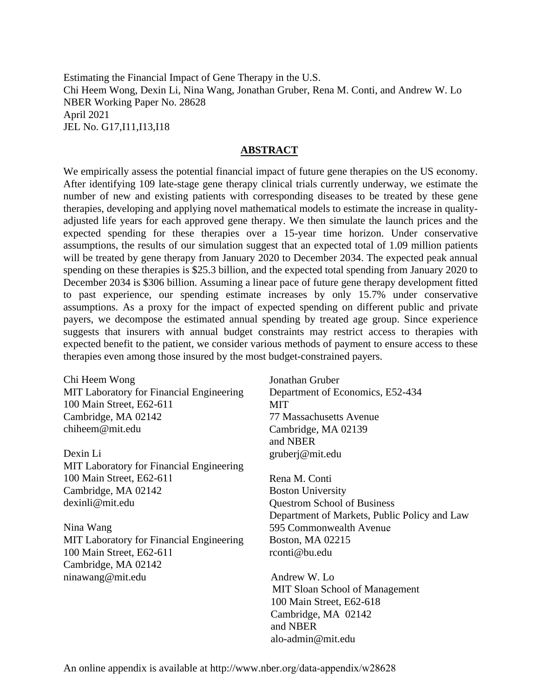Estimating the Financial Impact of Gene Therapy in the U.S. Chi Heem Wong, Dexin Li, Nina Wang, Jonathan Gruber, Rena M. Conti, and Andrew W. Lo NBER Working Paper No. 28628 April 2021 JEL No. G17,I11,I13,I18

### **ABSTRACT**

We empirically assess the potential financial impact of future gene therapies on the US economy. After identifying 109 late-stage gene therapy clinical trials currently underway, we estimate the number of new and existing patients with corresponding diseases to be treated by these gene therapies, developing and applying novel mathematical models to estimate the increase in qualityadjusted life years for each approved gene therapy. We then simulate the launch prices and the expected spending for these therapies over a 15-year time horizon. Under conservative assumptions, the results of our simulation suggest that an expected total of 1.09 million patients will be treated by gene therapy from January 2020 to December 2034. The expected peak annual spending on these therapies is \$25.3 billion, and the expected total spending from January 2020 to December 2034 is \$306 billion. Assuming a linear pace of future gene therapy development fitted to past experience, our spending estimate increases by only 15.7% under conservative assumptions. As a proxy for the impact of expected spending on different public and private payers, we decompose the estimated annual spending by treated age group. Since experience suggests that insurers with annual budget constraints may restrict access to therapies with expected benefit to the patient, we consider various methods of payment to ensure access to these therapies even among those insured by the most budget-constrained payers.

Chi Heem Wong MIT Laboratory for Financial Engineering 100 Main Street, E62-611 Cambridge, MA 02142 chiheem@mit.edu

Dexin Li MIT Laboratory for Financial Engineering 100 Main Street, E62-611 Cambridge, MA 02142 dexinli@mit.edu

Nina Wang MIT Laboratory for Financial Engineering 100 Main Street, E62-611 Cambridge, MA 02142 ninawang@mit.edu

Jonathan Gruber Department of Economics, E52-434 **MIT** 77 Massachusetts Avenue Cambridge, MA 02139 and NBER gruberj@mit.edu

Rena M. Conti Boston University Questrom School of Business Department of Markets, Public Policy and Law 595 Commonwealth Avenue Boston, MA 02215 rconti@bu.edu

Andrew W. Lo MIT Sloan School of Management 100 Main Street, E62-618 Cambridge, MA 02142 and NBER alo-admin@mit.edu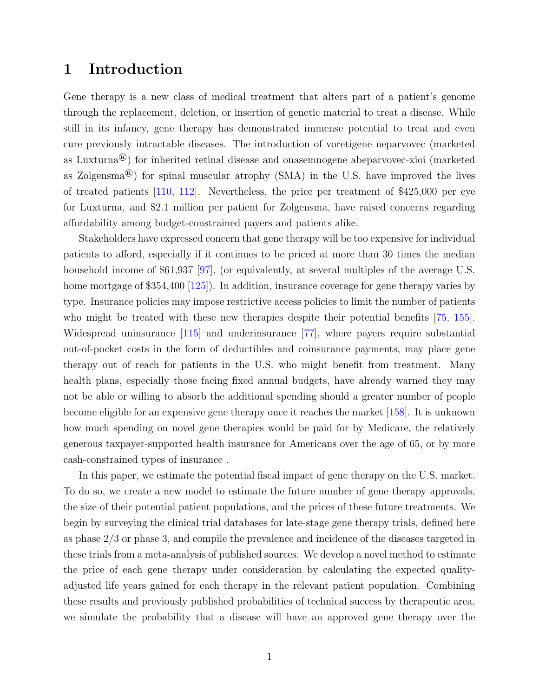# <span id="page-2-0"></span>1 Introduction

Gene therapy is a new class of medical treatment that alters part of a patient's genome through the replacement, deletion, or insertion of genetic material to treat a disease. While still in its infancy, gene therapy has demonstrated immense potential to treat and even cure previously intractable diseases. The introduction of voretigene neparvovec (marketed as Luxturna®) for inherited retinal disease and onasemnogene abeparvovec-xioi (marketed as Zolgensma®) for spinal muscular atrophy (SMA) in the U.S. have improved the lives of treated patients [\[110,](#page-44-0) [112\]](#page-44-1). Nevertheless, the price per treatment of \$425,000 per eye for Luxturna, and \$2.1 million per patient for Zolgensma, have raised concerns regarding affordability among budget-constrained payers and patients alike.

Stakeholders have expressed concern that gene therapy will be too expensive for individual patients to afford, especially if it continues to be priced at more than 30 times the median household income of \$61,937 [\[97\]](#page-43-0), (or equivalently, at several multiples of the average U.S. home mortgage of \$354,400 [\[125\]](#page-45-0)). In addition, insurance coverage for gene therapy varies by type. Insurance policies may impose restrictive access policies to limit the number of patients who might be treated with these new therapies despite their potential benefits [\[75,](#page-41-0) [155\]](#page-48-0). Widespread uninsurance [\[115\]](#page-45-1) and underinsurance [\[77\]](#page-42-0), where payers require substantial out-of-pocket costs in the form of deductibles and coinsurance payments, may place gene therapy out of reach for patients in the U.S. who might benefit from treatment. Many health plans, especially those facing fixed annual budgets, have already warned they may not be able or willing to absorb the additional spending should a greater number of people become eligible for an expensive gene therapy once it reaches the market [\[158\]](#page-48-1). It is unknown how much spending on novel gene therapies would be paid for by Medicare, the relatively generous taxpayer-supported health insurance for Americans over the age of 65, or by more cash-constrained types of insurance .

In this paper, we estimate the potential fiscal impact of gene therapy on the U.S. market. To do so, we create a new model to estimate the future number of gene therapy approvals, the size of their potential patient populations, and the prices of these future treatments. We begin by surveying the clinical trial databases for late-stage gene therapy trials, defined here as phase 2/3 or phase 3, and compile the prevalence and incidence of the diseases targeted in these trials from a meta-analysis of published sources. We develop a novel method to estimate the price of each gene therapy under consideration by calculating the expected qualityadjusted life years gained for each therapy in the relevant patient population. Combining these results and previously published probabilities of technical success by therapeutic area, we simulate the probability that a disease will have an approved gene therapy over the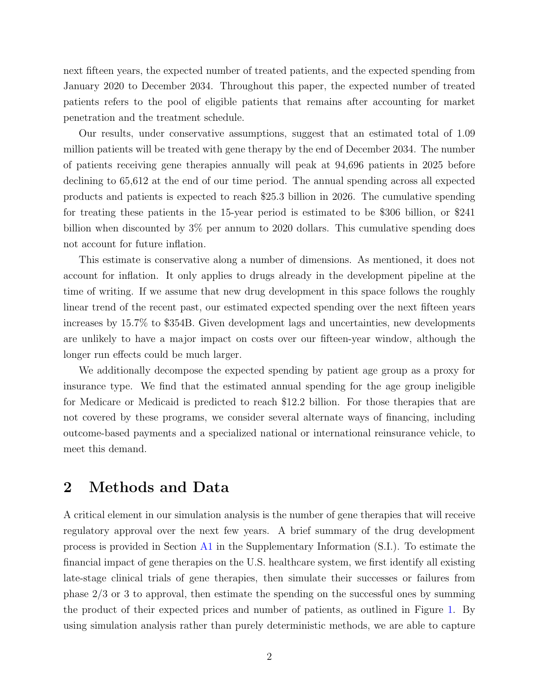next fifteen years, the expected number of treated patients, and the expected spending from January 2020 to December 2034. Throughout this paper, the expected number of treated patients refers to the pool of eligible patients that remains after accounting for market penetration and the treatment schedule.

Our results, under conservative assumptions, suggest that an estimated total of 1.09 million patients will be treated with gene therapy by the end of December 2034. The number of patients receiving gene therapies annually will peak at 94,696 patients in 2025 before declining to 65,612 at the end of our time period. The annual spending across all expected products and patients is expected to reach \$25.3 billion in 2026. The cumulative spending for treating these patients in the 15-year period is estimated to be \$306 billion, or \$241 billion when discounted by 3% per annum to 2020 dollars. This cumulative spending does not account for future inflation.

This estimate is conservative along a number of dimensions. As mentioned, it does not account for inflation. It only applies to drugs already in the development pipeline at the time of writing. If we assume that new drug development in this space follows the roughly linear trend of the recent past, our estimated expected spending over the next fifteen years increases by 15.7% to \$354B. Given development lags and uncertainties, new developments are unlikely to have a major impact on costs over our fifteen-year window, although the longer run effects could be much larger.

We additionally decompose the expected spending by patient age group as a proxy for insurance type. We find that the estimated annual spending for the age group ineligible for Medicare or Medicaid is predicted to reach \$12.2 billion. For those therapies that are not covered by these programs, we consider several alternate ways of financing, including outcome-based payments and a specialized national or international reinsurance vehicle, to meet this demand.

## <span id="page-3-0"></span>2 Methods and Data

A critical element in our simulation analysis is the number of gene therapies that will receive regulatory approval over the next few years. A brief summary of the drug development process is provided in Section [A1](#page-2-0) in the Supplementary Information (S.I.). To estimate the financial impact of gene therapies on the U.S. healthcare system, we first identify all existing late-stage clinical trials of gene therapies, then simulate their successes or failures from phase 2/3 or 3 to approval, then estimate the spending on the successful ones by summing the product of their expected prices and number of patients, as outlined in Figure [1.](#page-4-0) By using simulation analysis rather than purely deterministic methods, we are able to capture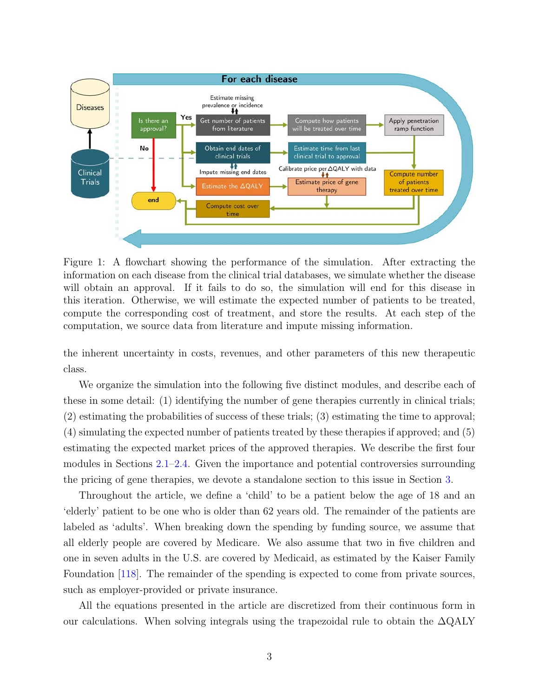<span id="page-4-0"></span>

Figure 1: A flowchart showing the performance of the simulation. After extracting the information on each disease from the clinical trial databases, we simulate whether the disease will obtain an approval. If it fails to do so, the simulation will end for this disease in this iteration. Otherwise, we will estimate the expected number of patients to be treated, compute the corresponding cost of treatment, and store the results. At each step of the computation, we source data from literature and impute missing information.

the inherent uncertainty in costs, revenues, and other parameters of this new therapeutic class.

We organize the simulation into the following five distinct modules, and describe each of these in some detail: (1) identifying the number of gene therapies currently in clinical trials; (2) estimating the probabilities of success of these trials; (3) estimating the time to approval; (4) simulating the expected number of patients treated by these therapies if approved; and (5) estimating the expected market prices of the approved therapies. We describe the first four modules in Sections [2.1](#page-5-0)[–2.4.](#page-9-0) Given the importance and potential controversies surrounding the pricing of gene therapies, we devote a standalone section to this issue in Section [3.](#page-12-0)

Throughout the article, we define a 'child' to be a patient below the age of 18 and an 'elderly' patient to be one who is older than 62 years old. The remainder of the patients are labeled as 'adults'. When breaking down the spending by funding source, we assume that all elderly people are covered by Medicare. We also assume that two in five children and one in seven adults in the U.S. are covered by Medicaid, as estimated by the Kaiser Family Foundation [\[118\]](#page-45-2). The remainder of the spending is expected to come from private sources, such as employer-provided or private insurance.

All the equations presented in the article are discretized from their continuous form in our calculations. When solving integrals using the trapezoidal rule to obtain the  $\Delta \text{QALY}$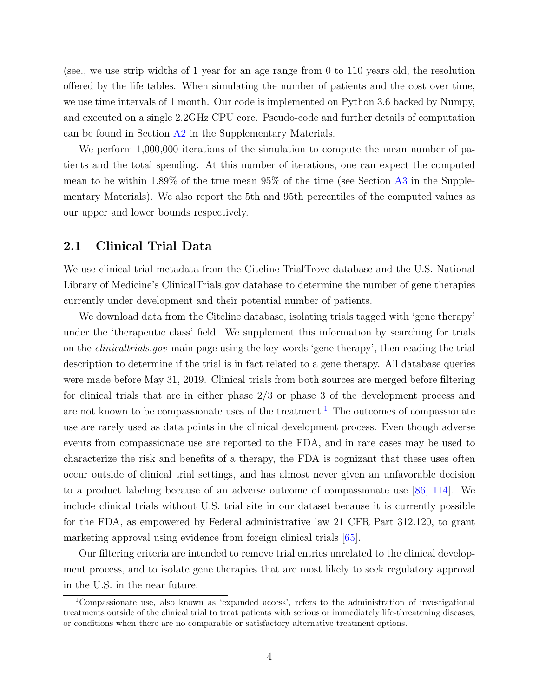(see., we use strip widths of 1 year for an age range from 0 to 110 years old, the resolution offered by the life tables. When simulating the number of patients and the cost over time, we use time intervals of 1 month. Our code is implemented on Python 3.6 backed by Numpy, and executed on a single 2.2GHz CPU core. Pseudo-code and further details of computation can be found in Section [A2](#page-3-0) in the Supplementary Materials.

We perform  $1,000,000$  iterations of the simulation to compute the mean number of patients and the total spending. At this number of iterations, one can expect the computed mean to be within 1.89% of the true mean 95% of the time (see Section [A3](#page-12-0) in the Supplementary Materials). We also report the 5th and 95th percentiles of the computed values as our upper and lower bounds respectively.

## <span id="page-5-0"></span>2.1 Clinical Trial Data

We use clinical trial metadata from the Citeline TrialTrove database and the U.S. National Library of Medicine's ClinicalTrials.gov database to determine the number of gene therapies currently under development and their potential number of patients.

We download data from the Citeline database, isolating trials tagged with 'gene therapy' under the 'therapeutic class' field. We supplement this information by searching for trials on the clinicaltrials.gov main page using the key words 'gene therapy', then reading the trial description to determine if the trial is in fact related to a gene therapy. All database queries were made before May 31, 2019. Clinical trials from both sources are merged before filtering for clinical trials that are in either phase 2/3 or phase 3 of the development process and are not known to be compassionate uses of the treatment.<sup>[1](#page-5-1)</sup> The outcomes of compassionate use are rarely used as data points in the clinical development process. Even though adverse events from compassionate use are reported to the FDA, and in rare cases may be used to characterize the risk and benefits of a therapy, the FDA is cognizant that these uses often occur outside of clinical trial settings, and has almost never given an unfavorable decision to a product labeling because of an adverse outcome of compassionate use [\[86,](#page-42-1) [114\]](#page-44-2). We include clinical trials without U.S. trial site in our dataset because it is currently possible for the FDA, as empowered by Federal administrative law 21 CFR Part 312.120, to grant marketing approval using evidence from foreign clinical trials [\[65\]](#page-41-1).

Our filtering criteria are intended to remove trial entries unrelated to the clinical development process, and to isolate gene therapies that are most likely to seek regulatory approval in the U.S. in the near future.

<span id="page-5-1"></span><sup>1</sup>Compassionate use, also known as 'expanded access', refers to the administration of investigational treatments outside of the clinical trial to treat patients with serious or immediately life-threatening diseases, or conditions when there are no comparable or satisfactory alternative treatment options.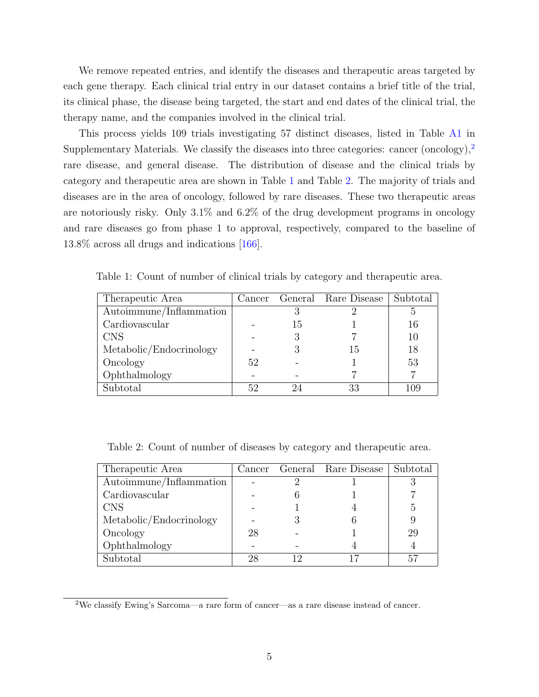We remove repeated entries, and identify the diseases and therapeutic areas targeted by each gene therapy. Each clinical trial entry in our dataset contains a brief title of the trial, its clinical phase, the disease being targeted, the start and end dates of the clinical trial, the therapy name, and the companies involved in the clinical trial.

This process yields 109 trials investigating 57 distinct diseases, listed in Table [A1](#page-54-0) in Supplementary Materials. We classify the diseases into three categories: cancer (oncology),<sup>[2](#page-6-0)</sup> rare disease, and general disease. The distribution of disease and the clinical trials by category and therapeutic area are shown in Table [1](#page-6-1) and Table [2.](#page-6-2) The majority of trials and diseases are in the area of oncology, followed by rare diseases. These two therapeutic areas are notoriously risky. Only 3.1% and 6.2% of the drug development programs in oncology and rare diseases go from phase 1 to approval, respectively, compared to the baseline of 13.8% across all drugs and indications [\[166\]](#page-49-0).

| Therapeutic Area        |    |    | Cancer General Rare Disease   Subtotal |     |
|-------------------------|----|----|----------------------------------------|-----|
| Autoimmune/Inflammation |    |    |                                        |     |
| Cardiovascular          |    | 15 |                                        | 16  |
| <b>CNS</b>              |    |    |                                        | 10  |
| Metabolic/Endocrinology |    |    | 15                                     | 18  |
| Oncology                | 52 |    |                                        | 53  |
| Ophthalmology           |    |    |                                        |     |
| Subtotal                | 52 |    | 33                                     | 109 |

<span id="page-6-1"></span>Table 1: Count of number of clinical trials by category and therapeutic area.

<span id="page-6-2"></span>Table 2: Count of number of diseases by category and therapeutic area.

| Therapeutic Area        | Cancer |    | General Rare Disease | Subtotal |
|-------------------------|--------|----|----------------------|----------|
| Autoimmune/Inflammation |        |    |                      |          |
| Cardiovascular          |        |    |                      |          |
| <b>CNS</b>              |        |    |                      | Ġ,       |
| Metabolic/Endocrinology |        |    |                      |          |
| Oncology                | 28     |    |                      | 29       |
| Ophthalmology           |        |    |                      |          |
| Subtotal                | 28     | 19 |                      |          |

<span id="page-6-0"></span><sup>2</sup>We classify Ewing's Sarcoma—a rare form of cancer—as a rare disease instead of cancer.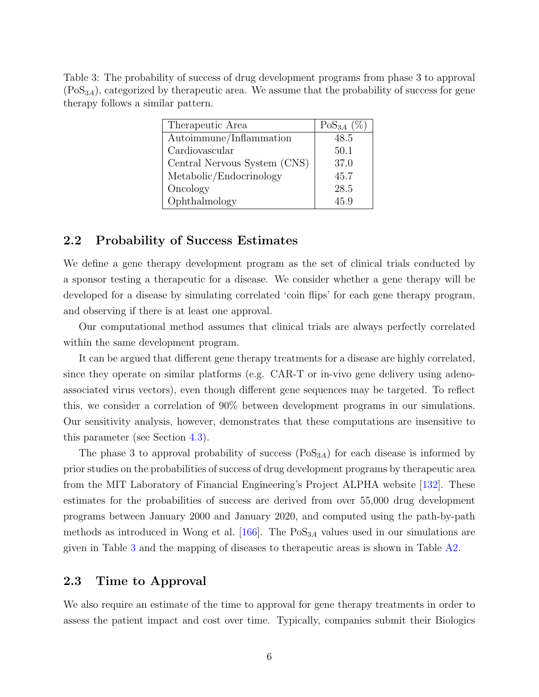<span id="page-7-0"></span>Table 3: The probability of success of drug development programs from phase 3 to approval  $(Pos_{3A})$ , categorized by the appeutic area. We assume that the probability of success for gene therapy follows a similar pattern.

| Therapeutic Area             | $\text{PoS}_{3A}$ (%) |
|------------------------------|-----------------------|
| Autoimmune/Inflammation      | 48.5                  |
| Cardiovascular               | 50.1                  |
| Central Nervous System (CNS) | 37.0                  |
| Metabolic/Endocrinology      | 45.7                  |
| Oncology                     | 28.5                  |
| Ophthalmology                | 45.9                  |

## 2.2 Probability of Success Estimates

We define a gene therapy development program as the set of clinical trials conducted by a sponsor testing a therapeutic for a disease. We consider whether a gene therapy will be developed for a disease by simulating correlated 'coin flips' for each gene therapy program, and observing if there is at least one approval.

Our computational method assumes that clinical trials are always perfectly correlated within the same development program.

It can be argued that different gene therapy treatments for a disease are highly correlated, since they operate on similar platforms (e.g. CAR-T or in-vivo gene delivery using adenoassociated virus vectors), even though different gene sequences may be targeted. To reflect this, we consider a correlation of 90% between development programs in our simulations. Our sensitivity analysis, however, demonstrates that these computations are insensitive to this parameter (see Section [4.3\)](#page-27-0).

The phase 3 to approval probability of success  $(Pos_{3A})$  for each disease is informed by prior studies on the probabilities of success of drug development programs by therapeutic area from the MIT Laboratory of Financial Engineering's Project ALPHA website [\[132\]](#page-46-0). These estimates for the probabilities of success are derived from over 55,000 drug development programs between January 2000 and January 2020, and computed using the path-by-path methods as introduced in Wong et al.  $[166]$ . The  $PoS<sub>3A</sub>$  values used in our simulations are given in Table [3](#page-7-0) and the mapping of diseases to therapeutic areas is shown in Table [A2.](#page-72-0)

### 2.3 Time to Approval

We also require an estimate of the time to approval for gene therapy treatments in order to assess the patient impact and cost over time. Typically, companies submit their Biologics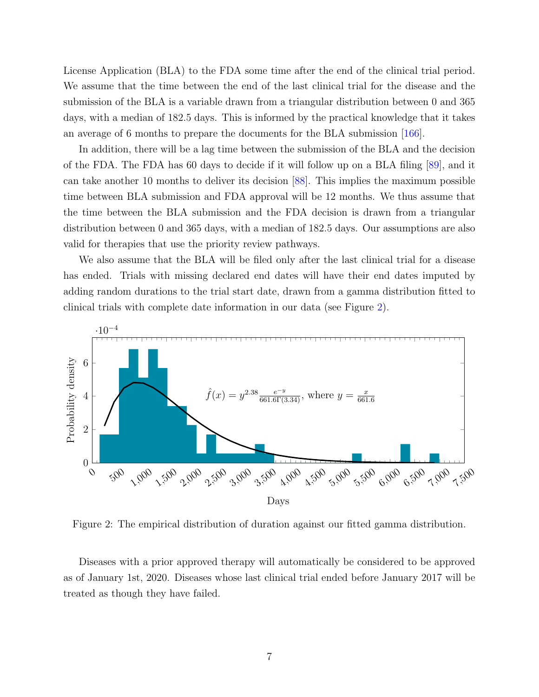License Application (BLA) to the FDA some time after the end of the clinical trial period. We assume that the time between the end of the last clinical trial for the disease and the submission of the BLA is a variable drawn from a triangular distribution between 0 and 365 days, with a median of 182.5 days. This is informed by the practical knowledge that it takes an average of 6 months to prepare the documents for the BLA submission [\[166\]](#page-49-0).

In addition, there will be a lag time between the submission of the BLA and the decision of the FDA. The FDA has 60 days to decide if it will follow up on a BLA filing [\[89\]](#page-42-2), and it can take another 10 months to deliver its decision [\[88\]](#page-42-3). This implies the maximum possible time between BLA submission and FDA approval will be 12 months. We thus assume that the time between the BLA submission and the FDA decision is drawn from a triangular distribution between 0 and 365 days, with a median of 182.5 days. Our assumptions are also valid for therapies that use the priority review pathways.

We also assume that the BLA will be filed only after the last clinical trial for a disease has ended. Trials with missing declared end dates will have their end dates imputed by adding random durations to the trial start date, drawn from a gamma distribution fitted to clinical trials with complete date information in our data (see Figure [2\)](#page-8-0).

<span id="page-8-0"></span>

Figure 2: The empirical distribution of duration against our fitted gamma distribution.

Diseases with a prior approved therapy will automatically be considered to be approved as of January 1st, 2020. Diseases whose last clinical trial ended before January 2017 will be treated as though they have failed.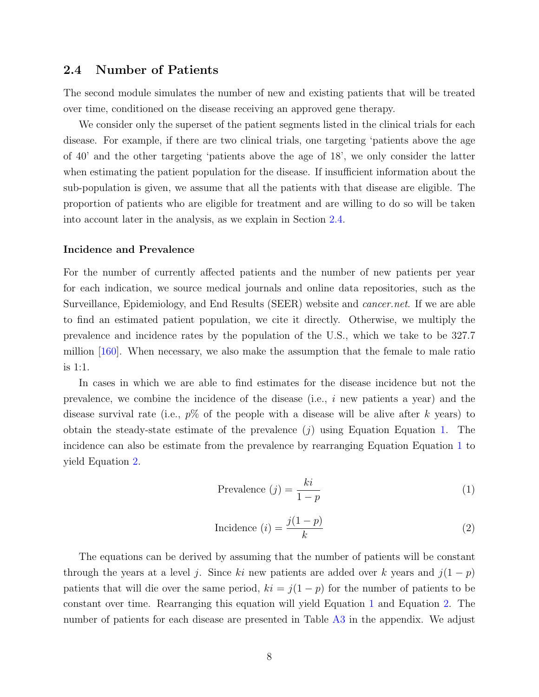### <span id="page-9-0"></span>2.4 Number of Patients

The second module simulates the number of new and existing patients that will be treated over time, conditioned on the disease receiving an approved gene therapy.

We consider only the superset of the patient segments listed in the clinical trials for each disease. For example, if there are two clinical trials, one targeting 'patients above the age of 40' and the other targeting 'patients above the age of 18', we only consider the latter when estimating the patient population for the disease. If insufficient information about the sub-population is given, we assume that all the patients with that disease are eligible. The proportion of patients who are eligible for treatment and are willing to do so will be taken into account later in the analysis, as we explain in Section [2.4.](#page-10-0)

#### Incidence and Prevalence

For the number of currently affected patients and the number of new patients per year for each indication, we source medical journals and online data repositories, such as the Surveillance, Epidemiology, and End Results (SEER) website and cancer.net. If we are able to find an estimated patient population, we cite it directly. Otherwise, we multiply the prevalence and incidence rates by the population of the U.S., which we take to be 327.7 million [\[160\]](#page-48-2). When necessary, we also make the assumption that the female to male ratio is 1:1.

In cases in which we are able to find estimates for the disease incidence but not the prevalence, we combine the incidence of the disease (i.e., i new patients a year) and the disease survival rate (i.e.,  $p\%$  of the people with a disease will be alive after k years) to obtain the steady-state estimate of the prevalence  $(j)$  using Equation Equation [1.](#page-9-1) The incidence can also be estimate from the prevalence by rearranging Equation Equation [1](#page-9-1) to yield Equation [2.](#page-9-2)

<span id="page-9-1"></span>
$$
Prevalence (j) = \frac{ki}{1 - p}
$$
 (1)

<span id="page-9-2"></span>
$$
\text{Incidence } (i) = \frac{j(1-p)}{k} \tag{2}
$$

The equations can be derived by assuming that the number of patients will be constant through the years at a level j. Since ki new patients are added over k years and  $j(1-p)$ patients that will die over the same period,  $ki = j(1 - p)$  for the number of patients to be constant over time. Rearranging this equation will yield Equation [1](#page-9-1) and Equation [2.](#page-9-2) The number of patients for each disease are presented in Table [A3](#page-74-0) in the appendix. We adjust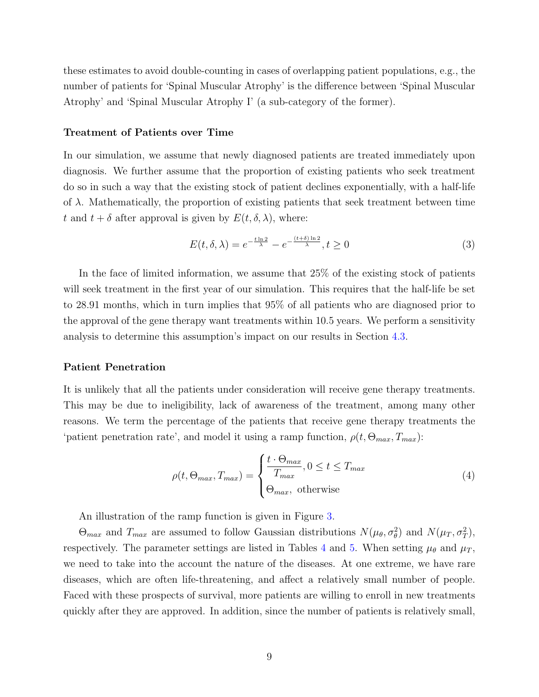these estimates to avoid double-counting in cases of overlapping patient populations, e.g., the number of patients for 'Spinal Muscular Atrophy' is the difference between 'Spinal Muscular Atrophy' and 'Spinal Muscular Atrophy I' (a sub-category of the former).

#### Treatment of Patients over Time

In our simulation, we assume that newly diagnosed patients are treated immediately upon diagnosis. We further assume that the proportion of existing patients who seek treatment do so in such a way that the existing stock of patient declines exponentially, with a half-life of  $\lambda$ . Mathematically, the proportion of existing patients that seek treatment between time t and  $t + \delta$  after approval is given by  $E(t, \delta, \lambda)$ , where:

<span id="page-10-1"></span>
$$
E(t,\delta,\lambda) = e^{-\frac{t\ln 2}{\lambda}} - e^{-\frac{(t+\delta)\ln 2}{\lambda}}, t \ge 0
$$
\n(3)

In the face of limited information, we assume that 25% of the existing stock of patients will seek treatment in the first year of our simulation. This requires that the half-life be set to 28.91 months, which in turn implies that 95% of all patients who are diagnosed prior to the approval of the gene therapy want treatments within 10.5 years. We perform a sensitivity analysis to determine this assumption's impact on our results in Section [4.3.](#page-27-0)

#### <span id="page-10-0"></span>Patient Penetration

It is unlikely that all the patients under consideration will receive gene therapy treatments. This may be due to ineligibility, lack of awareness of the treatment, among many other reasons. We term the percentage of the patients that receive gene therapy treatments the 'patient penetration rate', and model it using a ramp function,  $\rho(t, \Theta_{max}, T_{max})$ :

$$
\rho(t, \Theta_{max}, T_{max}) = \begin{cases} \frac{t \cdot \Theta_{max}}{T_{max}}, 0 \le t \le T_{max} \\ \Theta_{max}, \text{ otherwise} \end{cases}
$$
\n(4)

An illustration of the ramp function is given in Figure [3.](#page-11-0)

 $\Theta_{max}$  and  $T_{max}$  are assumed to follow Gaussian distributions  $N(\mu_{\theta}, \sigma_{\theta}^2)$  and  $N(\mu_T, \sigma_T^2)$ , respectively. The parameter settings are listed in Tables [4](#page-11-1) and [5.](#page-12-1) When setting  $\mu_{\theta}$  and  $\mu_T$ , we need to take into the account the nature of the diseases. At one extreme, we have rare diseases, which are often life-threatening, and affect a relatively small number of people. Faced with these prospects of survival, more patients are willing to enroll in new treatments quickly after they are approved. In addition, since the number of patients is relatively small,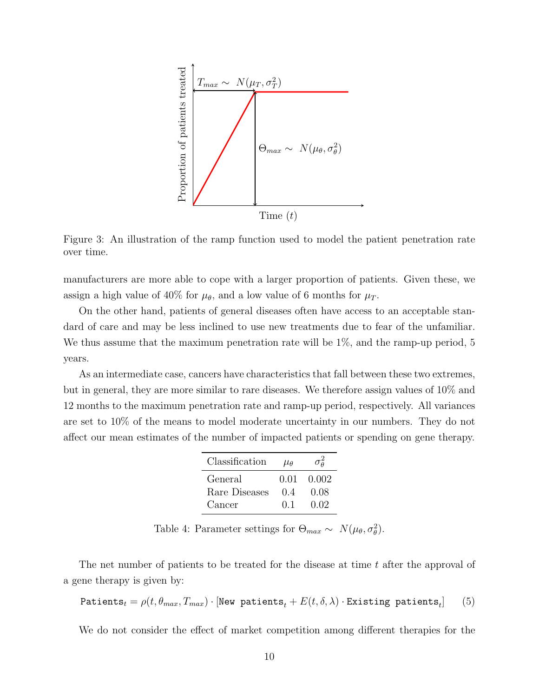<span id="page-11-0"></span>

Figure 3: An illustration of the ramp function used to model the patient penetration rate over time.

manufacturers are more able to cope with a larger proportion of patients. Given these, we assign a high value of 40% for  $\mu_{\theta}$ , and a low value of 6 months for  $\mu_T$ .

On the other hand, patients of general diseases often have access to an acceptable standard of care and may be less inclined to use new treatments due to fear of the unfamiliar. We thus assume that the maximum penetration rate will be  $1\%$ , and the ramp-up period, 5 years.

<span id="page-11-1"></span>As an intermediate case, cancers have characteristics that fall between these two extremes, but in general, they are more similar to rare diseases. We therefore assign values of 10% and 12 months to the maximum penetration rate and ramp-up period, respectively. All variances are set to 10% of the means to model moderate uncertainty in our numbers. They do not affect our mean estimates of the number of impacted patients or spending on gene therapy.

| Classification | $\mu_{\theta}$ | $\sigma^2_{\theta}$ |
|----------------|----------------|---------------------|
| General        | 0.01           | 0.002               |
| Rare Diseases  | 0.4            | 0.08                |
| Cancer         | $(1)$ 1        | 0.02                |

Table 4: Parameter settings for  $\Theta_{max} \sim N(\mu_{\theta}, \sigma_{\theta}^2)$ .

The net number of patients to be treated for the disease at time t after the approval of a gene therapy is given by:

$$
\texttt{Paths}_{t} = \rho(t, \theta_{max}, T_{max}) \cdot [\texttt{New patients}_{t} + E(t, \delta, \lambda) \cdot \texttt{Existing patients}_{t}] \tag{5}
$$

We do not consider the effect of market competition among different therapies for the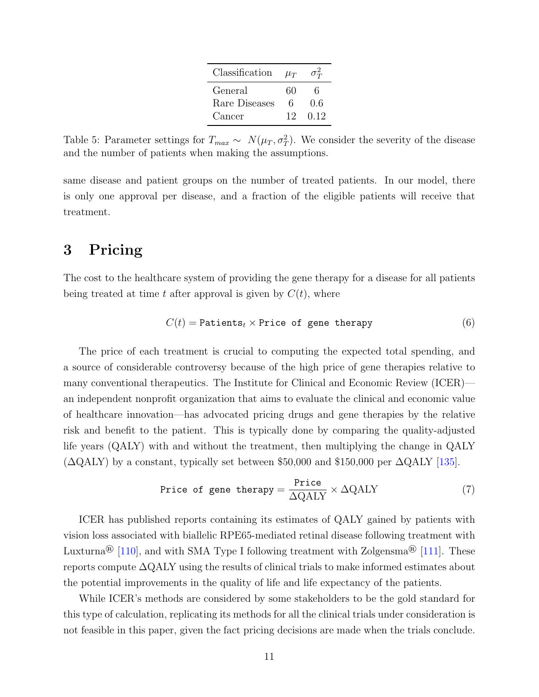| Classification | $\mu_T$ | $\sigma_{T}^2$ |
|----------------|---------|----------------|
| General        | 60      | 6              |
| Rare Diseases  | 6       | 0.6            |
| Cancer         | 12      | 0.12           |

<span id="page-12-1"></span>Table 5: Parameter settings for  $T_{max} \sim N(\mu_T, \sigma_T^2)$ . We consider the severity of the disease and the number of patients when making the assumptions.

same disease and patient groups on the number of treated patients. In our model, there is only one approval per disease, and a fraction of the eligible patients will receive that treatment.

# <span id="page-12-0"></span>3 Pricing

The cost to the healthcare system of providing the gene therapy for a disease for all patients being treated at time t after approval is given by  $C(t)$ , where

$$
C(t) = \text{Patients}_t \times \text{Price of gene therapy} \tag{6}
$$

The price of each treatment is crucial to computing the expected total spending, and a source of considerable controversy because of the high price of gene therapies relative to many conventional therapeutics. The Institute for Clinical and Economic Review (ICER) an independent nonprofit organization that aims to evaluate the clinical and economic value of healthcare innovation—has advocated pricing drugs and gene therapies by the relative risk and benefit to the patient. This is typically done by comparing the quality-adjusted life years (QALY) with and without the treatment, then multiplying the change in QALY  $(\Delta \text{QALY})$  by a constant, typically set between \$50,000 and \$150,000 per  $\Delta \text{QALY}$  [\[135\]](#page-46-1).

$$
Price of gene therapy = \frac{Price}{\Delta QALY} \times \Delta QALY \tag{7}
$$

ICER has published reports containing its estimates of QALY gained by patients with vision loss associated with biallelic RPE65-mediated retinal disease following treatment with Luxturna<sup>®</sup> [\[110\]](#page-44-0), and with SMA Type I following treatment with Zolgensma<sup>®</sup> [\[111\]](#page-44-3). These reports compute ∆QALY using the results of clinical trials to make informed estimates about the potential improvements in the quality of life and life expectancy of the patients.

While ICER's methods are considered by some stakeholders to be the gold standard for this type of calculation, replicating its methods for all the clinical trials under consideration is not feasible in this paper, given the fact pricing decisions are made when the trials conclude.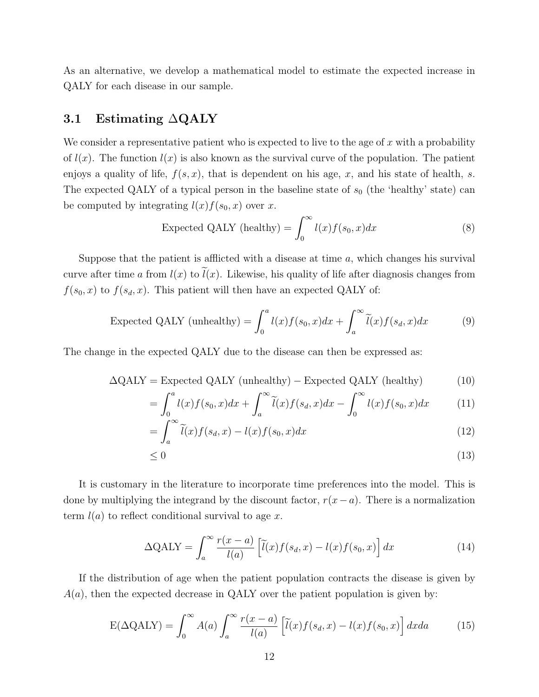As an alternative, we develop a mathematical model to estimate the expected increase in QALY for each disease in our sample.

### 3.1 Estimating ∆QALY

We consider a representative patient who is expected to live to the age of x with a probability of  $l(x)$ . The function  $l(x)$  is also known as the survival curve of the population. The patient enjoys a quality of life,  $f(s, x)$ , that is dependent on his age, x, and his state of health, s. The expected QALY of a typical person in the baseline state of  $s_0$  (the 'healthy' state) can be computed by integrating  $l(x) f(s_0, x)$  over x.

Expected QALY (healthy) = 
$$
\int_0^\infty l(x)f(s_0, x)dx
$$
 (8)

Suppose that the patient is afflicted with a disease at time  $a$ , which changes his survival curve after time a from  $l(x)$  to  $\tilde{l}(x)$ . Likewise, his quality of life after diagnosis changes from  $f(s_0, x)$  to  $f(s_d, x)$ . This patient will then have an expected QALY of:

Expected QALY (unhealthy) = 
$$
\int_0^a l(x)f(s_0, x)dx + \int_a^\infty \tilde{l}(x)f(s_d, x)dx
$$
 (9)

The change in the expected QALY due to the disease can then be expressed as:

$$
\Delta \text{QALY} = \text{Expected QALY (unhealthy)} - \text{Expected QALY (healthy)} \tag{10}
$$

$$
= \int_0^a l(x)f(s_0, x)dx + \int_a^\infty \widetilde{l}(x)f(s_d, x)dx - \int_0^\infty l(x)f(s_0, x)dx \tag{11}
$$

$$
= \int_{a}^{\infty} \widetilde{l}(x) f(s_d, x) - l(x) f(s_0, x) dx \tag{12}
$$

$$
\leq 0\tag{13}
$$

It is customary in the literature to incorporate time preferences into the model. This is done by multiplying the integrand by the discount factor,  $r(x-a)$ . There is a normalization term  $l(a)$  to reflect conditional survival to age x.

$$
\Delta \text{QALY} = \int_{a}^{\infty} \frac{r(x-a)}{l(a)} \left[ \tilde{l}(x)f(s_d, x) - l(x)f(s_0, x) \right] dx \tag{14}
$$

If the distribution of age when the patient population contracts the disease is given by  $A(a)$ , then the expected decrease in QALY over the patient population is given by:

<span id="page-13-0"></span>
$$
E(\Delta QALY) = \int_0^\infty A(a) \int_a^\infty \frac{r(x-a)}{l(a)} \left[ \tilde{l}(x)f(s_d, x) - l(x)f(s_0, x) \right] dx da \tag{15}
$$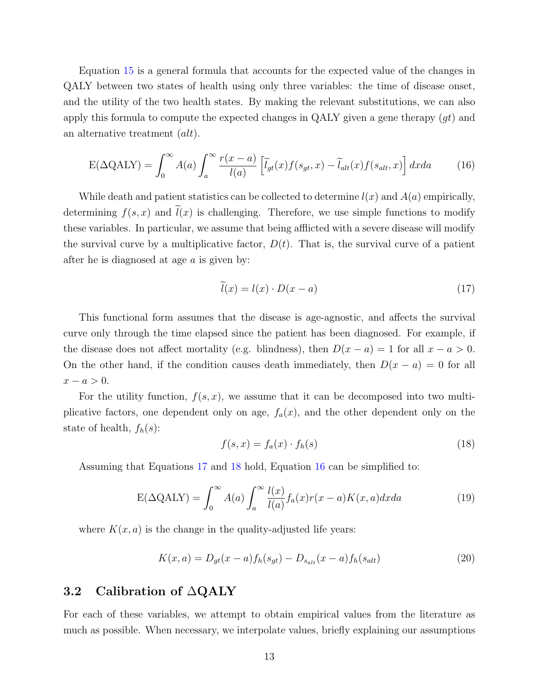Equation [15](#page-13-0) is a general formula that accounts for the expected value of the changes in QALY between two states of health using only three variables: the time of disease onset, and the utility of the two health states. By making the relevant substitutions, we can also apply this formula to compute the expected changes in QALY given a gene therapy  $(gt)$  and an alternative treatment (alt).

<span id="page-14-2"></span>
$$
E(\Delta QALY) = \int_0^\infty A(a) \int_a^\infty \frac{r(x-a)}{l(a)} \left[ \tilde{l}_{gt}(x) f(s_{gt}, x) - \tilde{l}_{alt}(x) f(s_{alt}, x) \right] dx da \tag{16}
$$

While death and patient statistics can be collected to determine  $l(x)$  and  $A(a)$  empirically, determining  $f(s, x)$  and  $\tilde{l}(x)$  is challenging. Therefore, we use simple functions to modify these variables. In particular, we assume that being afflicted with a severe disease will modify the survival curve by a multiplicative factor,  $D(t)$ . That is, the survival curve of a patient after he is diagnosed at age  $a$  is given by:

<span id="page-14-0"></span>
$$
\widetilde{l}(x) = l(x) \cdot D(x - a) \tag{17}
$$

This functional form assumes that the disease is age-agnostic, and affects the survival curve only through the time elapsed since the patient has been diagnosed. For example, if the disease does not affect mortality (e.g. blindness), then  $D(x - a) = 1$  for all  $x - a > 0$ . On the other hand, if the condition causes death immediately, then  $D(x - a) = 0$  for all  $x - a > 0$ .

For the utility function,  $f(s, x)$ , we assume that it can be decomposed into two multiplicative factors, one dependent only on age,  $f_a(x)$ , and the other dependent only on the state of health,  $f_h(s)$ :

<span id="page-14-1"></span>
$$
f(s,x) = f_a(x) \cdot f_h(s) \tag{18}
$$

Assuming that Equations [17](#page-14-0) and [18](#page-14-1) hold, Equation [16](#page-14-2) can be simplified to:

$$
E(\Delta QALY) = \int_0^\infty A(a) \int_a^\infty \frac{l(x)}{l(a)} f_a(x) r(x-a) K(x,a) dx da \tag{19}
$$

where  $K(x, a)$  is the change in the quality-adjusted life years:

$$
K(x, a) = D_{gt}(x - a) f_h(s_{gt}) - D_{s_{alt}}(x - a) f_h(s_{alt})
$$
\n(20)

## 3.2 Calibration of ∆QALY

For each of these variables, we attempt to obtain empirical values from the literature as much as possible. When necessary, we interpolate values, briefly explaining our assumptions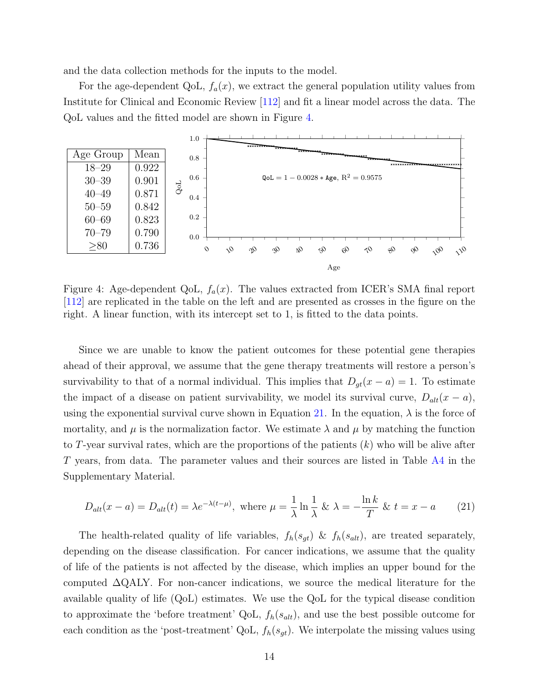and the data collection methods for the inputs to the model.

For the age-dependent QoL,  $f_a(x)$ , we extract the general population utility values from Institute for Clinical and Economic Review [\[112\]](#page-44-1) and fit a linear model across the data. The QoL values and the fitted model are shown in Figure [4.](#page-15-0)

<span id="page-15-0"></span>

Figure 4: Age-dependent QoL,  $f_a(x)$ . The values extracted from ICER's SMA final report [\[112\]](#page-44-1) are replicated in the table on the left and are presented as crosses in the figure on the right. A linear function, with its intercept set to 1, is fitted to the data points.

Since we are unable to know the patient outcomes for these potential gene therapies ahead of their approval, we assume that the gene therapy treatments will restore a person's survivability to that of a normal individual. This implies that  $D_{qt}(x - a) = 1$ . To estimate the impact of a disease on patient survivability, we model its survival curve,  $D_{alt}(x - a)$ , using the exponential survival curve shown in Equation [21.](#page-15-1) In the equation,  $\lambda$  is the force of mortality, and  $\mu$  is the normalization factor. We estimate  $\lambda$  and  $\mu$  by matching the function to T-year survival rates, which are the proportions of the patients  $(k)$  who will be alive after T years, from data. The parameter values and their sources are listed in Table [A4](#page-76-0) in the Supplementary Material.

<span id="page-15-1"></span>
$$
D_{alt}(x-a) = D_{alt}(t) = \lambda e^{-\lambda(t-\mu)}, \text{ where } \mu = \frac{1}{\lambda} \ln \frac{1}{\lambda} \& \lambda = -\frac{\ln k}{T} \& t = x - a \quad (21)
$$

The health-related quality of life variables,  $f_h(s_{gt})$  &  $f_h(s_{alt})$ , are treated separately, depending on the disease classification. For cancer indications, we assume that the quality of life of the patients is not affected by the disease, which implies an upper bound for the computed ∆QALY. For non-cancer indications, we source the medical literature for the available quality of life (QoL) estimates. We use the QoL for the typical disease condition to approximate the 'before treatment' QoL,  $f_h(s_{alt})$ , and use the best possible outcome for each condition as the 'post-treatment' QoL,  $f_h(s_{gt})$ . We interpolate the missing values using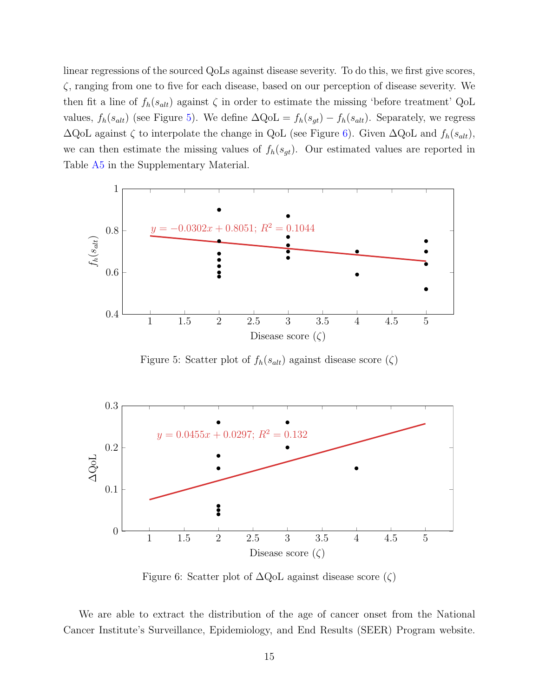linear regressions of the sourced QoLs against disease severity. To do this, we first give scores, ζ, ranging from one to five for each disease, based on our perception of disease severity. We then fit a line of  $f_h(s_{alt})$  against  $\zeta$  in order to estimate the missing 'before treatment' QoL values,  $f_h(s_{alt})$  (see Figure [5\)](#page-16-0). We define  $\Delta \text{QoL} = f_h(s_{gt}) - f_h(s_{alt})$ . Separately, we regress  $\Delta$ QoL against  $\zeta$  to interpolate the change in QoL (see Figure [6\)](#page-16-1). Given  $\Delta$ QoL and  $f_h(s_{alt})$ , we can then estimate the missing values of  $f_h(s_{gt})$ . Our estimated values are reported in Table [A5](#page-80-0) in the Supplementary Material.

<span id="page-16-0"></span>

Figure 5: Scatter plot of  $f_h(s_{alt})$  against disease score  $(\zeta)$ 

<span id="page-16-1"></span>

Figure 6: Scatter plot of  $\Delta QoL$  against disease score  $(\zeta)$ 

We are able to extract the distribution of the age of cancer onset from the National Cancer Institute's Surveillance, Epidemiology, and End Results (SEER) Program website.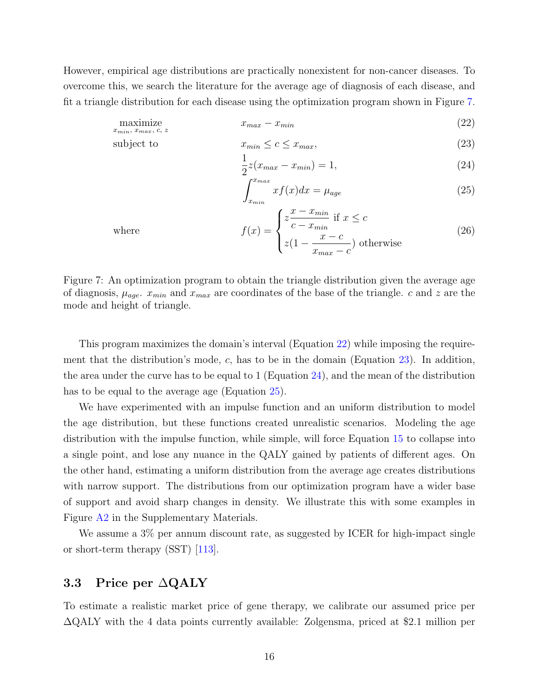<span id="page-17-0"></span>However, empirical age distributions are practically nonexistent for non-cancer diseases. To overcome this, we search the literature for the average age of diagnosis of each disease, and fit a triangle distribution for each disease using the optimization program shown in Figure [7.](#page-17-0)

$$
\underset{x_{min}}{\text{maximize}} \qquad \qquad x_{max} - x_{min} \tag{22}
$$

subject to 
$$
x_{min} \le c \le x_{max}, \tag{23}
$$

<span id="page-17-3"></span><span id="page-17-2"></span><span id="page-17-1"></span>
$$
\frac{1}{2}z(x_{max} - x_{min}) = 1,
$$
\n(24)

<span id="page-17-4"></span>
$$
\int_{x_{min}}^{x_{max}} x f(x) dx = \mu_{age} \tag{25}
$$

where

$$
f(x) = \begin{cases} z\frac{x - x_{min}}{c - x_{min}} & \text{if } x \le c\\ z(1 - \frac{x - c}{x_{max} - c}) & \text{otherwise} \end{cases}
$$
(26)

Figure 7: An optimization program to obtain the triangle distribution given the average age of diagnosis,  $\mu_{age}$ .  $x_{min}$  and  $x_{max}$  are coordinates of the base of the triangle. c and z are the mode and height of triangle.

This program maximizes the domain's interval (Equation [22\)](#page-17-1) while imposing the requirement that the distribution's mode,  $c$ , has to be in the domain (Equation [23\)](#page-17-2). In addition, the area under the curve has to be equal to 1 (Equation [24\)](#page-17-3), and the mean of the distribution has to be equal to the average age (Equation [25\)](#page-17-4).

We have experimented with an impulse function and an uniform distribution to model the age distribution, but these functions created unrealistic scenarios. Modeling the age distribution with the impulse function, while simple, will force Equation [15](#page-13-0) to collapse into a single point, and lose any nuance in the QALY gained by patients of different ages. On the other hand, estimating a uniform distribution from the average age creates distributions with narrow support. The distributions from our optimization program have a wider base of support and avoid sharp changes in density. We illustrate this with some examples in Figure [A2](#page-79-0) in the Supplementary Materials.

We assume a  $3\%$  per annum discount rate, as suggested by ICER for high-impact single or short-term therapy (SST) [\[113\]](#page-44-4).

## 3.3 Price per ∆QALY

To estimate a realistic market price of gene therapy, we calibrate our assumed price per ∆QALY with the 4 data points currently available: Zolgensma, priced at \$2.1 million per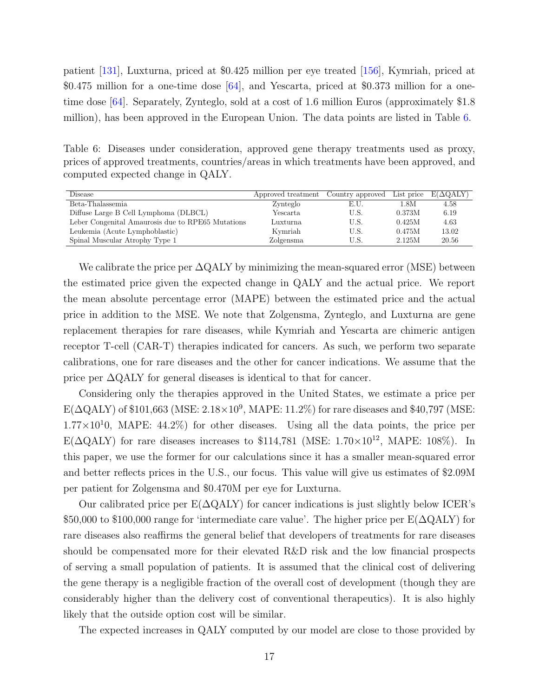patient [\[131\]](#page-46-2), Luxturna, priced at \$0.425 million per eye treated [\[156\]](#page-48-3), Kymriah, priced at \$0.475 million for a one-time dose [\[64\]](#page-41-2), and Yescarta, priced at \$0.373 million for a onetime dose [\[64\]](#page-41-2). Separately, Zynteglo, sold at a cost of 1.6 million Euros (approximately \$1.8 million), has been approved in the European Union. The data points are listed in Table [6.](#page-18-0)

<span id="page-18-0"></span>Table 6: Diseases under consideration, approved gene therapy treatments used as proxy, prices of approved treatments, countries/areas in which treatments have been approved, and computed expected change in QALY.

| Disease                                           | Approved treatment | Country approved | List price | $E(\Delta QALY)$ |
|---------------------------------------------------|--------------------|------------------|------------|------------------|
| Beta-Thalassemia                                  | Zynteglo           | E.U.             | 1.8M       | 4.58             |
| Diffuse Large B Cell Lymphoma (DLBCL)             | Yescarta           | U.S.             | 0.373M     | 6.19             |
| Leber Congenital Amaurosis due to RPE65 Mutations | Luxturna           | U.S.             | 0.425M     | 4.63             |
| Leukemia (Acute Lymphoblastic)                    | Kymriah            | U.S.             | 0.475M     | 13.02            |
| Spinal Muscular Atrophy Type 1                    | Zolgensma          | U.S.             | 2.125M     | 20.56            |

We calibrate the price per  $\Delta \text{QALY}$  by minimizing the mean-squared error (MSE) between the estimated price given the expected change in QALY and the actual price. We report the mean absolute percentage error (MAPE) between the estimated price and the actual price in addition to the MSE. We note that Zolgensma, Zynteglo, and Luxturna are gene replacement therapies for rare diseases, while Kymriah and Yescarta are chimeric antigen receptor T-cell (CAR-T) therapies indicated for cancers. As such, we perform two separate calibrations, one for rare diseases and the other for cancer indications. We assume that the price per  $\Delta QALY$  for general diseases is identical to that for cancer.

Considering only the therapies approved in the United States, we estimate a price per  $\text{E}(\Delta\text{QALY})$  of \$101,663 (MSE:  $2.18 \times 10^9$ , MAPE: 11.2%) for rare diseases and \$40,797 (MSE:  $1.77\times10^{10}$ , MAPE: 44.2%) for other diseases. Using all the data points, the price per E( $\Delta$ QALY) for rare diseases increases to \$114,781 (MSE: 1.70×10<sup>12</sup>, MAPE: 108%). In this paper, we use the former for our calculations since it has a smaller mean-squared error and better reflects prices in the U.S., our focus. This value will give us estimates of \$2.09M per patient for Zolgensma and \$0.470M per eye for Luxturna.

Our calibrated price per  $E(\Delta QALY)$  for cancer indications is just slightly below ICER's \$50,000 to \$100,000 range for 'intermediate care value'. The higher price per  $E(\Delta \text{QALY})$  for rare diseases also reaffirms the general belief that developers of treatments for rare diseases should be compensated more for their elevated R&D risk and the low financial prospects of serving a small population of patients. It is assumed that the clinical cost of delivering the gene therapy is a negligible fraction of the overall cost of development (though they are considerably higher than the delivery cost of conventional therapeutics). It is also highly likely that the outside option cost will be similar.

The expected increases in QALY computed by our model are close to those provided by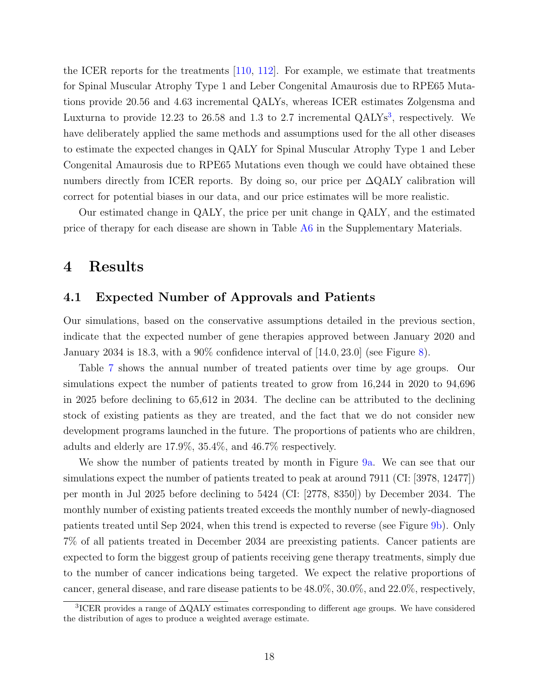the ICER reports for the treatments [\[110,](#page-44-0) [112\]](#page-44-1). For example, we estimate that treatments for Spinal Muscular Atrophy Type 1 and Leber Congenital Amaurosis due to RPE65 Mutations provide 20.56 and 4.63 incremental QALYs, whereas ICER estimates Zolgensma and Luxturna to provide  $12.23$  $12.23$  to  $26.58$  and  $1.3$  to  $2.7$  incremental QALYs<sup>3</sup>, respectively. We have deliberately applied the same methods and assumptions used for the all other diseases to estimate the expected changes in QALY for Spinal Muscular Atrophy Type 1 and Leber Congenital Amaurosis due to RPE65 Mutations even though we could have obtained these numbers directly from ICER reports. By doing so, our price per  $\Delta \text{QALY}$  calibration will correct for potential biases in our data, and our price estimates will be more realistic.

Our estimated change in QALY, the price per unit change in QALY, and the estimated price of therapy for each disease are shown in Table [A6](#page-81-0) in the Supplementary Materials.

## 4 Results

### 4.1 Expected Number of Approvals and Patients

Our simulations, based on the conservative assumptions detailed in the previous section, indicate that the expected number of gene therapies approved between January 2020 and January 2034 is 18.3, with a 90% confidence interval of  $[14.0, 23.0]$  (see Figure [8\)](#page-20-0).

Table [7](#page-21-0) shows the annual number of treated patients over time by age groups. Our simulations expect the number of patients treated to grow from 16,244 in 2020 to 94,696 in 2025 before declining to 65,612 in 2034. The decline can be attributed to the declining stock of existing patients as they are treated, and the fact that we do not consider new development programs launched in the future. The proportions of patients who are children, adults and elderly are 17.9%, 35.4%, and 46.7% respectively.

We show the number of patients treated by month in Figure [9a.](#page-24-0) We can see that our simulations expect the number of patients treated to peak at around 7911 (CI: [3978, 12477]) per month in Jul 2025 before declining to 5424 (CI: [2778, 8350]) by December 2034. The monthly number of existing patients treated exceeds the monthly number of newly-diagnosed patients treated until Sep 2024, when this trend is expected to reverse (see Figure [9b\)](#page-24-0). Only 7% of all patients treated in December 2034 are preexisting patients. Cancer patients are expected to form the biggest group of patients receiving gene therapy treatments, simply due to the number of cancer indications being targeted. We expect the relative proportions of cancer, general disease, and rare disease patients to be 48.0%, 30.0%, and 22.0%, respectively,

<span id="page-19-0"></span><sup>3</sup> ICER provides a range of ∆QALY estimates corresponding to different age groups. We have considered the distribution of ages to produce a weighted average estimate.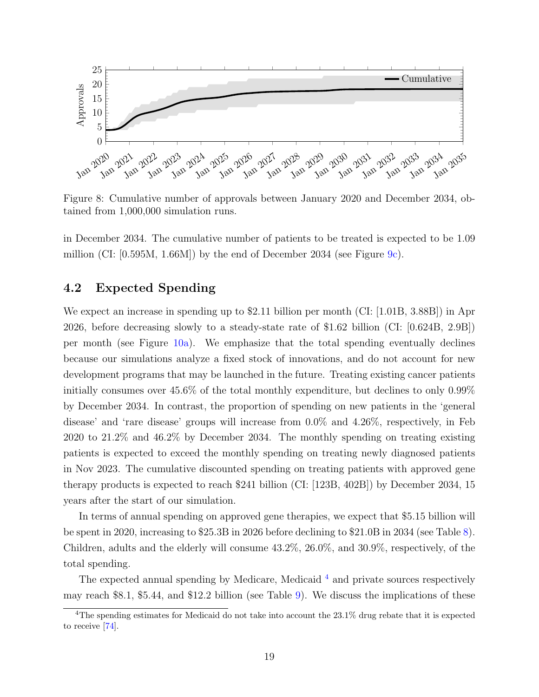<span id="page-20-0"></span>

Figure 8: Cumulative number of approvals between January 2020 and December 2034, obtained from 1,000,000 simulation runs.

in December 2034. The cumulative number of patients to be treated is expected to be 1.09 million (CI:  $[0.595M, 1.66M]$ ) by the end of December 2034 (see Figure [9c\)](#page-24-0).

### 4.2 Expected Spending

We expect an increase in spending up to \$2.11 billion per month (CI: [1.01B, 3.88B]) in Apr 2026, before decreasing slowly to a steady-state rate of \$1.62 billion (CI: [0.624B, 2.9B]) per month (see Figure [10a\)](#page-25-0). We emphasize that the total spending eventually declines because our simulations analyze a fixed stock of innovations, and do not account for new development programs that may be launched in the future. Treating existing cancer patients initially consumes over 45.6% of the total monthly expenditure, but declines to only 0.99% by December 2034. In contrast, the proportion of spending on new patients in the 'general disease' and 'rare disease' groups will increase from 0.0% and 4.26%, respectively, in Feb 2020 to 21.2% and 46.2% by December 2034. The monthly spending on treating existing patients is expected to exceed the monthly spending on treating newly diagnosed patients in Nov 2023. The cumulative discounted spending on treating patients with approved gene therapy products is expected to reach \$241 billion (CI: [123B, 402B]) by December 2034, 15 years after the start of our simulation.

In terms of annual spending on approved gene therapies, we expect that \$5.15 billion will be spent in 2020, increasing to \$25.3B in 2026 before declining to \$21.0B in 2034 (see Table [8\)](#page-22-0). Children, adults and the elderly will consume 43.2%, 26.0%, and 30.9%, respectively, of the total spending.

The expected annual spending by Medicare, Medicaid<sup>[4](#page-20-1)</sup> and private sources respectively may reach \$8.1, \$5.44, and \$12.2 billion (see Table [9\)](#page-23-0). We discuss the implications of these

<span id="page-20-1"></span> $4$ The spending estimates for Medicaid do not take into account the  $23.1\%$  drug rebate that it is expected to receive [\[74\]](#page-41-3).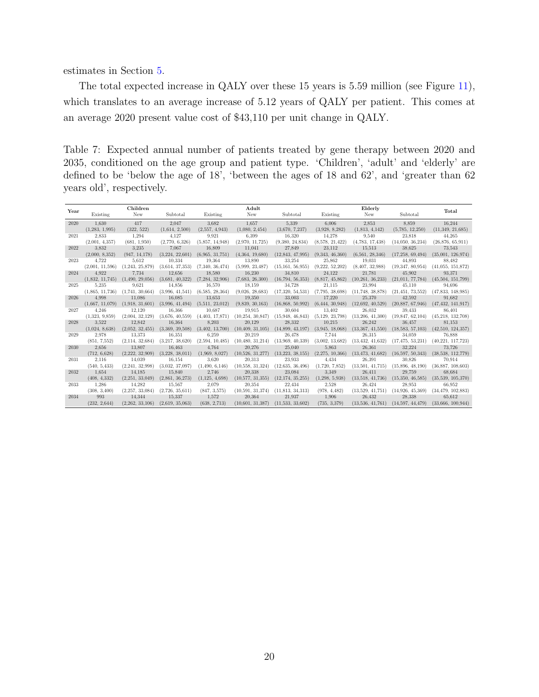estimates in Section [5.](#page-32-0)

The total expected increase in QALY over these 15 years is 5.59 million (see Figure [11\)](#page-26-0), which translates to an average increase of 5.12 years of QALY per patient. This comes at an average 2020 present value cost of \$43,110 per unit change in QALY.

<span id="page-21-0"></span>Table 7: Expected annual number of patients treated by gene therapy between 2020 and 2035, conditioned on the age group and patient type. 'Children', 'adult' and 'elderly' are defined to be 'below the age of 18', 'between the ages of 18 and 62', and 'greater than 62 years old', respectively.

| Year |                 | Children        |                 |                 | Adult              |                    |                 | Elderly          |                    | Total               |
|------|-----------------|-----------------|-----------------|-----------------|--------------------|--------------------|-----------------|------------------|--------------------|---------------------|
|      | Existing        | New             | Subtotal        | Existing        | New                | Subtotal           | Existing        | New              | Subtotal           |                     |
| 2020 | 1.630           | 417             | 2,047           | 3,682           | 1,657              | 5,339              | 6.006           | 2,853            | 8,859              | 16,244              |
|      | (1,283, 1,995)  | (322, 522)      | (1,614, 2,500)  | (2,557, 4,943)  | (1,080, 2,454)     | (3.670, 7.237)     | (3.928, 8.282)  | (1,813, 4,142)   | (5,785, 12,250)    | (11,349, 21,685)    |
| 2021 | 2,833           | 1.294           | 4.127           | 9,921           | 6.399              | 16,320             | 14,278          | 9.540            | 23,818             | 44,265              |
|      | (2,001, 4,357)  | (681, 1.950)    | (2,770, 6,326)  | (5,857, 14,948) | (2.970, 11.725)    | (9,380, 24,834)    | (8.578, 21.422) | (4,783, 17,438)  | (14.050, 36.234)   | (26.876, 65.911)    |
| 2022 | 3.832           | 3,235           | 7.067           | 16,809          | 11,041             | 27.849             | 23,112          | 15,513           | 38,625             | 73,543              |
|      | (2,000, 8,352)  | (947, 14, 178)  | (3,224, 22,601) | (6.965, 31.751) | (4,364, 19,680)    | (12,843, 47,995)   | (9.343, 46.360) | (6.561, 28.346)  | (17,258, 69,494)   | (35,001, 126,974)   |
| 2023 | 4.722           | 5.612           | 10.334          | 19.364          | 13.890             | 33.254             | 25,862          | 19.031           | 44.893             | 88.482              |
|      | (2,001, 11,596) | (1.243, 25.879) | (3.614, 37.353) | (7,340, 36,474) | (5.999, 23.487)    | (15, 161, 56, 955) | (9,222, 52,202) | (8,407, 32,988)  | (19.347, 80.954)   | (41,055, 151,872)   |
| 2024 | 4.922           | 7,734           | 12,656          | 18,580          | 16,230             | 34,810             | 24,122          | 21,781           | 45,902             | 93,371              |
|      | (1.832, 11.745) | (1,490, 29,056) | (3.681, 40.322) | (7,284, 32,906) | (7,683, 26,300)    | (16, 794, 56, 353) | (8.817, 45.862) | (10.261, 36.233) | (21.011, 77.784)   | (45,504, 151,799)   |
| 2025 | 5,235           | 9.621           | 14,856          | 16,570          | 18,159             | 34,728             | 21,115          | 23,994           | 45,110             | 94.696              |
|      | (1.865, 11.736) | (1.741, 30.664) | (3.996, 41.541) | (6.585, 28.364) | (9.026, 28.683)    | (17,320, 54,531)   | (7,795, 38,698) | (11.748, 38.878) | (21, 451, 73, 552) | (47,833, 148,985)   |
| 2026 | 4.998           | 11.086          | 16.085          | 13,653          | 19,350             | 33,003             | 17.220          | 25,370           | 42,592             | 91,682              |
|      | (1.667, 11.079) | (1.918, 31.601) | (3.996, 41.494) | (5.511, 23.012) | (9,839, 30,163)    | (16,868, 50,992)   | (6.444, 30.948) | (12.692, 40.529) | (20.887, 67.946)   | (47, 432, 141, 917) |
| 2027 | 4,246           | 12.120          | 16.366          | 10,687          | 19,915             | 30,604             | 13,402          | 26,032           | 39,433             | 86,401              |
|      | (1.323, 9.859)  | (2,004, 32,129) | (3.676, 40.559) | (4,403, 17,871) | (10.254, 30.847)   | (15,948, 46,843)   | (5,129, 23,798) | (13,206, 41,300) | (19,847, 62,104)   | (45, 218, 132, 708) |
| 2028 | 3.522           | 12,842          | 16,364          | 8,203           | 20,129             | 28,332             | 10,215          | 26,242           | 36,457             | 81,153              |
|      | (1.024, 8.638)  | (2.052, 32.455) | (3,369, 39,508) | (3,402, 13,700) | (10.409, 31.105)   | (14.899, 43.197)   | (3.945, 18.068) | (13.367, 41.550) | (18.583, 57.103)   | (42,510, 124,357)   |
| 2029 | 2,978           | 13.373          | 16,351          | 6,259           | 20,219             | 26.478             | 7.744           | 26,315           | 34,059             | 76,888              |
|      | (851, 7.552)    | (2,114, 32,684) | (3,217, 38,620) | (2.594, 10.485) | (10, 480, 31, 214) | (13,969, 40,339)   | (3.002, 13.682) | (13.432, 41.632) | (17, 475, 53, 231) | (40.221, 117.723)   |
| 2030 | 2,656           | 13,807          | 16,463          | 4.764           | 20,276             | 25,040             | 5.863           | 26,361           | 32,224             | 73,726              |
|      | (712, 6.628)    | (2,222, 32,909) | (3,228, 38,011) | (1.969, 8.027)  | (10.526, 31.277)   | (13,223, 38,155)   | (2,275, 10,366) | (13.473, 41.682) | (16.597, 50.343)   | (38.538, 112.779)   |
| 2031 | 2,116           | 14,039          | 16,154          | 3.620           | 20.313             | 23.933             | 4,434           | 26,391           | 30,826             | 70.914              |
|      | (540, 5,433)    | (2,241, 32,998) | (3.032, 37.097) | (1,490, 6,146)  | (10,558, 31,324)   | (12,635, 36,496)   | (1,720, 7,852)  | (13.501, 41.715) | (15,896, 48,190)   | (36,887, 108,603)   |
| 2032 | 1,654           | 14.185          | 15,840          | 2,746           | 20,338             | 23.084             | 3.349           | 26.411           | 29.759             | 68,684              |
|      | (408, 4,332)    | (2.251, 33.049) | (2.861, 36.273) | (1,125, 4,698)  | (10.577, 31.355)   | (12, 174, 35, 255) | (1.298, 5.938)  | (13.518, 41.736) | (15,350, 46,585)   | (35,539, 105,370)   |
| 2033 | 1,286           | 14,282          | 15,567          | 2,079           | 20,354             | 22,434             | 2,528           | 26,424           | 28,953             | 66,952              |
|      | (308, 3,400)    | (2,257, 33,084) | (2,726, 35,611) | (847, 3,575)    | (10.591, 31.374)   | (11,813, 34,313)   | (978, 4,482)    | (13.529, 41.751) | (14.926, 45.369)   | (34, 479, 102, 883) |
| 2034 | 993             | 14,344          | 15,337          | 1,572           | 20,364             | 21,937             | 1.906           | 26.432           | 28,338             | 65,612              |
|      | (232, 2.644)    | (2,262, 33,106) | (2.619, 35.063) | (638, 2,713)    | (10.601, 31.387)   | (11.533, 33.602)   | (735, 3,379)    | (13.536, 41.761) | (14,597, 44,479)   | (33,666, 100,944)   |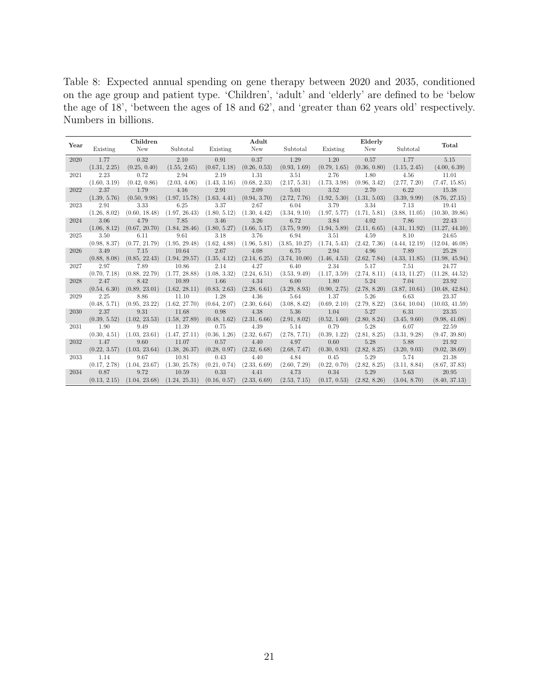<span id="page-22-0"></span>Table 8: Expected annual spending on gene therapy between 2020 and 2035, conditioned on the age group and patient type. 'Children', 'adult' and 'elderly' are defined to be 'below the age of 18', 'between the ages of 18 and 62', and 'greater than 62 years old' respectively. Numbers in billions.

|      |              | Children      |               |              | Adult        |               |              | Elderly      |               |                |
|------|--------------|---------------|---------------|--------------|--------------|---------------|--------------|--------------|---------------|----------------|
| Year | Existing     | New           | Subtotal      | Existing     | New          | Subtotal      | Existing     | New          | Subtotal      | Total          |
| 2020 | 1.77         | 0.32          | 2.10          | 0.91         | 0.37         | 1.29          | 1.20         | 0.57         | 1.77          | 5.15           |
|      | (1.31, 2.25) | (0.25, 0.40)  | (1.55, 2.65)  | (0.67, 1.18) | (0.26, 0.53) | (0.93, 1.69)  | (0.79, 1.65) | (0.36, 0.80) | (1.15, 2.45)  | (4.00, 6.39)   |
| 2021 | 2.23         | 0.72          | 2.94          | 2.19         | 1.31         | 3.51          | 2.76         | 1.80         | 4.56          | 11.01          |
|      | (1.60, 3.19) | (0.42, 0.86)  | (2.03, 4.06)  | (1.43, 3.16) | (0.68, 2.33) | (2.17, 5.31)  | (1.73, 3.98) | (0.96, 3.42) | (2.77, 7.20)  | (7.47, 15.85)  |
| 2022 | 2.37         | 1.79          | 4.16          | 2.91         | 2.09         | 5.01          | 3.52         | 2.70         | 6.22          | 15.38          |
|      | (1.39, 5.76) | (0.50, 9.98)  | (1.97, 15.78) | (1.63, 4.41) | (0.94, 3.70) | (2.72, 7.76)  | (1.92, 5.30) | (1.31, 5.03) | (3.39, 9.99)  | (8.76, 27.15)  |
| 2023 | 2.91         | 3.33          | 6.25          | 3.37         | 2.67         | 6.04          | 3.79         | 3.34         | 7.13          | 19.41          |
|      | (1.26, 8.02) | (0.60, 18.48) | (1.97, 26.43) | (1.80, 5.12) | (1.30, 4.42) | (3.34, 9.10)  | (1.97, 5.77) | (1.71, 5.81) | (3.88, 11.05) | (10.30, 39.86) |
| 2024 | 3.06         | 4.79          | 7.85          | 3.46         | 3.26         | 6.72          | 3.84         | 4.02         | 7.86          | 22.43          |
|      | (1.06, 8.12) | (0.67, 20.70) | (1.84, 28.46) | (1.80, 5.27) | (1.66, 5.17) | (3.75, 9.99)  | (1.94, 5.89) | (2.11, 6.65) | (4.31, 11.92) | (11.27, 44.10) |
| 2025 | 3.50         | 6.11          | 9.61          | 3.18         | 3.76         | 6.94          | 3.51         | 4.59         | 8.10          | 24.65          |
|      | (0.98, 8.37) | (0.77, 21.79) | (1.95, 29.48) | (1.62, 4.88) | (1.96, 5.81) | (3.85, 10.27) | (1.74, 5.43) | (2.42, 7.36) | (4.44, 12.19) | (12.04, 46.08) |
| 2026 | 3.49         | 7.15          | 10.64         | 2.67         | 4.08         | 6.75          | 2.94         | 4.96         | 7.89          | 25.28          |
|      | (0.88, 8.08) | (0.85, 22.43) | (1.94, 29.57) | (1.35, 4.12) | (2.14, 6.25) | (3.74, 10.00) | (1.46, 4.53) | (2.62, 7.84) | (4.33, 11.85) | (11.98, 45.94) |
| 2027 | 2.97         | 7.89          | 10.86         | 2.14         | 4.27         | 6.40          | 2.34         | 5.17         | 7.51          | 24.77          |
|      | (0.70, 7.18) | (0.88, 22.79) | (1.77, 28.88) | (1.08, 3.32) | (2.24, 6.51) | (3.53, 9.49)  | (1.17, 3.59) | (2.74, 8.11) | (4.13, 11.27) | (11.28, 44.52) |
| 2028 | 2.47         | 8.42          | 10.89         | 1.66         | 4.34         | 6.00          | 1.80         | 5.24         | 7.04          | 23.92          |
|      | (0.54, 6.30) | (0.89, 23.01) | (1.62, 28.11) | (0.83, 2.63) | (2.28, 6.61) | (3.29, 8.93)  | (0.90, 2.75) | (2.78, 8.20) | (3.87, 10.61) | (10.48, 42.84) |
| 2029 | 2.25         | 8.86          | 11.10         | 1.28         | 4.36         | 5.64          | 1.37         | 5.26         | 6.63          | 23.37          |
|      | (0.48, 5.71) | (0.95, 23.22) | (1.62, 27.70) | (0.64, 2.07) | (2.30, 6.64) | (3.08, 8.42)  | (0.69, 2.10) | (2.79, 8.22) | (3.64, 10.04) | (10.03, 41.59) |
| 2030 | 2.37         | 9.31          | 11.68         | 0.98         | 4.38         | 5.36          | 1.04         | 5.27         | 6.31          | 23.35          |
|      | (0.39, 5.52) | (1.02, 23.53) | (1.58, 27.89) | (0.48, 1.62) | (2.31, 6.66) | (2.91, 8.02)  | (0.52, 1.60) | (2.80, 8.24) | (3.45, 9.60)  | (9.98, 41.08)  |
| 2031 | 1.90         | 9.49          | 11.39         | 0.75         | 4.39         | 5.14          | 0.79         | 5.28         | 6.07          | 22.59          |
|      | (0.30, 4.51) | (1.03, 23.61) | (1.47, 27.11) | (0.36, 1.26) | (2.32, 6.67) | (2.78, 7.71)  | (0.39, 1.22) | (2.81, 8.25) | (3.31, 9.28)  | (9.47, 39.80)  |
| 2032 | 1.47         | 9.60          | 11.07         | 0.57         | 4.40         | 4.97          | 0.60         | 5.28         | 5.88          | 21.92          |
|      | (0.22, 3.57) | (1.03, 23.64) | (1.38, 26.37) | (0.28, 0.97) | (2.32, 6.68) | (2.68, 7.47)  | (0.30, 0.93) | (2.82, 8.25) | (3.20, 9.03)  | (9.02, 38.69)  |
| 2033 | 1.14         | 9.67          | 10.81         | 0.43         | 4.40         | 4.84          | 0.45         | 5.29         | 5.74          | 21.38          |
|      | (0.17, 2.78) | (1.04, 23.67) | (1.30, 25.78) | (0.21, 0.74) | (2.33, 6.69) | (2.60, 7.29)  | (0.22, 0.70) | (2.82, 8.25) | (3.11, 8.84)  | (8.67, 37.83)  |
| 2034 | 0.87         | 9.72          | 10.59         | 0.33         | 4.41         | 4.73          | 0.34         | 5.29         | 5.63          | 20.95          |
|      | (0.13, 2.15) | (1.04, 23.68) | (1.24, 25.31) | (0.16, 0.57) | (2.33, 6.69) | (2.53, 7.15)  | (0.17, 0.53) | (2.82, 8.26) | (3.04, 8.70)  | (8.40, 37.13)  |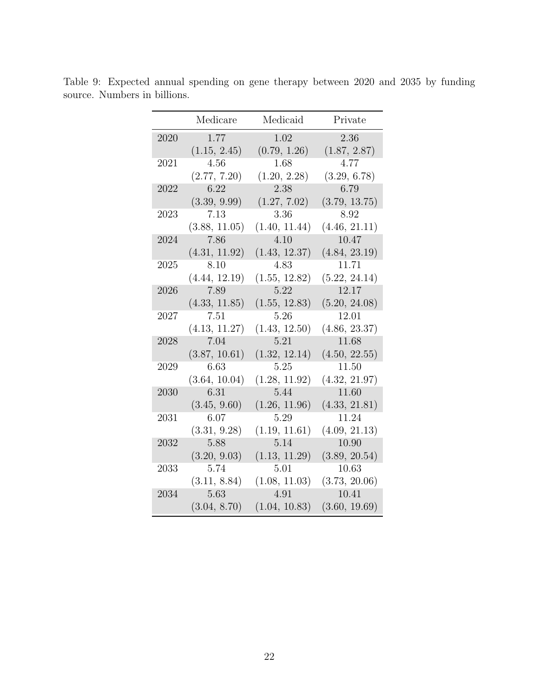|      | Medicare      | Medicaid      | Private       |
|------|---------------|---------------|---------------|
| 2020 | 1.77          | 1.02          | 2.36          |
|      | (1.15, 2.45)  | (0.79, 1.26)  | (1.87, 2.87)  |
| 2021 | 4.56          | 1.68          | 4.77          |
|      | (2.77, 7.20)  | (1.20, 2.28)  | (3.29, 6.78)  |
| 2022 | 6.22          | 2.38          | 6.79          |
|      | (3.39, 9.99)  | (1.27, 7.02)  | (3.79, 13.75) |
| 2023 | 7.13          | 3.36          | 8.92          |
|      | (3.88, 11.05) | (1.40, 11.44) | (4.46, 21.11) |
| 2024 | 7.86          | 4.10          | 10.47         |
|      | (4.31, 11.92) | (1.43, 12.37) | (4.84, 23.19) |
| 2025 | 8.10          | 4.83          | 11.71         |
|      | (4.44, 12.19) | (1.55, 12.82) | (5.22, 24.14) |
| 2026 | 7.89          | 5.22          | 12.17         |
|      | (4.33, 11.85) | (1.55, 12.83) | (5.20, 24.08) |
| 2027 | 7.51          | 5.26          | 12.01         |
|      | (4.13, 11.27) | (1.43, 12.50) | (4.86, 23.37) |
| 2028 | 7.04          | 5.21          | 11.68         |
|      | (3.87, 10.61) | (1.32, 12.14) | (4.50, 22.55) |
| 2029 | 6.63          | 5.25          | 11.50         |
|      | (3.64, 10.04) | (1.28, 11.92) | (4.32, 21.97) |
| 2030 | 6.31          | 5.44          | 11.60         |
|      | (3.45, 9.60)  | (1.26, 11.96) | (4.33, 21.81) |
| 2031 | 6.07          | 5.29          | 11.24         |
|      | (3.31, 9.28)  | (1.19, 11.61) | (4.09, 21.13) |
| 2032 | 5.88          | 5.14          | 10.90         |
|      | (3.20, 9.03)  | (1.13, 11.29) | (3.89, 20.54) |
| 2033 | 5.74          | 5.01          | 10.63         |
|      | (3.11, 8.84)  | (1.08, 11.03) | (3.73, 20.06) |
| 2034 | 5.63          | 4.91          | 10.41         |
|      | (3.04, 8.70)  | (1.04, 10.83) | (3.60, 19.69) |

<span id="page-23-0"></span>Table 9: Expected annual spending on gene therapy between 2020 and 2035 by funding source. Numbers in billions.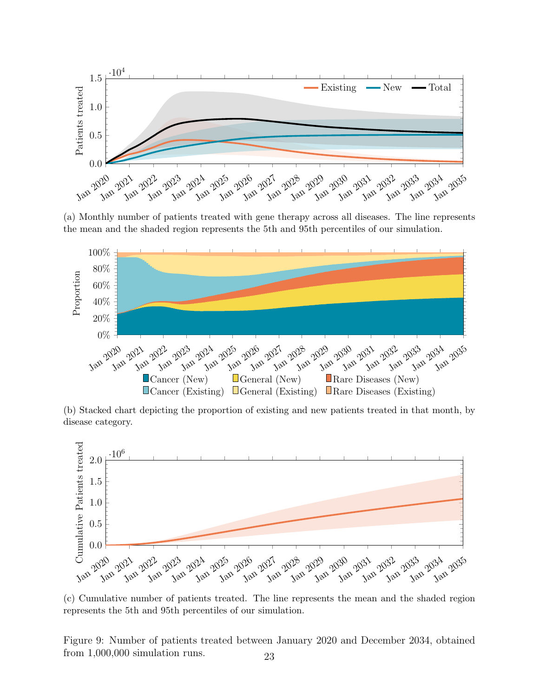<span id="page-24-0"></span>

(a) Monthly number of patients treated with gene therapy across all diseases. The line represents the mean and the shaded region represents the 5th and 95th percentiles of our simulation.



(b) Stacked chart depicting the proportion of existing and new patients treated in that month, by disease category.



(c) Cumulative number of patients treated. The line represents the mean and the shaded region represents the 5th and 95th percentiles of our simulation.

Figure 9: Number of patients treated between January 2020 and December 2034, obtained from 1,000,000 simulation runs. 23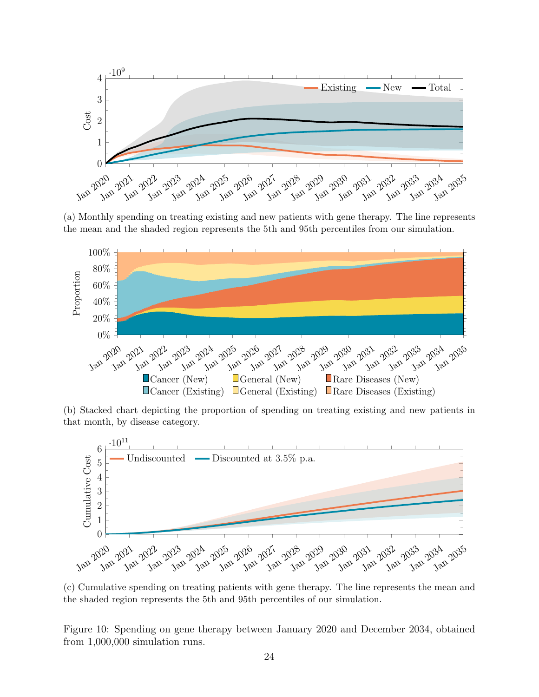<span id="page-25-0"></span>

(a) Monthly spending on treating existing and new patients with gene therapy. The line represents the mean and the shaded region represents the 5th and 95th percentiles from our simulation.



(b) Stacked chart depicting the proportion of spending on treating existing and new patients in that month, by disease category.



(c) Cumulative spending on treating patients with gene therapy. The line represents the mean and the shaded region represents the 5th and 95th percentiles of our simulation.

Figure 10: Spending on gene therapy between January 2020 and December 2034, obtained from 1,000,000 simulation runs.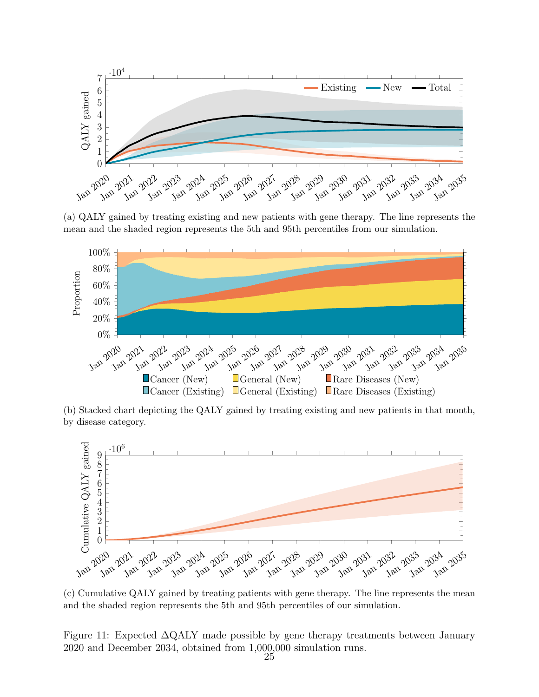<span id="page-26-0"></span>

(a) QALY gained by treating existing and new patients with gene therapy. The line represents the mean and the shaded region represents the 5th and 95th percentiles from our simulation.



(b) Stacked chart depicting the QALY gained by treating existing and new patients in that month, by disease category.



(c) Cumulative QALY gained by treating patients with gene therapy. The line represents the mean and the shaded region represents the 5th and 95th percentiles of our simulation.

Figure 11: Expected ∆QALY made possible by gene therapy treatments between January 2020 and December 2034, obtained from 1,000,000 simulation runs.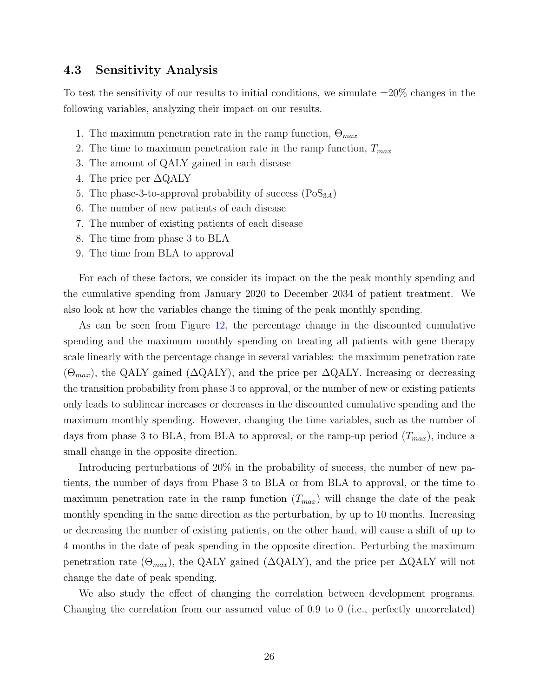### <span id="page-27-0"></span>4.3 Sensitivity Analysis

To test the sensitivity of our results to initial conditions, we simulate  $\pm 20\%$  changes in the following variables, analyzing their impact on our results.

- 1. The maximum penetration rate in the ramp function,  $\Theta_{max}$
- 2. The time to maximum penetration rate in the ramp function,  $T_{max}$
- 3. The amount of QALY gained in each disease
- 4. The price per  $\Delta$ QALY
- 5. The phase-3-to-approval probability of success  $(Pos_{3A})$
- 6. The number of new patients of each disease
- 7. The number of existing patients of each disease
- 8. The time from phase 3 to BLA
- 9. The time from BLA to approval

For each of these factors, we consider its impact on the the peak monthly spending and the cumulative spending from January 2020 to December 2034 of patient treatment. We also look at how the variables change the timing of the peak monthly spending.

As can be seen from Figure [12,](#page-28-0) the percentage change in the discounted cumulative spending and the maximum monthly spending on treating all patients with gene therapy scale linearly with the percentage change in several variables: the maximum penetration rate  $(\Theta_{max})$ , the QALY gained ( $\Delta$ QALY), and the price per  $\Delta$ QALY. Increasing or decreasing the transition probability from phase 3 to approval, or the number of new or existing patients only leads to sublinear increases or decreases in the discounted cumulative spending and the maximum monthly spending. However, changing the time variables, such as the number of days from phase 3 to BLA, from BLA to approval, or the ramp-up period  $(T_{max})$ , induce a small change in the opposite direction.

Introducing perturbations of 20% in the probability of success, the number of new patients, the number of days from Phase 3 to BLA or from BLA to approval, or the time to maximum penetration rate in the ramp function  $(T_{max})$  will change the date of the peak monthly spending in the same direction as the perturbation, by up to 10 months. Increasing or decreasing the number of existing patients, on the other hand, will cause a shift of up to 4 months in the date of peak spending in the opposite direction. Perturbing the maximum penetration rate  $(\Theta_{max})$ , the QALY gained ( $\Delta$ QALY), and the price per  $\Delta$ QALY will not change the date of peak spending.

We also study the effect of changing the correlation between development programs. Changing the correlation from our assumed value of 0.9 to 0 (i.e., perfectly uncorrelated)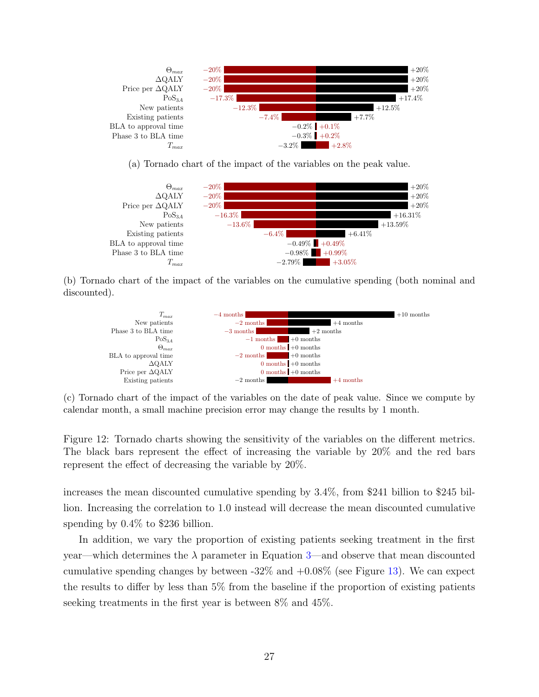<span id="page-28-0"></span>

(a) Tornado chart of the impact of the variables on the peak value.



(b) Tornado chart of the impact of the variables on the cumulative spending (both nominal and discounted).



(c) Tornado chart of the impact of the variables on the date of peak value. Since we compute by calendar month, a small machine precision error may change the results by 1 month.

Figure 12: Tornado charts showing the sensitivity of the variables on the different metrics. The black bars represent the effect of increasing the variable by 20% and the red bars represent the effect of decreasing the variable by 20%.

increases the mean discounted cumulative spending by 3.4%, from \$241 billion to \$245 billion. Increasing the correlation to 1.0 instead will decrease the mean discounted cumulative spending by 0.4% to \$236 billion.

In addition, we vary the proportion of existing patients seeking treatment in the first year—which determines the  $\lambda$  parameter in Equation [3—](#page-10-1)and observe that mean discounted cumulative spending changes by between  $-32\%$  and  $+0.08\%$  (see Figure [13\)](#page-29-0). We can expect the results to differ by less than 5% from the baseline if the proportion of existing patients seeking treatments in the first year is between 8% and 45%.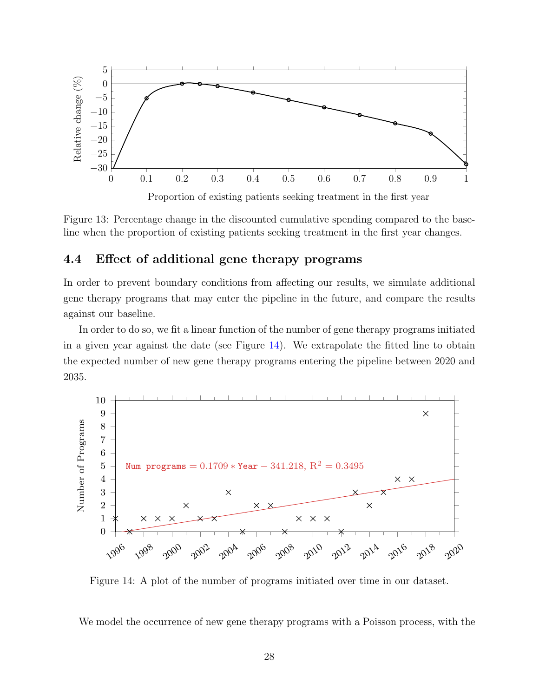<span id="page-29-0"></span>

Figure 13: Percentage change in the discounted cumulative spending compared to the baseline when the proportion of existing patients seeking treatment in the first year changes.

### <span id="page-29-2"></span>4.4 Effect of additional gene therapy programs

In order to prevent boundary conditions from affecting our results, we simulate additional gene therapy programs that may enter the pipeline in the future, and compare the results against our baseline.

In order to do so, we fit a linear function of the number of gene therapy programs initiated in a given year against the date (see Figure [14\)](#page-29-1). We extrapolate the fitted line to obtain the expected number of new gene therapy programs entering the pipeline between 2020 and 2035.

<span id="page-29-1"></span>

Figure 14: A plot of the number of programs initiated over time in our dataset.

We model the occurrence of new gene therapy programs with a Poisson process, with the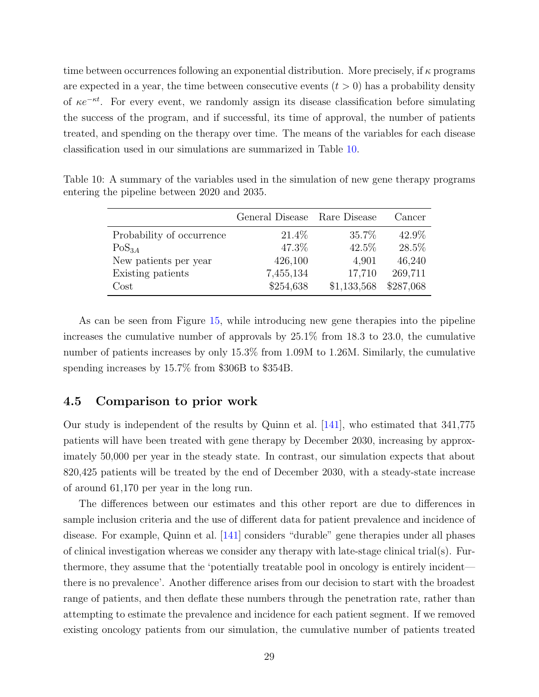time between occurrences following an exponential distribution. More precisely, if  $\kappa$  programs are expected in a year, the time between consecutive events  $(t > 0)$  has a probability density of  $\kappa e^{-\kappa t}$ . For every event, we randomly assign its disease classification before simulating the success of the program, and if successful, its time of approval, the number of patients treated, and spending on the therapy over time. The means of the variables for each disease classification used in our simulations are summarized in Table [10.](#page-30-0)

|                           | General Disease Rare Disease |             | Cancer    |
|---------------------------|------------------------------|-------------|-----------|
| Probability of occurrence | 21.4\%                       | 35.7%       | 42.9%     |
| $PoS_{3A}$                | 47.3%                        | 42.5%       | 28.5%     |
| New patients per year     | 426,100                      | 4,901       | 46,240    |
| Existing patients         | 7,455,134                    | 17,710      | 269,711   |
| $\rm Cost$                | \$254,638                    | \$1,133,568 | \$287,068 |

<span id="page-30-0"></span>Table 10: A summary of the variables used in the simulation of new gene therapy programs entering the pipeline between 2020 and 2035.

As can be seen from Figure [15,](#page-31-0) while introducing new gene therapies into the pipeline increases the cumulative number of approvals by 25.1% from 18.3 to 23.0, the cumulative number of patients increases by only 15.3% from 1.09M to 1.26M. Similarly, the cumulative spending increases by 15.7% from \$306B to \$354B.

### 4.5 Comparison to prior work

Our study is independent of the results by Quinn et al. [\[141\]](#page-47-0), who estimated that 341,775 patients will have been treated with gene therapy by December 2030, increasing by approximately 50,000 per year in the steady state. In contrast, our simulation expects that about 820,425 patients will be treated by the end of December 2030, with a steady-state increase of around 61,170 per year in the long run.

The differences between our estimates and this other report are due to differences in sample inclusion criteria and the use of different data for patient prevalence and incidence of disease. For example, Quinn et al. [\[141\]](#page-47-0) considers "durable" gene therapies under all phases of clinical investigation whereas we consider any therapy with late-stage clinical trial(s). Furthermore, they assume that the 'potentially treatable pool in oncology is entirely incident there is no prevalence'. Another difference arises from our decision to start with the broadest range of patients, and then deflate these numbers through the penetration rate, rather than attempting to estimate the prevalence and incidence for each patient segment. If we removed existing oncology patients from our simulation, the cumulative number of patients treated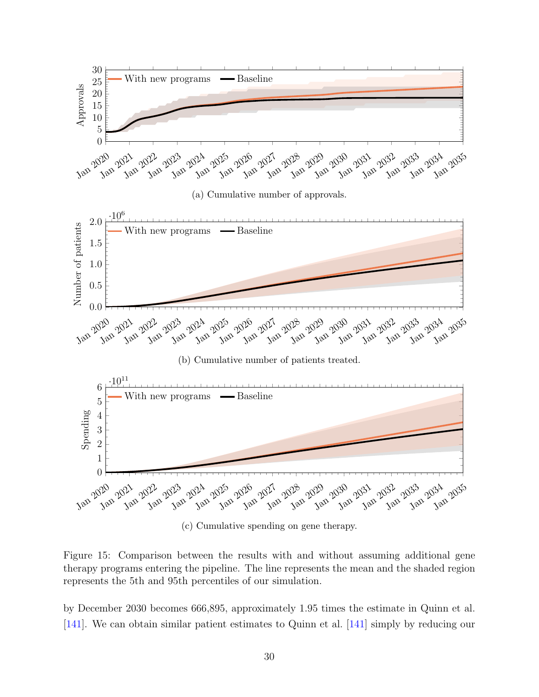<span id="page-31-0"></span>

(c) Cumulative spending on gene therapy.

Figure 15: Comparison between the results with and without assuming additional gene therapy programs entering the pipeline. The line represents the mean and the shaded region represents the 5th and 95th percentiles of our simulation.

by December 2030 becomes 666,895, approximately 1.95 times the estimate in Quinn et al. [\[141\]](#page-47-0). We can obtain similar patient estimates to Quinn et al. [\[141\]](#page-47-0) simply by reducing our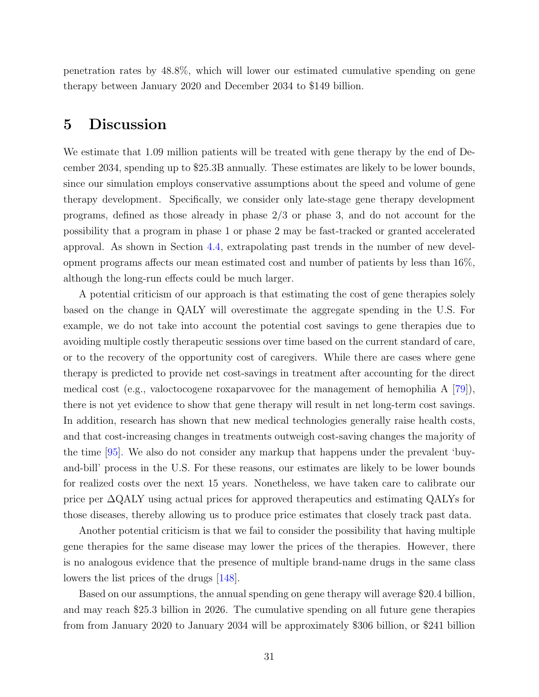penetration rates by 48.8%, which will lower our estimated cumulative spending on gene therapy between January 2020 and December 2034 to \$149 billion.

# <span id="page-32-0"></span>5 Discussion

We estimate that 1.09 million patients will be treated with gene therapy by the end of December 2034, spending up to \$25.3B annually. These estimates are likely to be lower bounds, since our simulation employs conservative assumptions about the speed and volume of gene therapy development. Specifically, we consider only late-stage gene therapy development programs, defined as those already in phase 2/3 or phase 3, and do not account for the possibility that a program in phase 1 or phase 2 may be fast-tracked or granted accelerated approval. As shown in Section [4.4,](#page-29-2) extrapolating past trends in the number of new development programs affects our mean estimated cost and number of patients by less than 16%, although the long-run effects could be much larger.

A potential criticism of our approach is that estimating the cost of gene therapies solely based on the change in QALY will overestimate the aggregate spending in the U.S. For example, we do not take into account the potential cost savings to gene therapies due to avoiding multiple costly therapeutic sessions over time based on the current standard of care, or to the recovery of the opportunity cost of caregivers. While there are cases where gene therapy is predicted to provide net cost-savings in treatment after accounting for the direct medical cost (e.g., valoctocogene roxaparvovec for the management of hemophilia A [\[79\]](#page-42-4)), there is not yet evidence to show that gene therapy will result in net long-term cost savings. In addition, research has shown that new medical technologies generally raise health costs, and that cost-increasing changes in treatments outweigh cost-saving changes the majority of the time [\[95\]](#page-43-1). We also do not consider any markup that happens under the prevalent 'buyand-bill' process in the U.S. For these reasons, our estimates are likely to be lower bounds for realized costs over the next 15 years. Nonetheless, we have taken care to calibrate our price per ∆QALY using actual prices for approved therapeutics and estimating QALYs for those diseases, thereby allowing us to produce price estimates that closely track past data.

Another potential criticism is that we fail to consider the possibility that having multiple gene therapies for the same disease may lower the prices of the therapies. However, there is no analogous evidence that the presence of multiple brand-name drugs in the same class lowers the list prices of the drugs [\[148\]](#page-47-1).

Based on our assumptions, the annual spending on gene therapy will average \$20.4 billion, and may reach \$25.3 billion in 2026. The cumulative spending on all future gene therapies from from January 2020 to January 2034 will be approximately \$306 billion, or \$241 billion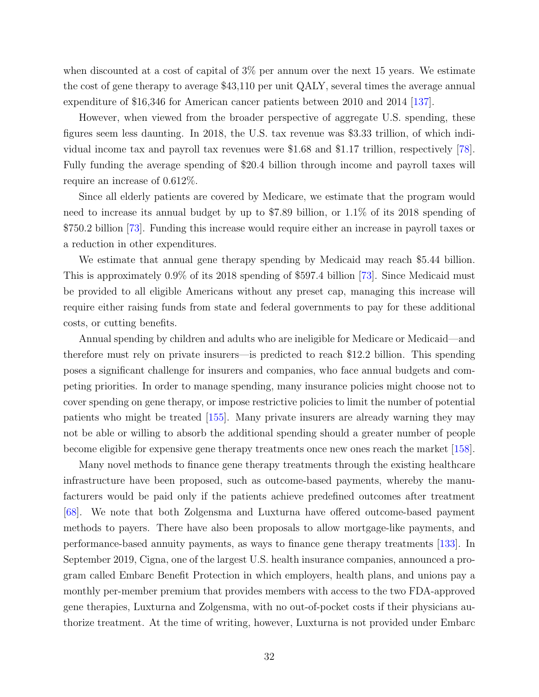when discounted at a cost of capital of 3% per annum over the next 15 years. We estimate the cost of gene therapy to average \$43,110 per unit QALY, several times the average annual expenditure of \$16,346 for American cancer patients between 2010 and 2014 [\[137\]](#page-46-3).

However, when viewed from the broader perspective of aggregate U.S. spending, these figures seem less daunting. In 2018, the U.S. tax revenue was \$3.33 trillion, of which individual income tax and payroll tax revenues were \$1.68 and \$1.17 trillion, respectively [\[78\]](#page-42-5). Fully funding the average spending of \$20.4 billion through income and payroll taxes will require an increase of 0.612%.

Since all elderly patients are covered by Medicare, we estimate that the program would need to increase its annual budget by up to \$7.89 billion, or 1.1% of its 2018 spending of \$750.2 billion [\[73\]](#page-41-4). Funding this increase would require either an increase in payroll taxes or a reduction in other expenditures.

We estimate that annual gene therapy spending by Medicaid may reach \$5.44 billion. This is approximately 0.9% of its 2018 spending of \$597.4 billion [\[73\]](#page-41-4). Since Medicaid must be provided to all eligible Americans without any preset cap, managing this increase will require either raising funds from state and federal governments to pay for these additional costs, or cutting benefits.

Annual spending by children and adults who are ineligible for Medicare or Medicaid—and therefore must rely on private insurers—is predicted to reach \$12.2 billion. This spending poses a significant challenge for insurers and companies, who face annual budgets and competing priorities. In order to manage spending, many insurance policies might choose not to cover spending on gene therapy, or impose restrictive policies to limit the number of potential patients who might be treated [\[155\]](#page-48-0). Many private insurers are already warning they may not be able or willing to absorb the additional spending should a greater number of people become eligible for expensive gene therapy treatments once new ones reach the market [\[158\]](#page-48-1).

Many novel methods to finance gene therapy treatments through the existing healthcare infrastructure have been proposed, such as outcome-based payments, whereby the manufacturers would be paid only if the patients achieve predefined outcomes after treatment [\[68\]](#page-41-5). We note that both Zolgensma and Luxturna have offered outcome-based payment methods to payers. There have also been proposals to allow mortgage-like payments, and performance-based annuity payments, as ways to finance gene therapy treatments [\[133\]](#page-46-4). In September 2019, Cigna, one of the largest U.S. health insurance companies, announced a program called Embarc Benefit Protection in which employers, health plans, and unions pay a monthly per-member premium that provides members with access to the two FDA-approved gene therapies, Luxturna and Zolgensma, with no out-of-pocket costs if their physicians authorize treatment. At the time of writing, however, Luxturna is not provided under Embarc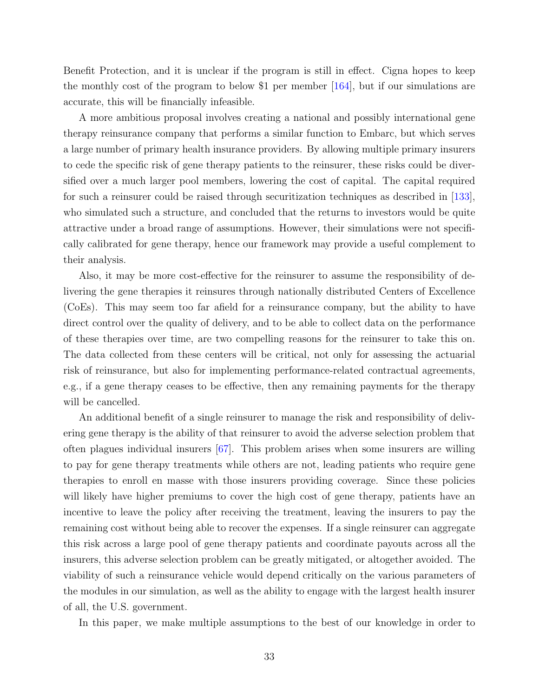Benefit Protection, and it is unclear if the program is still in effect. Cigna hopes to keep the monthly cost of the program to below \$1 per member [\[164\]](#page-49-1), but if our simulations are accurate, this will be financially infeasible.

A more ambitious proposal involves creating a national and possibly international gene therapy reinsurance company that performs a similar function to Embarc, but which serves a large number of primary health insurance providers. By allowing multiple primary insurers to cede the specific risk of gene therapy patients to the reinsurer, these risks could be diversified over a much larger pool members, lowering the cost of capital. The capital required for such a reinsurer could be raised through securitization techniques as described in  $|133|$ , who simulated such a structure, and concluded that the returns to investors would be quite attractive under a broad range of assumptions. However, their simulations were not specifically calibrated for gene therapy, hence our framework may provide a useful complement to their analysis.

Also, it may be more cost-effective for the reinsurer to assume the responsibility of delivering the gene therapies it reinsures through nationally distributed Centers of Excellence (CoEs). This may seem too far afield for a reinsurance company, but the ability to have direct control over the quality of delivery, and to be able to collect data on the performance of these therapies over time, are two compelling reasons for the reinsurer to take this on. The data collected from these centers will be critical, not only for assessing the actuarial risk of reinsurance, but also for implementing performance-related contractual agreements, e.g., if a gene therapy ceases to be effective, then any remaining payments for the therapy will be cancelled.

An additional benefit of a single reinsurer to manage the risk and responsibility of delivering gene therapy is the ability of that reinsurer to avoid the adverse selection problem that often plagues individual insurers [\[67\]](#page-41-6). This problem arises when some insurers are willing to pay for gene therapy treatments while others are not, leading patients who require gene therapies to enroll en masse with those insurers providing coverage. Since these policies will likely have higher premiums to cover the high cost of gene therapy, patients have an incentive to leave the policy after receiving the treatment, leaving the insurers to pay the remaining cost without being able to recover the expenses. If a single reinsurer can aggregate this risk across a large pool of gene therapy patients and coordinate payouts across all the insurers, this adverse selection problem can be greatly mitigated, or altogether avoided. The viability of such a reinsurance vehicle would depend critically on the various parameters of the modules in our simulation, as well as the ability to engage with the largest health insurer of all, the U.S. government.

In this paper, we make multiple assumptions to the best of our knowledge in order to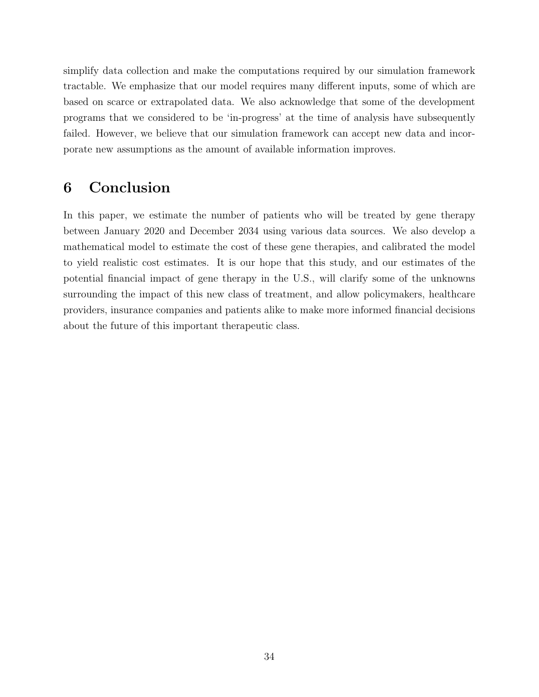simplify data collection and make the computations required by our simulation framework tractable. We emphasize that our model requires many different inputs, some of which are based on scarce or extrapolated data. We also acknowledge that some of the development programs that we considered to be 'in-progress' at the time of analysis have subsequently failed. However, we believe that our simulation framework can accept new data and incorporate new assumptions as the amount of available information improves.

# 6 Conclusion

In this paper, we estimate the number of patients who will be treated by gene therapy between January 2020 and December 2034 using various data sources. We also develop a mathematical model to estimate the cost of these gene therapies, and calibrated the model to yield realistic cost estimates. It is our hope that this study, and our estimates of the potential financial impact of gene therapy in the U.S., will clarify some of the unknowns surrounding the impact of this new class of treatment, and allow policymakers, healthcare providers, insurance companies and patients alike to make more informed financial decisions about the future of this important therapeutic class.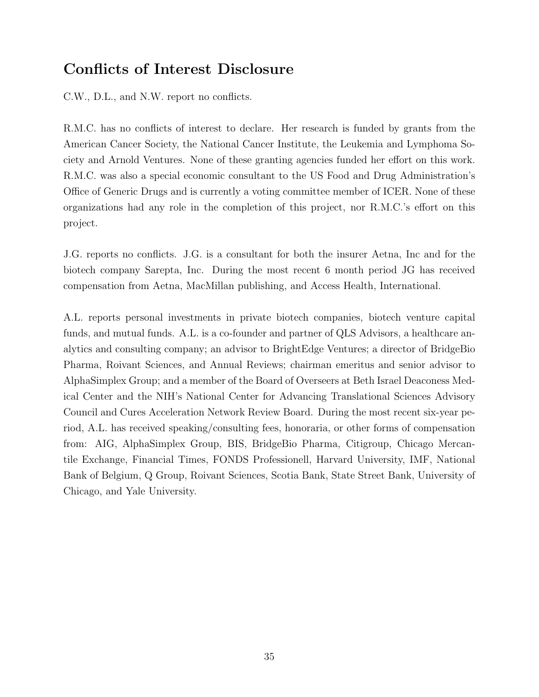# Conflicts of Interest Disclosure

C.W., D.L., and N.W. report no conflicts.

R.M.C. has no conflicts of interest to declare. Her research is funded by grants from the American Cancer Society, the National Cancer Institute, the Leukemia and Lymphoma Society and Arnold Ventures. None of these granting agencies funded her effort on this work. R.M.C. was also a special economic consultant to the US Food and Drug Administration's Office of Generic Drugs and is currently a voting committee member of ICER. None of these organizations had any role in the completion of this project, nor R.M.C.'s effort on this project.

J.G. reports no conflicts. J.G. is a consultant for both the insurer Aetna, Inc and for the biotech company Sarepta, Inc. During the most recent 6 month period JG has received compensation from Aetna, MacMillan publishing, and Access Health, International.

A.L. reports personal investments in private biotech companies, biotech venture capital funds, and mutual funds. A.L. is a co-founder and partner of QLS Advisors, a healthcare analytics and consulting company; an advisor to BrightEdge Ventures; a director of BridgeBio Pharma, Roivant Sciences, and Annual Reviews; chairman emeritus and senior advisor to AlphaSimplex Group; and a member of the Board of Overseers at Beth Israel Deaconess Medical Center and the NIH's National Center for Advancing Translational Sciences Advisory Council and Cures Acceleration Network Review Board. During the most recent six-year period, A.L. has received speaking/consulting fees, honoraria, or other forms of compensation from: AIG, AlphaSimplex Group, BIS, BridgeBio Pharma, Citigroup, Chicago Mercantile Exchange, Financial Times, FONDS Professionell, Harvard University, IMF, National Bank of Belgium, Q Group, Roivant Sciences, Scotia Bank, State Street Bank, University of Chicago, and Yale University.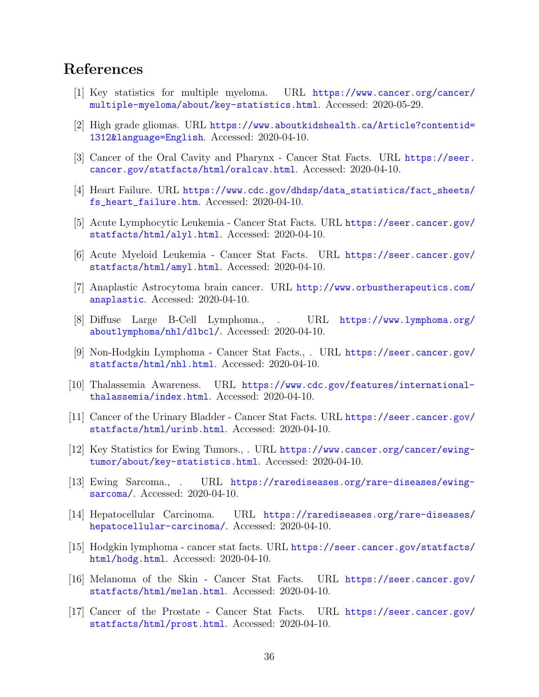## References

- [1] Key statistics for multiple myeloma. URL [https://www.cancer.org/cancer/](https://www.cancer.org/cancer/multiple-myeloma/about/key-statistics.html) [multiple-myeloma/about/key-statistics.html](https://www.cancer.org/cancer/multiple-myeloma/about/key-statistics.html). Accessed: 2020-05-29.
- [2] High grade gliomas. URL [https://www.aboutkidshealth.ca/Article?contentid=](https://www.aboutkidshealth.ca/Article?contentid=1312&language=English) [1312&language=English](https://www.aboutkidshealth.ca/Article?contentid=1312&language=English). Accessed: 2020-04-10.
- [3] Cancer of the Oral Cavity and Pharynx Cancer Stat Facts. URL [https://seer.](https://seer.cancer.gov/statfacts/html/oralcav.html) [cancer.gov/statfacts/html/oralcav.html](https://seer.cancer.gov/statfacts/html/oralcav.html). Accessed: 2020-04-10.
- [4] Heart Failure. URL [https://www.cdc.gov/dhdsp/data\\_statistics/fact\\_sheets/](https://www.cdc.gov/dhdsp/data_statistics/fact_sheets/fs_heart_failure.htm) [fs\\_heart\\_failure.htm](https://www.cdc.gov/dhdsp/data_statistics/fact_sheets/fs_heart_failure.htm). Accessed: 2020-04-10.
- [5] Acute Lymphocytic Leukemia Cancer Stat Facts. URL [https://seer.cancer.gov/](https://seer.cancer.gov/statfacts/html/alyl.html) [statfacts/html/alyl.html](https://seer.cancer.gov/statfacts/html/alyl.html). Accessed: 2020-04-10.
- [6] Acute Myeloid Leukemia Cancer Stat Facts. URL [https://seer.cancer.gov/](https://seer.cancer.gov/statfacts/html/amyl.html) [statfacts/html/amyl.html](https://seer.cancer.gov/statfacts/html/amyl.html). Accessed: 2020-04-10.
- [7] Anaplastic Astrocytoma brain cancer. URL [http://www.orbustherapeutics.com/](http://www.orbustherapeutics.com/anaplastic) [anaplastic](http://www.orbustherapeutics.com/anaplastic). Accessed: 2020-04-10.
- [8] Diffuse Large B-Cell Lymphoma., . URL [https://www.lymphoma.org/](https://www.lymphoma.org/aboutlymphoma/nhl/dlbcl/) [aboutlymphoma/nhl/dlbcl/](https://www.lymphoma.org/aboutlymphoma/nhl/dlbcl/). Accessed: 2020-04-10.
- [9] Non-Hodgkin Lymphoma Cancer Stat Facts., . URL [https://seer.cancer.gov/](https://seer.cancer.gov/statfacts/html/nhl.html) [statfacts/html/nhl.html](https://seer.cancer.gov/statfacts/html/nhl.html). Accessed: 2020-04-10.
- [10] Thalassemia Awareness. URL [https://www.cdc.gov/features/international](https://www.cdc.gov/features/international-thalassemia/index.html)[thalassemia/index.html](https://www.cdc.gov/features/international-thalassemia/index.html). Accessed: 2020-04-10.
- [11] Cancer of the Urinary Bladder Cancer Stat Facts. URL [https://seer.cancer.gov/](https://seer.cancer.gov/statfacts/html/urinb.html) [statfacts/html/urinb.html](https://seer.cancer.gov/statfacts/html/urinb.html). Accessed: 2020-04-10.
- [12] Key Statistics for Ewing Tumors., . URL [https://www.cancer.org/cancer/ewing](https://www.cancer.org/cancer/ewing-tumor/about/key-statistics.html)[tumor/about/key-statistics.html](https://www.cancer.org/cancer/ewing-tumor/about/key-statistics.html). Accessed: 2020-04-10.
- [13] Ewing Sarcoma., . URL [https://rarediseases.org/rare-diseases/ewing](https://rarediseases.org/rare-diseases/ewing-sarcoma/)[sarcoma/](https://rarediseases.org/rare-diseases/ewing-sarcoma/). Accessed: 2020-04-10.
- [14] Hepatocellular Carcinoma. URL [https://rarediseases.org/rare-diseases/](https://rarediseases.org/rare-diseases/hepatocellular-carcinoma/) [hepatocellular-carcinoma/](https://rarediseases.org/rare-diseases/hepatocellular-carcinoma/). Accessed: 2020-04-10.
- [15] Hodgkin lymphoma cancer stat facts. URL [https://seer.cancer.gov/statfacts/](https://seer.cancer.gov/statfacts/html/hodg.html) [html/hodg.html](https://seer.cancer.gov/statfacts/html/hodg.html). Accessed: 2020-04-10.
- [16] Melanoma of the Skin Cancer Stat Facts. URL [https://seer.cancer.gov/](https://seer.cancer.gov/statfacts/html/melan.html) [statfacts/html/melan.html](https://seer.cancer.gov/statfacts/html/melan.html). Accessed: 2020-04-10.
- [17] Cancer of the Prostate Cancer Stat Facts. URL [https://seer.cancer.gov/](https://seer.cancer.gov/statfacts/html/prost.html) [statfacts/html/prost.html](https://seer.cancer.gov/statfacts/html/prost.html). Accessed: 2020-04-10.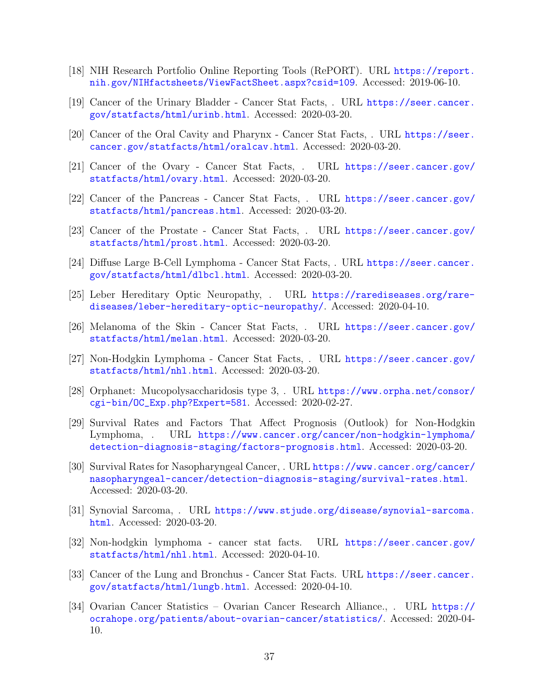- [18] NIH Research Portfolio Online Reporting Tools (RePORT). URL [https://report.](https://report.nih.gov/NIHfactsheets/ViewFactSheet.aspx?csid=109) [nih.gov/NIHfactsheets/ViewFactSheet.aspx?csid=109](https://report.nih.gov/NIHfactsheets/ViewFactSheet.aspx?csid=109). Accessed: 2019-06-10.
- [19] Cancer of the Urinary Bladder Cancer Stat Facts, . URL [https://seer.cancer.](https://seer.cancer.gov/statfacts/html/urinb.html) [gov/statfacts/html/urinb.html](https://seer.cancer.gov/statfacts/html/urinb.html). Accessed: 2020-03-20.
- [20] Cancer of the Oral Cavity and Pharynx Cancer Stat Facts, . URL [https://seer.](https://seer.cancer.gov/statfacts/html/oralcav.html) [cancer.gov/statfacts/html/oralcav.html](https://seer.cancer.gov/statfacts/html/oralcav.html). Accessed: 2020-03-20.
- [21] Cancer of the Ovary Cancer Stat Facts, . URL [https://seer.cancer.gov/](https://seer.cancer.gov/statfacts/html/ovary.html) [statfacts/html/ovary.html](https://seer.cancer.gov/statfacts/html/ovary.html). Accessed: 2020-03-20.
- [22] Cancer of the Pancreas Cancer Stat Facts, . URL [https://seer.cancer.gov/](https://seer.cancer.gov/statfacts/html/pancreas.html) [statfacts/html/pancreas.html](https://seer.cancer.gov/statfacts/html/pancreas.html). Accessed: 2020-03-20.
- [23] Cancer of the Prostate Cancer Stat Facts, . URL [https://seer.cancer.gov/](https://seer.cancer.gov/statfacts/html/prost.html) [statfacts/html/prost.html](https://seer.cancer.gov/statfacts/html/prost.html). Accessed: 2020-03-20.
- [24] Diffuse Large B-Cell Lymphoma Cancer Stat Facts, . URL [https://seer.cancer.](https://seer.cancer.gov/statfacts/html/dlbcl.html) [gov/statfacts/html/dlbcl.html](https://seer.cancer.gov/statfacts/html/dlbcl.html). Accessed: 2020-03-20.
- [25] Leber Hereditary Optic Neuropathy, . URL [https://rarediseases.org/rare](https://rarediseases.org/rare-diseases/leber-hereditary-optic-neuropathy/)[diseases/leber-hereditary-optic-neuropathy/](https://rarediseases.org/rare-diseases/leber-hereditary-optic-neuropathy/). Accessed: 2020-04-10.
- [26] Melanoma of the Skin Cancer Stat Facts, . URL [https://seer.cancer.gov/](https://seer.cancer.gov/statfacts/html/melan.html) [statfacts/html/melan.html](https://seer.cancer.gov/statfacts/html/melan.html). Accessed: 2020-03-20.
- [27] Non-Hodgkin Lymphoma Cancer Stat Facts, . URL [https://seer.cancer.gov/](https://seer.cancer.gov/statfacts/html/nhl.html) [statfacts/html/nhl.html](https://seer.cancer.gov/statfacts/html/nhl.html). Accessed: 2020-03-20.
- [28] Orphanet: Mucopolysaccharidosis type 3, . URL [https://www.orpha.net/consor/](https://www.orpha.net/consor/cgi-bin/OC_Exp.php?Expert=581) [cgi-bin/OC\\_Exp.php?Expert=581](https://www.orpha.net/consor/cgi-bin/OC_Exp.php?Expert=581). Accessed: 2020-02-27.
- [29] Survival Rates and Factors That Affect Prognosis (Outlook) for Non-Hodgkin Lymphoma, . URL [https://www.cancer.org/cancer/non-hodgkin-lymphoma/](https://www.cancer.org/cancer/non-hodgkin-lymphoma/detection-diagnosis-staging/factors-prognosis.html) [detection-diagnosis-staging/factors-prognosis.html](https://www.cancer.org/cancer/non-hodgkin-lymphoma/detection-diagnosis-staging/factors-prognosis.html). Accessed: 2020-03-20.
- [30] Survival Rates for Nasopharyngeal Cancer, . URL [https://www.cancer.org/cancer/](https://www.cancer.org/cancer/nasopharyngeal-cancer/detection-diagnosis-staging/survival-rates.html) [nasopharyngeal-cancer/detection-diagnosis-staging/survival-rates.html](https://www.cancer.org/cancer/nasopharyngeal-cancer/detection-diagnosis-staging/survival-rates.html). Accessed: 2020-03-20.
- [31] Synovial Sarcoma, . URL [https://www.stjude.org/disease/synovial-sarcoma.](https://www.stjude.org/disease/synovial-sarcoma.html) [html](https://www.stjude.org/disease/synovial-sarcoma.html). Accessed: 2020-03-20.
- [32] Non-hodgkin lymphoma cancer stat facts. URL [https://seer.cancer.gov/](https://seer.cancer.gov/statfacts/html/nhl.html) [statfacts/html/nhl.html](https://seer.cancer.gov/statfacts/html/nhl.html). Accessed: 2020-04-10.
- [33] Cancer of the Lung and Bronchus Cancer Stat Facts. URL [https://seer.cancer.](https://seer.cancer.gov/statfacts/html/lungb.html) [gov/statfacts/html/lungb.html](https://seer.cancer.gov/statfacts/html/lungb.html). Accessed: 2020-04-10.
- [34] Ovarian Cancer Statistics Ovarian Cancer Research Alliance., . URL [https://](https://ocrahope.org/patients/about-ovarian-cancer/statistics/) [ocrahope.org/patients/about-ovarian-cancer/statistics/](https://ocrahope.org/patients/about-ovarian-cancer/statistics/). Accessed: 2020-04- 10.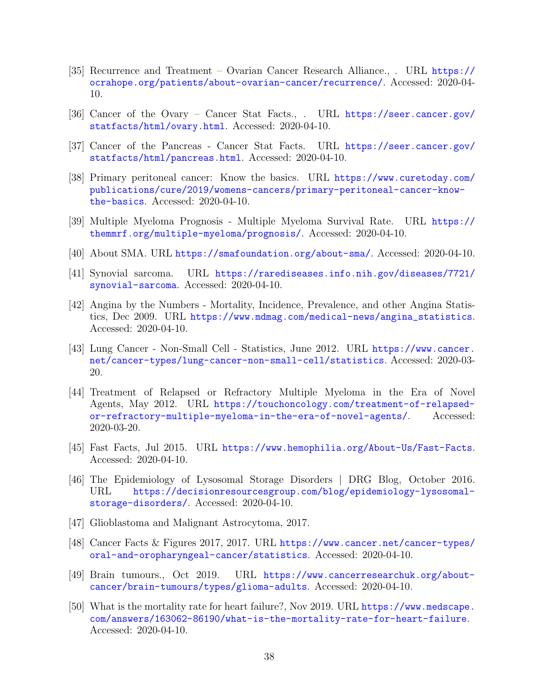- [35] Recurrence and Treatment Ovarian Cancer Research Alliance., . URL [https://](https://ocrahope.org/patients/about-ovarian-cancer/recurrence/) [ocrahope.org/patients/about-ovarian-cancer/recurrence/](https://ocrahope.org/patients/about-ovarian-cancer/recurrence/). Accessed: 2020-04- 10.
- [36] Cancer of the Ovary Cancer Stat Facts., . URL [https://seer.cancer.gov/](https://seer.cancer.gov/statfacts/html/ovary.html) [statfacts/html/ovary.html](https://seer.cancer.gov/statfacts/html/ovary.html). Accessed: 2020-04-10.
- [37] Cancer of the Pancreas Cancer Stat Facts. URL [https://seer.cancer.gov/](https://seer.cancer.gov/statfacts/html/pancreas.html) [statfacts/html/pancreas.html](https://seer.cancer.gov/statfacts/html/pancreas.html). Accessed: 2020-04-10.
- [38] Primary peritoneal cancer: Know the basics. URL [https://www.curetoday.com/](https://www.curetoday.com/publications/cure/2019/womens-cancers/primary-peritoneal-cancer-know-the-basics) [publications/cure/2019/womens-cancers/primary-peritoneal-cancer-know](https://www.curetoday.com/publications/cure/2019/womens-cancers/primary-peritoneal-cancer-know-the-basics)[the-basics](https://www.curetoday.com/publications/cure/2019/womens-cancers/primary-peritoneal-cancer-know-the-basics). Accessed: 2020-04-10.
- [39] Multiple Myeloma Prognosis Multiple Myeloma Survival Rate. URL [https://](https://themmrf.org/multiple-myeloma/prognosis/) [themmrf.org/multiple-myeloma/prognosis/](https://themmrf.org/multiple-myeloma/prognosis/). Accessed: 2020-04-10.
- [40] About SMA. URL <https://smafoundation.org/about-sma/>. Accessed: 2020-04-10.
- [41] Synovial sarcoma. URL [https://rarediseases.info.nih.gov/diseases/7721/](https://rarediseases.info.nih.gov/diseases/7721/synovial-sarcoma) [synovial-sarcoma](https://rarediseases.info.nih.gov/diseases/7721/synovial-sarcoma). Accessed: 2020-04-10.
- [42] Angina by the Numbers Mortality, Incidence, Prevalence, and other Angina Statistics, Dec 2009. URL [https://www.mdmag.com/medical-news/angina\\_statistics](https://www.mdmag.com/medical-news/angina_statistics). Accessed: 2020-04-10.
- [43] Lung Cancer Non-Small Cell Statistics, June 2012. URL [https://www.cancer.](https://www.cancer.net/cancer-types/lung-cancer-non-small-cell/statistics) [net/cancer-types/lung-cancer-non-small-cell/statistics](https://www.cancer.net/cancer-types/lung-cancer-non-small-cell/statistics). Accessed: 2020-03- 20.
- [44] Treatment of Relapsed or Refractory Multiple Myeloma in the Era of Novel Agents, May 2012. URL [https://touchoncology.com/treatment-of-relapsed](https://touchoncology.com/treatment-of-relapsed-or-refractory-multiple-myeloma-in-the-era-of-novel-agents/)[or-refractory-multiple-myeloma-in-the-era-of-novel-agents/](https://touchoncology.com/treatment-of-relapsed-or-refractory-multiple-myeloma-in-the-era-of-novel-agents/). Accessed: 2020-03-20.
- [45] Fast Facts, Jul 2015. URL <https://www.hemophilia.org/About-Us/Fast-Facts>. Accessed: 2020-04-10.
- [46] The Epidemiology of Lysosomal Storage Disorders | DRG Blog, October 2016.<br>URL https://decisionresourcesgroup.com/blog/epidemiology-lysosomal[https://decisionresourcesgroup.com/blog/epidemiology-lysosomal](https://decisionresourcesgroup.com/blog/epidemiology-lysosomal-storage-disorders/)[storage-disorders/](https://decisionresourcesgroup.com/blog/epidemiology-lysosomal-storage-disorders/). Accessed: 2020-04-10.
- [47] Glioblastoma and Malignant Astrocytoma, 2017.
- [48] Cancer Facts & Figures 2017, 2017. URL [https://www.cancer.net/cancer-types/](https://www.cancer.net/cancer-types/oral-and-oropharyngeal-cancer/statistics) [oral-and-oropharyngeal-cancer/statistics](https://www.cancer.net/cancer-types/oral-and-oropharyngeal-cancer/statistics). Accessed: 2020-04-10.
- [49] Brain tumours., Oct 2019. URL [https://www.cancerresearchuk.org/about](https://www.cancerresearchuk.org/about-cancer/brain-tumours/types/glioma-adults)[cancer/brain-tumours/types/glioma-adults](https://www.cancerresearchuk.org/about-cancer/brain-tumours/types/glioma-adults). Accessed: 2020-04-10.
- [50] What is the mortality rate for heart failure?, Nov 2019. URL [https://www.medscape.](https://www.medscape.com/answers/163062-86190/what-is-the-mortality-rate-for-heart-failure) [com/answers/163062-86190/what-is-the-mortality-rate-for-heart-failure](https://www.medscape.com/answers/163062-86190/what-is-the-mortality-rate-for-heart-failure). Accessed: 2020-04-10.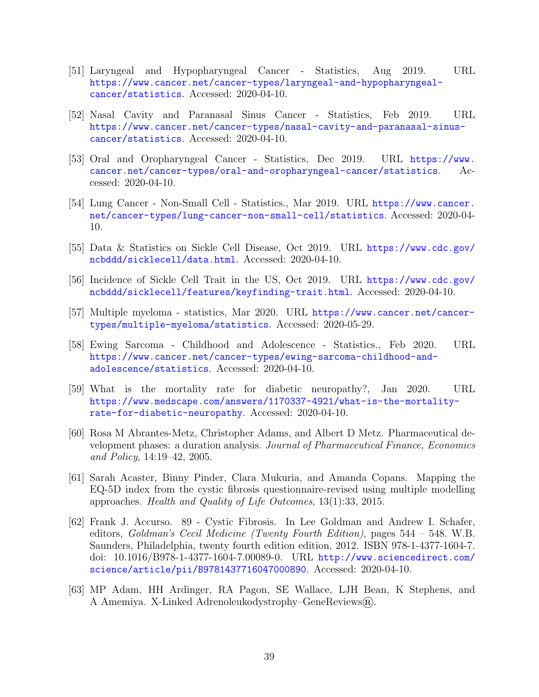- [51] Laryngeal and Hypopharyngeal Cancer Statistics, Aug 2019. URL [https://www.cancer.net/cancer-types/laryngeal-and-hypopharyngeal](https://www.cancer.net/cancer-types/laryngeal-and-hypopharyngeal-cancer/statistics)[cancer/statistics](https://www.cancer.net/cancer-types/laryngeal-and-hypopharyngeal-cancer/statistics). Accessed: 2020-04-10.
- [52] Nasal Cavity and Paranasal Sinus Cancer Statistics, Feb 2019. URL [https://www.cancer.net/cancer-types/nasal-cavity-and-paranasal-sinus](https://www.cancer.net/cancer-types/nasal-cavity-and-paranasal-sinus-cancer/statistics)[cancer/statistics](https://www.cancer.net/cancer-types/nasal-cavity-and-paranasal-sinus-cancer/statistics). Accessed: 2020-04-10.
- [53] Oral and Oropharyngeal Cancer Statistics, Dec 2019. URL [https://www.](https://www.cancer.net/cancer-types/oral-and-oropharyngeal-cancer/statistics) [cancer.net/cancer-types/oral-and-oropharyngeal-cancer/statistics](https://www.cancer.net/cancer-types/oral-and-oropharyngeal-cancer/statistics). Accessed: 2020-04-10.
- [54] Lung Cancer Non-Small Cell Statistics., Mar 2019. URL [https://www.cancer.](https://www.cancer.net/cancer-types/lung-cancer-non-small-cell/statistics) [net/cancer-types/lung-cancer-non-small-cell/statistics](https://www.cancer.net/cancer-types/lung-cancer-non-small-cell/statistics). Accessed: 2020-04- 10.
- [55] Data & Statistics on Sickle Cell Disease, Oct 2019. URL [https://www.cdc.gov/](https://www.cdc.gov/ncbddd/sicklecell/data.html) [ncbddd/sicklecell/data.html](https://www.cdc.gov/ncbddd/sicklecell/data.html). Accessed: 2020-04-10.
- [56] Incidence of Sickle Cell Trait in the US, Oct 2019. URL [https://www.cdc.gov/](https://www.cdc.gov/ncbddd/sicklecell/features/keyfinding-trait.html) [ncbddd/sicklecell/features/keyfinding-trait.html](https://www.cdc.gov/ncbddd/sicklecell/features/keyfinding-trait.html). Accessed: 2020-04-10.
- [57] Multiple myeloma statistics, Mar 2020. URL [https://www.cancer.net/cancer](https://www.cancer.net/cancer-types/multiple-myeloma/statistics)[types/multiple-myeloma/statistics](https://www.cancer.net/cancer-types/multiple-myeloma/statistics). Accessed: 2020-05-29.
- [58] Ewing Sarcoma Childhood and Adolescence Statistics., Feb 2020. URL [https://www.cancer.net/cancer-types/ewing-sarcoma-childhood-and](https://www.cancer.net/cancer-types/ewing-sarcoma-childhood-and-adolescence/statistics)[adolescence/statistics](https://www.cancer.net/cancer-types/ewing-sarcoma-childhood-and-adolescence/statistics). Accessed: 2020-04-10.
- [59] What is the mortality rate for diabetic neuropathy?, Jan 2020. URL [https://www.medscape.com/answers/1170337-4921/what-is-the-mortality](https://www.medscape.com/answers/1170337-4921/what-is-the-mortality-rate-for-diabetic-neuropathy)[rate-for-diabetic-neuropathy](https://www.medscape.com/answers/1170337-4921/what-is-the-mortality-rate-for-diabetic-neuropathy). Accessed: 2020-04-10.
- <span id="page-40-0"></span>[60] Rosa M Abrantes-Metz, Christopher Adams, and Albert D Metz. Pharmaceutical development phases: a duration analysis. Journal of Pharmaceutical Finance, Economics and Policy, 14:19–42, 2005.
- [61] Sarah Acaster, Binny Pinder, Clara Mukuria, and Amanda Copans. Mapping the EQ-5D index from the cystic fibrosis questionnaire-revised using multiple modelling approaches. Health and Quality of Life Outcomes, 13(1):33, 2015.
- [62] Frank J. Accurso. 89 Cystic Fibrosis. In Lee Goldman and Andrew I. Schafer, editors, Goldman's Cecil Medicine (Twenty Fourth Edition), pages 544 – 548. W.B. Saunders, Philadelphia, twenty fourth edition edition, 2012. ISBN 978-1-4377-1604-7. doi: 10.1016/B978-1-4377-1604-7.00089-0. URL [http://www.sciencedirect.com/](http://www.sciencedirect.com/science/article/pii/B9781437716047000890) [science/article/pii/B9781437716047000890](http://www.sciencedirect.com/science/article/pii/B9781437716047000890). Accessed: 2020-04-10.
- [63] MP Adam, HH Ardinger, RA Pagon, SE Wallace, LJH Bean, K Stephens, and A Amemiya. X-Linked Adrenoleukodystrophy–GeneReviews(R).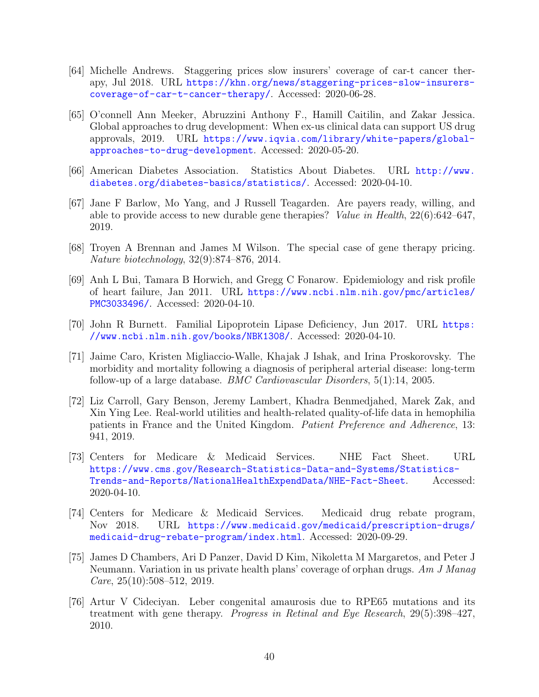- [64] Michelle Andrews. Staggering prices slow insurers' coverage of car-t cancer therapy, Jul 2018. URL [https://khn.org/news/staggering-prices-slow-insurers](https://khn.org/news/staggering-prices-slow-insurers-coverage-of-car-t-cancer-therapy/)[coverage-of-car-t-cancer-therapy/](https://khn.org/news/staggering-prices-slow-insurers-coverage-of-car-t-cancer-therapy/). Accessed: 2020-06-28.
- [65] O'connell Ann Meeker, Abruzzini Anthony F., Hamill Caitilin, and Zakar Jessica. Global approaches to drug development: When ex-us clinical data can support US drug approvals, 2019. URL [https://www.iqvia.com/library/white-papers/global](https://www.iqvia.com/library/white-papers/global-approaches-to-drug-development)[approaches-to-drug-development](https://www.iqvia.com/library/white-papers/global-approaches-to-drug-development). Accessed: 2020-05-20.
- [66] American Diabetes Association. Statistics About Diabetes. URL [http://www.](http://www.diabetes.org/diabetes-basics/statistics/) [diabetes.org/diabetes-basics/statistics/](http://www.diabetes.org/diabetes-basics/statistics/). Accessed: 2020-04-10.
- [67] Jane F Barlow, Mo Yang, and J Russell Teagarden. Are payers ready, willing, and able to provide access to new durable gene therapies? Value in Health, 22(6):642–647, 2019.
- [68] Troyen A Brennan and James M Wilson. The special case of gene therapy pricing. Nature biotechnology, 32(9):874–876, 2014.
- [69] Anh L Bui, Tamara B Horwich, and Gregg C Fonarow. Epidemiology and risk profile of heart failure, Jan 2011. URL [https://www.ncbi.nlm.nih.gov/pmc/articles/](https://www.ncbi.nlm.nih.gov/pmc/articles/PMC3033496/) [PMC3033496/](https://www.ncbi.nlm.nih.gov/pmc/articles/PMC3033496/). Accessed: 2020-04-10.
- [70] John R Burnett. Familial Lipoprotein Lipase Deficiency, Jun 2017. URL [https:](https://www.ncbi.nlm.nih.gov/books/NBK1308/) [//www.ncbi.nlm.nih.gov/books/NBK1308/](https://www.ncbi.nlm.nih.gov/books/NBK1308/). Accessed: 2020-04-10.
- [71] Jaime Caro, Kristen Migliaccio-Walle, Khajak J Ishak, and Irina Proskorovsky. The morbidity and mortality following a diagnosis of peripheral arterial disease: long-term follow-up of a large database. *BMC Cardiovascular Disorders*,  $5(1)$ :14, 2005.
- [72] Liz Carroll, Gary Benson, Jeremy Lambert, Khadra Benmedjahed, Marek Zak, and Xin Ying Lee. Real-world utilities and health-related quality-of-life data in hemophilia patients in France and the United Kingdom. Patient Preference and Adherence, 13: 941, 2019.
- [73] Centers for Medicare & Medicaid Services. NHE Fact Sheet. URL [https://www.cms.gov/Research-Statistics-Data-and-Systems/Statistics-](https://www.cms.gov/Research-Statistics-Data-and-Systems/Statistics-Trends-and-Reports/NationalHealthExpendData/NHE-Fact-Sheet)[Trends-and-Reports/NationalHealthExpendData/NHE-Fact-Sheet](https://www.cms.gov/Research-Statistics-Data-and-Systems/Statistics-Trends-and-Reports/NationalHealthExpendData/NHE-Fact-Sheet). Accessed: 2020-04-10.
- [74] Centers for Medicare & Medicaid Services. Medicaid drug rebate program, Nov 2018. URL [https://www.medicaid.gov/medicaid/prescription-drugs/](https://www.medicaid.gov/medicaid/prescription-drugs/medicaid-drug-rebate-program/index.html) [medicaid-drug-rebate-program/index.html](https://www.medicaid.gov/medicaid/prescription-drugs/medicaid-drug-rebate-program/index.html). Accessed: 2020-09-29.
- [75] James D Chambers, Ari D Panzer, David D Kim, Nikoletta M Margaretos, and Peter J Neumann. Variation in us private health plans' coverage of orphan drugs. Am J Manag Care,  $25(10):508-512$ ,  $2019$ .
- [76] Artur V Cideciyan. Leber congenital amaurosis due to RPE65 mutations and its treatment with gene therapy. Progress in Retinal and Eye Research, 29(5):398–427, 2010.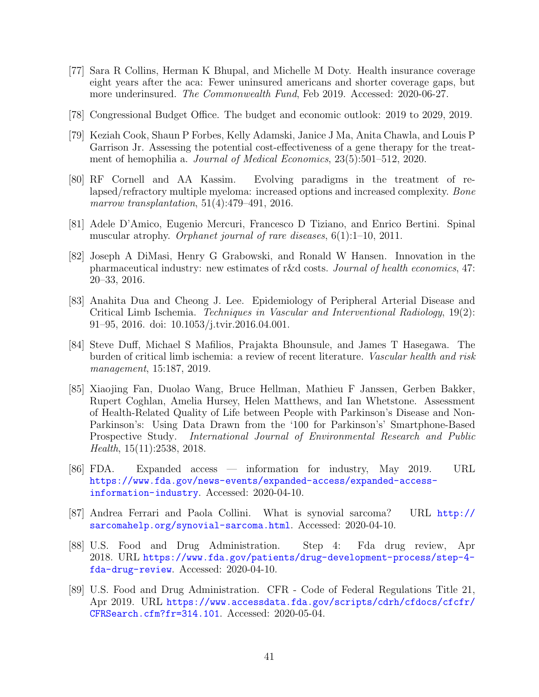- [77] Sara R Collins, Herman K Bhupal, and Michelle M Doty. Health insurance coverage eight years after the aca: Fewer uninsured americans and shorter coverage gaps, but more underinsured. The Commonwealth Fund, Feb 2019. Accessed: 2020-06-27.
- [78] Congressional Budget Office. The budget and economic outlook: 2019 to 2029, 2019.
- [79] Keziah Cook, Shaun P Forbes, Kelly Adamski, Janice J Ma, Anita Chawla, and Louis P Garrison Jr. Assessing the potential cost-effectiveness of a gene therapy for the treatment of hemophilia a. Journal of Medical Economics, 23(5):501–512, 2020.
- [80] RF Cornell and AA Kassim. Evolving paradigms in the treatment of relapsed/refractory multiple myeloma: increased options and increased complexity. Bone marrow transplantation, 51(4):479–491, 2016.
- [81] Adele D'Amico, Eugenio Mercuri, Francesco D Tiziano, and Enrico Bertini. Spinal muscular atrophy. *Orphanet journal of rare diseases*,  $6(1):1-10$ , 2011.
- <span id="page-42-0"></span>[82] Joseph A DiMasi, Henry G Grabowski, and Ronald W Hansen. Innovation in the pharmaceutical industry: new estimates of r&d costs. Journal of health economics, 47: 20–33, 2016.
- [83] Anahita Dua and Cheong J. Lee. Epidemiology of Peripheral Arterial Disease and Critical Limb Ischemia. Techniques in Vascular and Interventional Radiology, 19(2): 91–95, 2016. doi: 10.1053/j.tvir.2016.04.001.
- [84] Steve Duff, Michael S Mafilios, Prajakta Bhounsule, and James T Hasegawa. The burden of critical limb ischemia: a review of recent literature. Vascular health and risk management, 15:187, 2019.
- [85] Xiaojing Fan, Duolao Wang, Bruce Hellman, Mathieu F Janssen, Gerben Bakker, Rupert Coghlan, Amelia Hursey, Helen Matthews, and Ian Whetstone. Assessment of Health-Related Quality of Life between People with Parkinson's Disease and Non-Parkinson's: Using Data Drawn from the '100 for Parkinson's' Smartphone-Based Prospective Study. International Journal of Environmental Research and Public Health, 15(11):2538, 2018.
- [86] FDA. Expanded access information for industry, May 2019. URL [https://www.fda.gov/news-events/expanded-access/expanded-access](https://www.fda.gov/news-events/expanded-access/expanded-access-information-industry)[information-industry](https://www.fda.gov/news-events/expanded-access/expanded-access-information-industry). Accessed: 2020-04-10.
- [87] Andrea Ferrari and Paola Collini. What is synovial sarcoma? URL [http://](http://sarcomahelp.org/synovial-sarcoma.html) [sarcomahelp.org/synovial-sarcoma.html](http://sarcomahelp.org/synovial-sarcoma.html). Accessed: 2020-04-10.
- [88] U.S. Food and Drug Administration. Step 4: Fda drug review, Apr 2018. URL [https://www.fda.gov/patients/drug-development-process/step-4](https://www.fda.gov/patients/drug-development-process/step-4-fda-drug-review) [fda-drug-review](https://www.fda.gov/patients/drug-development-process/step-4-fda-drug-review). Accessed: 2020-04-10.
- [89] U.S. Food and Drug Administration. CFR Code of Federal Regulations Title 21, Apr 2019. URL [https://www.accessdata.fda.gov/scripts/cdrh/cfdocs/cfcfr/](https://www.accessdata.fda.gov/scripts/cdrh/cfdocs/cfcfr/CFRSearch.cfm?fr=314.101) [CFRSearch.cfm?fr=314.101](https://www.accessdata.fda.gov/scripts/cdrh/cfdocs/cfcfr/CFRSearch.cfm?fr=314.101). Accessed: 2020-05-04.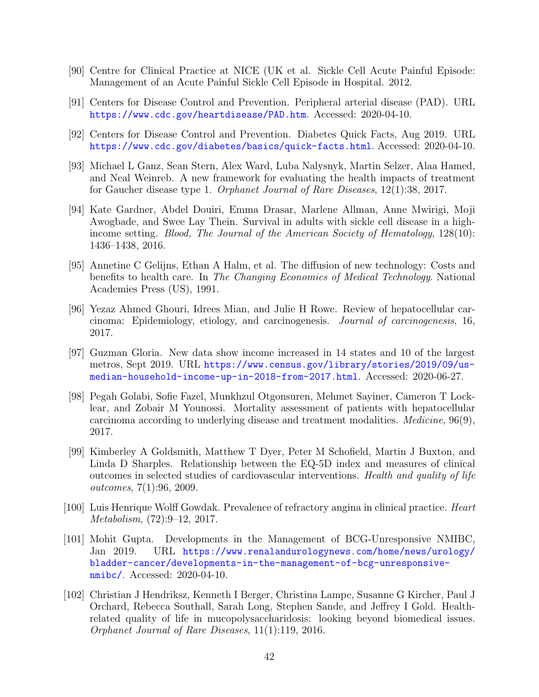- [90] Centre for Clinical Practice at NICE (UK et al. Sickle Cell Acute Painful Episode: Management of an Acute Painful Sickle Cell Episode in Hospital. 2012.
- [91] Centers for Disease Control and Prevention. Peripheral arterial disease (PAD). URL <https://www.cdc.gov/heartdisease/PAD.htm>. Accessed: 2020-04-10.
- [92] Centers for Disease Control and Prevention. Diabetes Quick Facts, Aug 2019. URL <https://www.cdc.gov/diabetes/basics/quick-facts.html>. Accessed: 2020-04-10.
- [93] Michael L Ganz, Sean Stern, Alex Ward, Luba Nalysnyk, Martin Selzer, Alaa Hamed, and Neal Weinreb. A new framework for evaluating the health impacts of treatment for Gaucher disease type 1. Orphanet Journal of Rare Diseases, 12(1):38, 2017.
- [94] Kate Gardner, Abdel Douiri, Emma Drasar, Marlene Allman, Anne Mwirigi, Moji Awogbade, and Swee Lay Thein. Survival in adults with sickle cell disease in a highincome setting. Blood, The Journal of the American Society of Hematology, 128(10): 1436–1438, 2016.
- [95] Annetine C Gelijns, Ethan A Halm, et al. The diffusion of new technology: Costs and benefits to health care. In The Changing Economics of Medical Technology. National Academies Press (US), 1991.
- [96] Yezaz Ahmed Ghouri, Idrees Mian, and Julie H Rowe. Review of hepatocellular carcinoma: Epidemiology, etiology, and carcinogenesis. Journal of carcinogenesis, 16, 2017.
- [97] Guzman Gloria. New data show income increased in 14 states and 10 of the largest metros, Sept 2019. URL [https://www.census.gov/library/stories/2019/09/us](https://www.census.gov/library/stories/2019/09/us-median-household-income-up-in-2018-from-2017.html)[median-household-income-up-in-2018-from-2017.html](https://www.census.gov/library/stories/2019/09/us-median-household-income-up-in-2018-from-2017.html). Accessed: 2020-06-27.
- [98] Pegah Golabi, Sofie Fazel, Munkhzul Otgonsuren, Mehmet Sayiner, Cameron T Locklear, and Zobair M Younossi. Mortality assessment of patients with hepatocellular carcinoma according to underlying disease and treatment modalities. Medicine, 96(9), 2017.
- [99] Kimberley A Goldsmith, Matthew T Dyer, Peter M Schofield, Martin J Buxton, and Linda D Sharples. Relationship between the EQ-5D index and measures of clinical outcomes in selected studies of cardiovascular interventions. Health and quality of life outcomes, 7(1):96, 2009.
- [100] Luis Henrique Wolff Gowdak. Prevalence of refractory angina in clinical practice. Heart Metabolism, (72):9–12, 2017.
- [101] Mohit Gupta. Developments in the Management of BCG-Unresponsive NMIBC, Jan 2019. URL [https://www.renalandurologynews.com/home/news/urology/](https://www.renalandurologynews.com/home/news/urology/bladder-cancer/developments-in-the-management-of-bcg-unresponsive-nmibc/) [bladder-cancer/developments-in-the-management-of-bcg-unresponsive](https://www.renalandurologynews.com/home/news/urology/bladder-cancer/developments-in-the-management-of-bcg-unresponsive-nmibc/)[nmibc/](https://www.renalandurologynews.com/home/news/urology/bladder-cancer/developments-in-the-management-of-bcg-unresponsive-nmibc/). Accessed: 2020-04-10.
- [102] Christian J Hendriksz, Kenneth I Berger, Christina Lampe, Susanne G Kircher, Paul J Orchard, Rebecca Southall, Sarah Long, Stephen Sande, and Jeffrey I Gold. Healthrelated quality of life in mucopolysaccharidosis: looking beyond biomedical issues. Orphanet Journal of Rare Diseases, 11(1):119, 2016.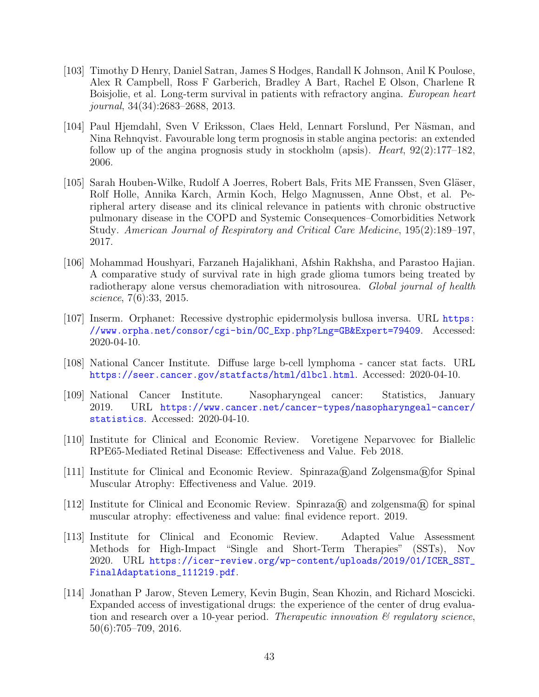- [103] Timothy D Henry, Daniel Satran, James S Hodges, Randall K Johnson, Anil K Poulose, Alex R Campbell, Ross F Garberich, Bradley A Bart, Rachel E Olson, Charlene R Boisjolie, et al. Long-term survival in patients with refractory angina. European heart journal, 34(34):2683–2688, 2013.
- [104] Paul Hjemdahl, Sven V Eriksson, Claes Held, Lennart Forslund, Per Näsman, and Nina Rehnqvist. Favourable long term prognosis in stable angina pectoris: an extended follow up of the angina prognosis study in stockholm (apsis). Heart,  $92(2):177-182$ , 2006.
- [105] Sarah Houben-Wilke, Rudolf A Joerres, Robert Bals, Frits ME Franssen, Sven Gläser, Rolf Holle, Annika Karch, Armin Koch, Helgo Magnussen, Anne Obst, et al. Peripheral artery disease and its clinical relevance in patients with chronic obstructive pulmonary disease in the COPD and Systemic Consequences–Comorbidities Network Study. American Journal of Respiratory and Critical Care Medicine, 195(2):189–197, 2017.
- [106] Mohammad Houshyari, Farzaneh Hajalikhani, Afshin Rakhsha, and Parastoo Hajian. A comparative study of survival rate in high grade glioma tumors being treated by radiotherapy alone versus chemoradiation with nitrosourea. Global journal of health science, 7(6):33, 2015.
- [107] Inserm. Orphanet: Recessive dystrophic epidermolysis bullosa inversa. URL [https:](https://www.orpha.net/consor/cgi-bin/OC_Exp.php?Lng=GB&Expert=79409) [//www.orpha.net/consor/cgi-bin/OC\\_Exp.php?Lng=GB&Expert=79409](https://www.orpha.net/consor/cgi-bin/OC_Exp.php?Lng=GB&Expert=79409). Accessed: 2020-04-10.
- [108] National Cancer Institute. Diffuse large b-cell lymphoma cancer stat facts. URL <https://seer.cancer.gov/statfacts/html/dlbcl.html>. Accessed: 2020-04-10.
- [109] National Cancer Institute. Nasopharyngeal cancer: Statistics, January 2019. URL [https://www.cancer.net/cancer-types/nasopharyngeal-cancer/](https://www.cancer.net/cancer-types/nasopharyngeal-cancer/statistics) [statistics](https://www.cancer.net/cancer-types/nasopharyngeal-cancer/statistics). Accessed: 2020-04-10.
- [110] Institute for Clinical and Economic Review. Voretigene Neparvovec for Biallelic RPE65-Mediated Retinal Disease: Effectiveness and Value. Feb 2018.
- [111] Institute for Clinical and Economic Review. Spinraza $\mathbb{R}$  and Zolgensma $\mathbb{R}$ for Spinal Muscular Atrophy: Effectiveness and Value. 2019.
- [112] Institute for Clinical and Economic Review. Spinraza $\mathbb{R}$  and zolgensma $\mathbb{R}$  for spinal muscular atrophy: effectiveness and value: final evidence report. 2019.
- [113] Institute for Clinical and Economic Review. Adapted Value Assessment Methods for High-Impact "Single and Short-Term Therapies" (SSTs), Nov 2020. URL [https://icer-review.org/wp-content/uploads/2019/01/ICER\\_SST\\_](https://icer-review.org/wp-content/uploads/2019/01/ICER_SST_FinalAdaptations_111219.pdf) [FinalAdaptations\\_111219.pdf](https://icer-review.org/wp-content/uploads/2019/01/ICER_SST_FinalAdaptations_111219.pdf).
- [114] Jonathan P Jarow, Steven Lemery, Kevin Bugin, Sean Khozin, and Richard Moscicki. Expanded access of investigational drugs: the experience of the center of drug evaluation and research over a 10-year period. Therapeutic innovation  $\mathcal{B}'$  regulatory science, 50(6):705–709, 2016.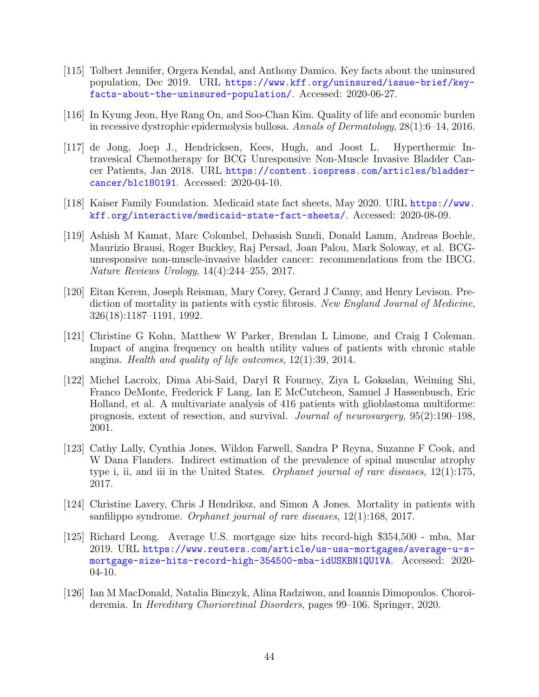- [115] Tolbert Jennifer, Orgera Kendal, and Anthony Damico. Key facts about the uninsured population, Dec 2019. URL [https://www.kff.org/uninsured/issue-brief/key](https://www.kff.org/uninsured/issue-brief/key-facts-about-the-uninsured-population/)[facts-about-the-uninsured-population/](https://www.kff.org/uninsured/issue-brief/key-facts-about-the-uninsured-population/). Accessed: 2020-06-27.
- [116] In Kyung Jeon, Hye Rang On, and Soo-Chan Kim. Quality of life and economic burden in recessive dystrophic epidermolysis bullosa. Annals of Dermatology, 28(1):6–14, 2016.
- [117] de Jong, Joep J., Hendricksen, Kees, Hugh, and Joost L. Hyperthermic Intravesical Chemotherapy for BCG Unresponsive Non-Muscle Invasive Bladder Cancer Patients, Jan 2018. URL [https://content.iospress.com/articles/bladder](https://content.iospress.com/articles/bladder-cancer/blc180191)[cancer/blc180191](https://content.iospress.com/articles/bladder-cancer/blc180191). Accessed: 2020-04-10.
- [118] Kaiser Family Foundation. Medicaid state fact sheets, May 2020. URL [https://www.](https://www.kff.org/interactive/medicaid-state-fact-sheets/) [kff.org/interactive/medicaid-state-fact-sheets/](https://www.kff.org/interactive/medicaid-state-fact-sheets/). Accessed: 2020-08-09.
- [119] Ashish M Kamat, Marc Colombel, Debasish Sundi, Donald Lamm, Andreas Boehle, Maurizio Brausi, Roger Buckley, Raj Persad, Joan Palou, Mark Soloway, et al. BCGunresponsive non-muscle-invasive bladder cancer: recommendations from the IBCG. Nature Reviews Urology, 14(4):244–255, 2017.
- [120] Eitan Kerem, Joseph Reisman, Mary Corey, Gerard J Canny, and Henry Levison. Prediction of mortality in patients with cystic fibrosis. New England Journal of Medicine, 326(18):1187–1191, 1992.
- [121] Christine G Kohn, Matthew W Parker, Brendan L Limone, and Craig I Coleman. Impact of angina frequency on health utility values of patients with chronic stable angina. Health and quality of life outcomes,  $12(1):39$ ,  $2014$ .
- [122] Michel Lacroix, Dima Abi-Said, Daryl R Fourney, Ziya L Gokaslan, Weiming Shi, Franco DeMonte, Frederick F Lang, Ian E McCutcheon, Samuel J Hassenbusch, Eric Holland, et al. A multivariate analysis of 416 patients with glioblastoma multiforme: prognosis, extent of resection, and survival. Journal of neurosurgery, 95(2):190–198, 2001.
- [123] Cathy Lally, Cynthia Jones, Wildon Farwell, Sandra P Reyna, Suzanne F Cook, and W Dana Flanders. Indirect estimation of the prevalence of spinal muscular atrophy type i, ii, and iii in the United States. Orphanet journal of rare diseases,  $12(1):175$ , 2017.
- [124] Christine Lavery, Chris J Hendriksz, and Simon A Jones. Mortality in patients with sanfilippo syndrome. Orphanet journal of rare diseases, 12(1):168, 2017.
- [125] Richard Leong. Average U.S. mortgage size hits record-high \$354,500 mba, Mar 2019. URL [https://www.reuters.com/article/us-usa-mortgages/average-u-s](https://www.reuters.com/article/us-usa-mortgages/average-u-s-mortgage-size-hits-record-high-354500-mba-idUSKBN1QU1VA)[mortgage-size-hits-record-high-354500-mba-idUSKBN1QU1VA](https://www.reuters.com/article/us-usa-mortgages/average-u-s-mortgage-size-hits-record-high-354500-mba-idUSKBN1QU1VA). Accessed: 2020- 04-10.
- [126] Ian M MacDonald, Natalia Binczyk, Alina Radziwon, and Ioannis Dimopoulos. Choroideremia. In Hereditary Chorioretinal Disorders, pages 99–106. Springer, 2020.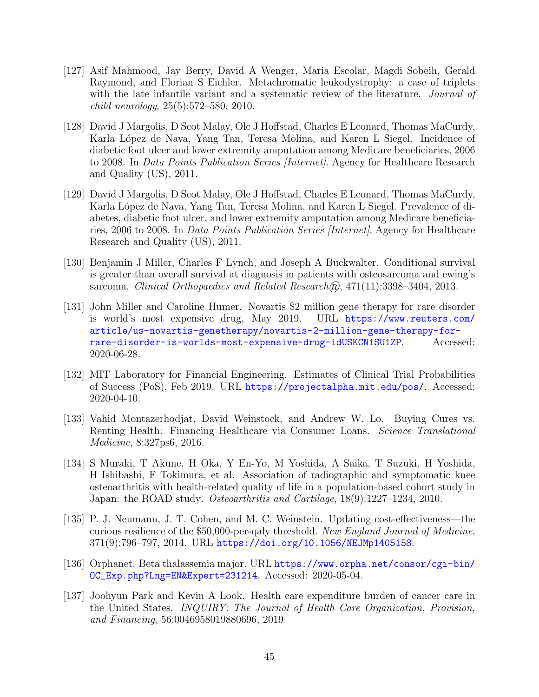- [127] Asif Mahmood, Jay Berry, David A Wenger, Maria Escolar, Magdi Sobeih, Gerald Raymond, and Florian S Eichler. Metachromatic leukodystrophy: a case of triplets with the late infantile variant and a systematic review of the literature. *Journal of* child neurology, 25(5):572–580, 2010.
- [128] David J Margolis, D Scot Malay, Ole J Hoffstad, Charles E Leonard, Thomas MaCurdy, Karla López de Nava, Yang Tan, Teresa Molina, and Karen L Siegel. Incidence of diabetic foot ulcer and lower extremity amputation among Medicare beneficiaries, 2006 to 2008. In *Data Points Publication Series [Internet]*. Agency for Healthcare Research and Quality (US), 2011.
- [129] David J Margolis, D Scot Malay, Ole J Hoffstad, Charles E Leonard, Thomas MaCurdy, Karla López de Nava, Yang Tan, Teresa Molina, and Karen L Siegel. Prevalence of diabetes, diabetic foot ulcer, and lower extremity amputation among Medicare beneficiaries, 2006 to 2008. In *Data Points Publication Series [Internet]*. Agency for Healthcare Research and Quality (US), 2011.
- [130] Benjamin J Miller, Charles F Lynch, and Joseph A Buckwalter. Conditional survival is greater than overall survival at diagnosis in patients with osteosarcoma and ewing's sarcoma. Clinical Orthopaedics and Related Research $\hat{R}$ , 471(11):3398–3404, 2013.
- [131] John Miller and Caroline Humer. Novartis \$2 million gene therapy for rare disorder is world's most expensive drug, May 2019. URL [https://www.reuters.com/](https://www.reuters.com/article/us-novartis-genetherapy/novartis-2-million-gene-therapy-for-rare-disorder-is-worlds-most-expensive-drug-idUSKCN1SU1ZP) [article/us-novartis-genetherapy/novartis-2-million-gene-therapy-for](https://www.reuters.com/article/us-novartis-genetherapy/novartis-2-million-gene-therapy-for-rare-disorder-is-worlds-most-expensive-drug-idUSKCN1SU1ZP)[rare-disorder-is-worlds-most-expensive-drug-idUSKCN1SU1ZP](https://www.reuters.com/article/us-novartis-genetherapy/novartis-2-million-gene-therapy-for-rare-disorder-is-worlds-most-expensive-drug-idUSKCN1SU1ZP). Accessed: 2020-06-28.
- [132] MIT Laboratory for Financial Engineering. Estimates of Clinical Trial Probabilities of Success (PoS), Feb 2019. URL <https://projectalpha.mit.edu/pos/>. Accessed: 2020-04-10.
- [133] Vahid Montazerhodjat, David Weinstock, and Andrew W. Lo. Buying Cures vs. Renting Health: Financing Healthcare via Consumer Loans. Science Translational Medicine, 8:327ps6, 2016.
- [134] S Muraki, T Akune, H Oka, Y En-Yo, M Yoshida, A Saika, T Suzuki, H Yoshida, H Ishibashi, F Tokimura, et al. Association of radiographic and symptomatic knee osteoarthritis with health-related quality of life in a population-based cohort study in Japan: the ROAD study. Osteoarthritis and Cartilage, 18(9):1227–1234, 2010.
- [135] P. J. Neumann, J. T. Cohen, and M. C. Weinstein. Updating cost-effectiveness—the curious resilience of the \$50,000-per-qaly threshold. New England Journal of Medicine, 371(9):796–797, 2014. URL <https://doi.org/10.1056/NEJMp1405158>.
- [136] Orphanet. Beta thalassemia major. URL [https://www.orpha.net/consor/cgi-bin/](https://www.orpha.net/consor/cgi-bin/OC_Exp.php?Lng=EN&Expert=231214) [OC\\_Exp.php?Lng=EN&Expert=231214](https://www.orpha.net/consor/cgi-bin/OC_Exp.php?Lng=EN&Expert=231214). Accessed: 2020-05-04.
- [137] Joohyun Park and Kevin A Look. Health care expenditure burden of cancer care in the United States. INQUIRY: The Journal of Health Care Organization, Provision, and Financing, 56:0046958019880696, 2019.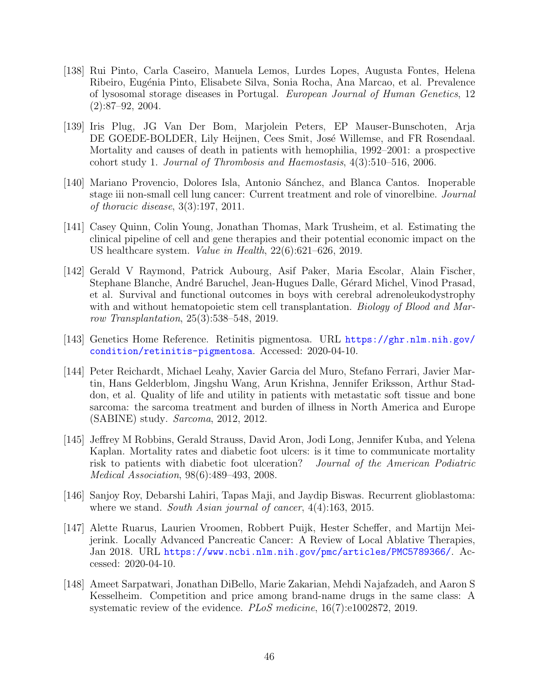- [138] Rui Pinto, Carla Caseiro, Manuela Lemos, Lurdes Lopes, Augusta Fontes, Helena Ribeiro, Eug´enia Pinto, Elisabete Silva, Sonia Rocha, Ana Marcao, et al. Prevalence of lysosomal storage diseases in Portugal. European Journal of Human Genetics, 12 (2):87–92, 2004.
- [139] Iris Plug, JG Van Der Bom, Marjolein Peters, EP Mauser-Bunschoten, Arja DE GOEDE-BOLDER, Lily Heijnen, Cees Smit, José Willemse, and FR Rosendaal. Mortality and causes of death in patients with hemophilia, 1992–2001: a prospective cohort study 1. Journal of Thrombosis and Haemostasis, 4(3):510–516, 2006.
- [140] Mariano Provencio, Dolores Isla, Antonio Sánchez, and Blanca Cantos. Inoperable stage iii non-small cell lung cancer: Current treatment and role of vinorelbine. Journal of thoracic disease, 3(3):197, 2011.
- [141] Casey Quinn, Colin Young, Jonathan Thomas, Mark Trusheim, et al. Estimating the clinical pipeline of cell and gene therapies and their potential economic impact on the US healthcare system. Value in Health, 22(6):621–626, 2019.
- [142] Gerald V Raymond, Patrick Aubourg, Asif Paker, Maria Escolar, Alain Fischer, Stephane Blanche, André Baruchel, Jean-Hugues Dalle, Gérard Michel, Vinod Prasad, et al. Survival and functional outcomes in boys with cerebral adrenoleukodystrophy with and without hematopoietic stem cell transplantation. Biology of Blood and Marrow Transplantation, 25(3):538–548, 2019.
- [143] Genetics Home Reference. Retinitis pigmentosa. URL [https://ghr.nlm.nih.gov/](https://ghr.nlm.nih.gov/condition/retinitis-pigmentosa) [condition/retinitis-pigmentosa](https://ghr.nlm.nih.gov/condition/retinitis-pigmentosa). Accessed: 2020-04-10.
- [144] Peter Reichardt, Michael Leahy, Xavier Garcia del Muro, Stefano Ferrari, Javier Martin, Hans Gelderblom, Jingshu Wang, Arun Krishna, Jennifer Eriksson, Arthur Staddon, et al. Quality of life and utility in patients with metastatic soft tissue and bone sarcoma: the sarcoma treatment and burden of illness in North America and Europe (SABINE) study. Sarcoma, 2012, 2012.
- [145] Jeffrey M Robbins, Gerald Strauss, David Aron, Jodi Long, Jennifer Kuba, and Yelena Kaplan. Mortality rates and diabetic foot ulcers: is it time to communicate mortality risk to patients with diabetic foot ulceration? Journal of the American Podiatric Medical Association, 98(6):489–493, 2008.
- [146] Sanjoy Roy, Debarshi Lahiri, Tapas Maji, and Jaydip Biswas. Recurrent glioblastoma: where we stand. South Asian journal of cancer,  $4(4)$ :163, 2015.
- [147] Alette Ruarus, Laurien Vroomen, Robbert Puijk, Hester Scheffer, and Martijn Meijerink. Locally Advanced Pancreatic Cancer: A Review of Local Ablative Therapies, Jan 2018. URL <https://www.ncbi.nlm.nih.gov/pmc/articles/PMC5789366/>. Accessed: 2020-04-10.
- [148] Ameet Sarpatwari, Jonathan DiBello, Marie Zakarian, Mehdi Najafzadeh, and Aaron S Kesselheim. Competition and price among brand-name drugs in the same class: A systematic review of the evidence. *PLoS medicine*, 16(7):e1002872, 2019.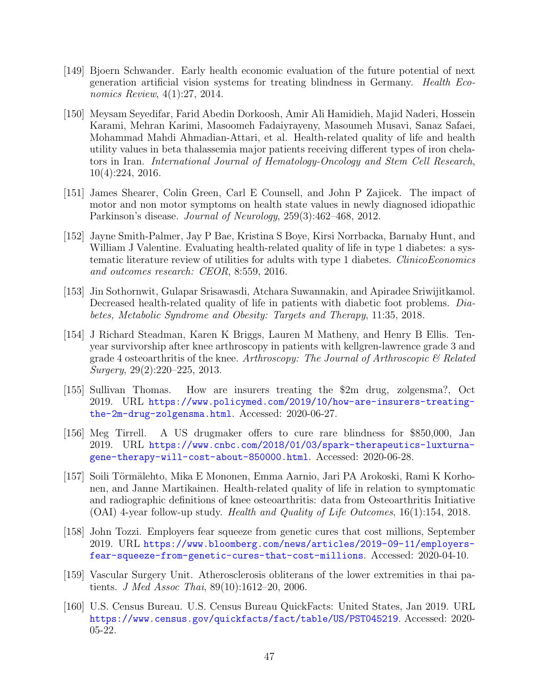- [149] Bjoern Schwander. Early health economic evaluation of the future potential of next generation artificial vision systems for treating blindness in Germany. Health Economics Review, 4(1):27, 2014.
- [150] Meysam Seyedifar, Farid Abedin Dorkoosh, Amir Ali Hamidieh, Majid Naderi, Hossein Karami, Mehran Karimi, Masoomeh Fadaiyrayeny, Masoumeh Musavi, Sanaz Safaei, Mohammad Mahdi Ahmadian-Attari, et al. Health-related quality of life and health utility values in beta thalassemia major patients receiving different types of iron chelators in Iran. International Journal of Hematology-Oncology and Stem Cell Research, 10(4):224, 2016.
- [151] James Shearer, Colin Green, Carl E Counsell, and John P Zajicek. The impact of motor and non motor symptoms on health state values in newly diagnosed idiopathic Parkinson's disease. Journal of Neurology, 259(3):462–468, 2012.
- [152] Jayne Smith-Palmer, Jay P Bae, Kristina S Boye, Kirsi Norrbacka, Barnaby Hunt, and William J Valentine. Evaluating health-related quality of life in type 1 diabetes: a systematic literature review of utilities for adults with type 1 diabetes. ClinicoEconomics and outcomes research: CEOR, 8:559, 2016.
- [153] Jin Sothornwit, Gulapar Srisawasdi, Atchara Suwannakin, and Apiradee Sriwijitkamol. Decreased health-related quality of life in patients with diabetic foot problems. Diabetes, Metabolic Syndrome and Obesity: Targets and Therapy, 11:35, 2018.
- [154] J Richard Steadman, Karen K Briggs, Lauren M Matheny, and Henry B Ellis. Tenyear survivorship after knee arthroscopy in patients with kellgren-lawrence grade 3 and grade 4 osteoarthritis of the knee. Arthroscopy: The Journal of Arthroscopic  $\mathcal{C}$  Related Surgery, 29(2):220–225, 2013.
- [155] Sullivan Thomas. How are insurers treating the \$2m drug, zolgensma?, Oct 2019. URL [https://www.policymed.com/2019/10/how-are-insurers-treating](https://www.policymed.com/2019/10/how-are-insurers-treating-the-2m-drug-zolgensma.html)[the-2m-drug-zolgensma.html](https://www.policymed.com/2019/10/how-are-insurers-treating-the-2m-drug-zolgensma.html). Accessed: 2020-06-27.
- [156] Meg Tirrell. A US drugmaker offers to cure rare blindness for \$850,000, Jan 2019. URL [https://www.cnbc.com/2018/01/03/spark-therapeutics-luxturna](https://www.cnbc.com/2018/01/03/spark-therapeutics-luxturna-gene-therapy-will-cost-about-850000.html)[gene-therapy-will-cost-about-850000.html](https://www.cnbc.com/2018/01/03/spark-therapeutics-luxturna-gene-therapy-will-cost-about-850000.html). Accessed: 2020-06-28.
- [157] Soili Törmälehto, Mika E Mononen, Emma Aarnio, Jari PA Arokoski, Rami K Korhonen, and Janne Martikainen. Health-related quality of life in relation to symptomatic and radiographic definitions of knee osteoarthritis: data from Osteoarthritis Initiative (OAI) 4-year follow-up study. Health and Quality of Life Outcomes, 16(1):154, 2018.
- [158] John Tozzi. Employers fear squeeze from genetic cures that cost millions, September 2019. URL [https://www.bloomberg.com/news/articles/2019-09-11/employers](https://www.bloomberg.com/news/articles/2019-09-11/employers-fear-squeeze-from-genetic-cures-that-cost-millions)[fear-squeeze-from-genetic-cures-that-cost-millions](https://www.bloomberg.com/news/articles/2019-09-11/employers-fear-squeeze-from-genetic-cures-that-cost-millions). Accessed: 2020-04-10.
- [159] Vascular Surgery Unit. Atherosclerosis obliterans of the lower extremities in thai patients. J Med Assoc Thai, 89(10):1612–20, 2006.
- [160] U.S. Census Bureau. U.S. Census Bureau QuickFacts: United States, Jan 2019. URL <https://www.census.gov/quickfacts/fact/table/US/PST045219>. Accessed: 2020- 05-22.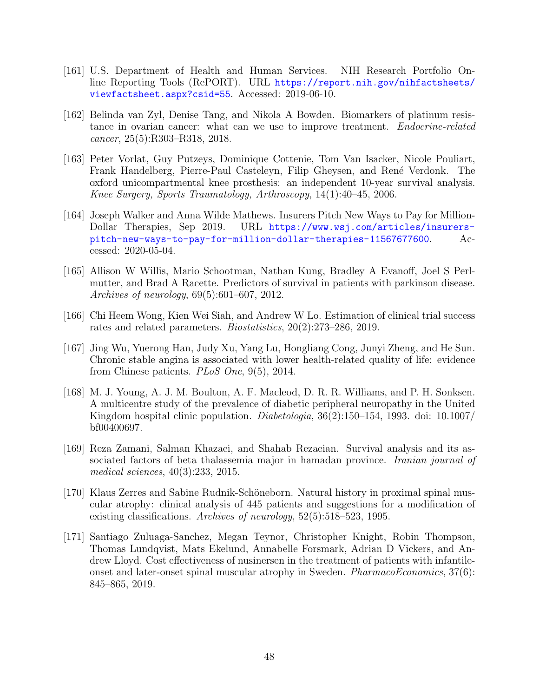- [161] U.S. Department of Health and Human Services. NIH Research Portfolio Online Reporting Tools (RePORT). URL [https://report.nih.gov/nihfactsheets/](https://report.nih.gov/nihfactsheets/viewfactsheet.aspx?csid=55) [viewfactsheet.aspx?csid=55](https://report.nih.gov/nihfactsheets/viewfactsheet.aspx?csid=55). Accessed: 2019-06-10.
- [162] Belinda van Zyl, Denise Tang, and Nikola A Bowden. Biomarkers of platinum resistance in ovarian cancer: what can we use to improve treatment. *Endocrine-related* cancer, 25(5):R303–R318, 2018.
- [163] Peter Vorlat, Guy Putzeys, Dominique Cottenie, Tom Van Isacker, Nicole Pouliart, Frank Handelberg, Pierre-Paul Casteleyn, Filip Gheysen, and René Verdonk. The oxford unicompartmental knee prosthesis: an independent 10-year survival analysis. Knee Surgery, Sports Traumatology, Arthroscopy, 14(1):40–45, 2006.
- [164] Joseph Walker and Anna Wilde Mathews. Insurers Pitch New Ways to Pay for Million-Dollar Therapies, Sep 2019. URL [https://www.wsj.com/articles/insurers](https://www.wsj.com/articles/insurers-pitch-new-ways-to-pay-for-million-dollar-therapies-11567677600)[pitch-new-ways-to-pay-for-million-dollar-therapies-11567677600](https://www.wsj.com/articles/insurers-pitch-new-ways-to-pay-for-million-dollar-therapies-11567677600). Accessed: 2020-05-04.
- [165] Allison W Willis, Mario Schootman, Nathan Kung, Bradley A Evanoff, Joel S Perlmutter, and Brad A Racette. Predictors of survival in patients with parkinson disease. Archives of neurology, 69(5):601–607, 2012.
- <span id="page-49-0"></span>[166] Chi Heem Wong, Kien Wei Siah, and Andrew W Lo. Estimation of clinical trial success rates and related parameters. Biostatistics, 20(2):273–286, 2019.
- [167] Jing Wu, Yuerong Han, Judy Xu, Yang Lu, Hongliang Cong, Junyi Zheng, and He Sun. Chronic stable angina is associated with lower health-related quality of life: evidence from Chinese patients. PLoS One, 9(5), 2014.
- [168] M. J. Young, A. J. M. Boulton, A. F. Macleod, D. R. R. Williams, and P. H. Sonksen. A multicentre study of the prevalence of diabetic peripheral neuropathy in the United Kingdom hospital clinic population. Diabetologia, 36(2):150–154, 1993. doi: 10.1007/ bf00400697.
- [169] Reza Zamani, Salman Khazaei, and Shahab Rezaeian. Survival analysis and its associated factors of beta thalassemia major in hamadan province. *Iranian journal of* medical sciences, 40(3):233, 2015.
- [170] Klaus Zerres and Sabine Rudnik-Schöneborn. Natural history in proximal spinal muscular atrophy: clinical analysis of 445 patients and suggestions for a modification of existing classifications. Archives of neurology, 52(5):518–523, 1995.
- [171] Santiago Zuluaga-Sanchez, Megan Teynor, Christopher Knight, Robin Thompson, Thomas Lundqvist, Mats Ekelund, Annabelle Forsmark, Adrian D Vickers, and Andrew Lloyd. Cost effectiveness of nusinersen in the treatment of patients with infantileonset and later-onset spinal muscular atrophy in Sweden. *PharmacoEconomics*,  $37(6)$ : 845–865, 2019.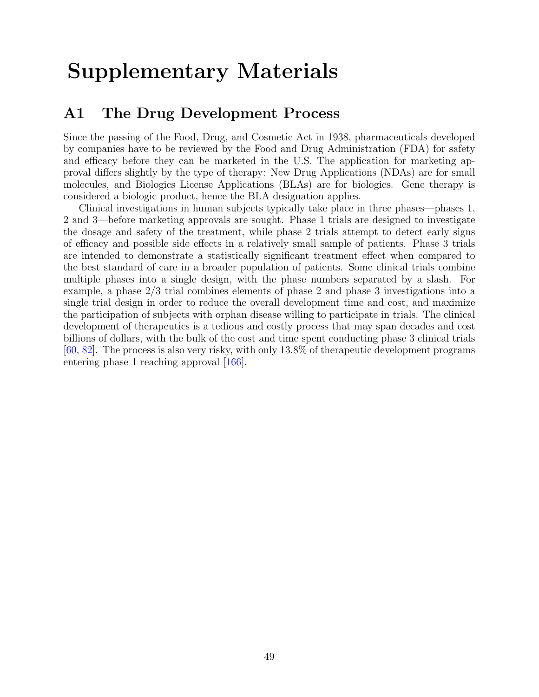# Supplementary Materials

# A1 The Drug Development Process

Since the passing of the Food, Drug, and Cosmetic Act in 1938, pharmaceuticals developed by companies have to be reviewed by the Food and Drug Administration (FDA) for safety and efficacy before they can be marketed in the U.S. The application for marketing approval differs slightly by the type of therapy: New Drug Applications (NDAs) are for small molecules, and Biologics License Applications (BLAs) are for biologics. Gene therapy is considered a biologic product, hence the BLA designation applies.

Clinical investigations in human subjects typically take place in three phases—phases 1, 2 and 3—before marketing approvals are sought. Phase 1 trials are designed to investigate the dosage and safety of the treatment, while phase 2 trials attempt to detect early signs of efficacy and possible side effects in a relatively small sample of patients. Phase 3 trials are intended to demonstrate a statistically significant treatment effect when compared to the best standard of care in a broader population of patients. Some clinical trials combine multiple phases into a single design, with the phase numbers separated by a slash. For example, a phase 2/3 trial combines elements of phase 2 and phase 3 investigations into a single trial design in order to reduce the overall development time and cost, and maximize the participation of subjects with orphan disease willing to participate in trials. The clinical development of therapeutics is a tedious and costly process that may span decades and cost billions of dollars, with the bulk of the cost and time spent conducting phase 3 clinical trials [\[60,](#page-40-0) [82\]](#page-42-0). The process is also very risky, with only 13.8% of therapeutic development programs entering phase 1 reaching approval [\[166\]](#page-49-0).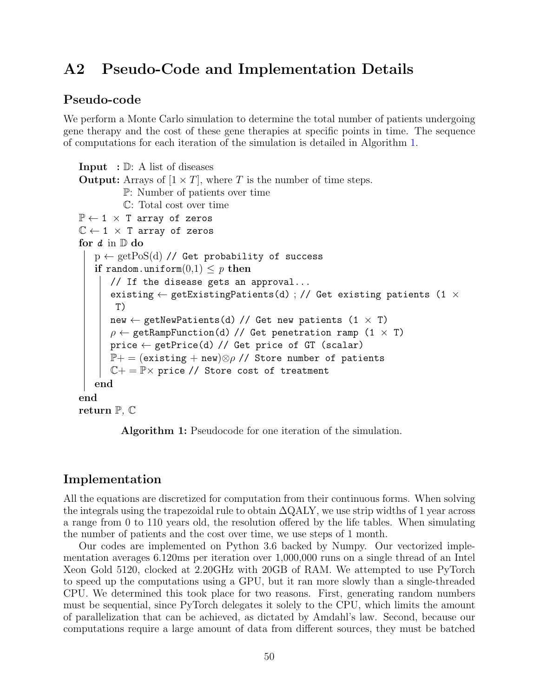# A2 Pseudo-Code and Implementation Details

#### Pseudo-code

We perform a Monte Carlo simulation to determine the total number of patients undergoing gene therapy and the cost of these gene therapies at specific points in time. The sequence of computations for each iteration of the simulation is detailed in Algorithm [1.](#page-51-0)

```
Input : \mathbb{D}: A list of diseases
Output: Arrays of [1 \times T], where T is the number of time steps.
           P: Number of patients over time
           C: Total cost over time
\mathbb{P} \leftarrow 1 \times T array of zeros
\mathbb{C} \leftarrow 1 \times T array of zeros
for d in \mathbb D do
   p \leftarrow getPoS(d) // Get probability of success
   if random.uniform(0,1) < p then
       // If the disease gets an approval...
       existing \leftarrow getExistingPatients(d) ; // Get existing patients (1 \timesT)
      new \leftarrow getNewPatients(d) // Get new patients (1 \times T)
       \rho \leftarrow getRampFunction(d) // Get penetration ramp (1 \times T)
        \texttt{price} \gets \texttt{getPrice(d)} \textit{ // Get price of GT (scalar)}\mathbb{P}+ = (existing + new)\otimes \rho // Store number of patients
        \mathbb{C}+=\mathbb{P}\times price // Store cost of treatment
   end
end
return \mathbb{P}, \mathbb{C}
```
Algorithm 1: Pseudocode for one iteration of the simulation.

#### Implementation

All the equations are discretized for computation from their continuous forms. When solving the integrals using the trapezoidal rule to obtain ∆QALY, we use strip widths of 1 year across a range from 0 to 110 years old, the resolution offered by the life tables. When simulating the number of patients and the cost over time, we use steps of 1 month.

Our codes are implemented on Python 3.6 backed by Numpy. Our vectorized implementation averages 6.120ms per iteration over 1,000,000 runs on a single thread of an Intel Xeon Gold 5120, clocked at 2.20GHz with 20GB of RAM. We attempted to use PyTorch to speed up the computations using a GPU, but it ran more slowly than a single-threaded CPU. We determined this took place for two reasons. First, generating random numbers must be sequential, since PyTorch delegates it solely to the CPU, which limits the amount of parallelization that can be achieved, as dictated by Amdahl's law. Second, because our computations require a large amount of data from different sources, they must be batched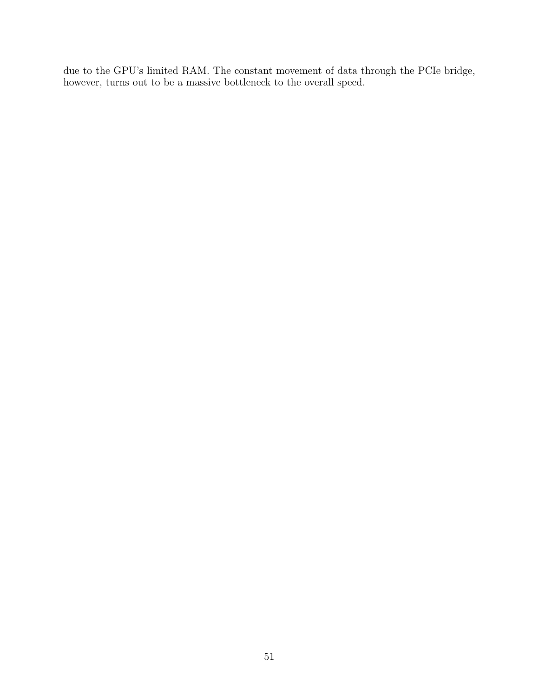due to the GPU's limited RAM. The constant movement of data through the PCIe bridge, however, turns out to be a massive bottleneck to the overall speed.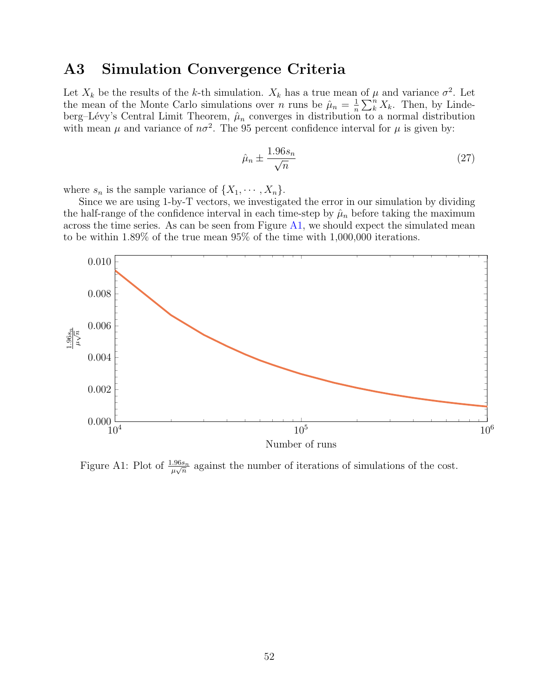## A3 Simulation Convergence Criteria

Let  $X_k$  be the results of the k-th simulation.  $X_k$  has a true mean of  $\mu$  and variance  $\sigma^2$ . Let the mean of the Monte Carlo simulations over *n* runs be  $\hat{\mu}_n = \frac{1}{n}$  $\frac{1}{n}\sum_{k}^{n}X_{k}$ . Then, by Lindeberg–Lévy's Central Limit Theorem,  $\hat{\mu}_n$  converges in distribution to a normal distribution with mean  $\mu$  and variance of  $n\sigma^2$ . The 95 percent confidence interval for  $\mu$  is given by:

$$
\hat{\mu}_n \pm \frac{1.96s_n}{\sqrt{n}}\tag{27}
$$

where  $s_n$  is the sample variance of  $\{X_1, \dots, X_n\}$ .

Since we are using 1-by-T vectors, we investigated the error in our simulation by dividing the half-range of the confidence interval in each time-step by  $\hat{\mu}_n$  before taking the maximum across the time series. As can be seen from Figure  $A1$ , we should expect the simulated mean to be within 1.89% of the true mean 95% of the time with 1,000,000 iterations.

<span id="page-53-0"></span>

Figure A1: Plot of  $\frac{1.96s_n}{\mu\sqrt{n}}$  against the number of iterations of simulations of the cost.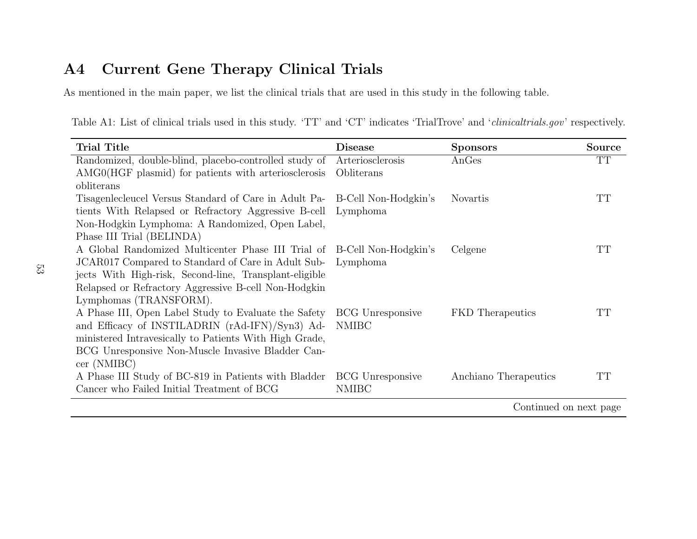#### $\mathbf{A4}$ Current Gene Therapy Clinical Trials

As mentioned in the main paper, we list the clinical trials that are used in this study in the following table.

Table A1: List of clinical trials used in this study. 'TT' and 'CT' indicates 'TrialTrove' and '*clinicaltrials.gov*' respectively.

| <b>Trial Title</b>                                                      | <b>Disease</b>          | <b>Sponsors</b>         | Source    |
|-------------------------------------------------------------------------|-------------------------|-------------------------|-----------|
| Randomized, double-blind, placebo-controlled study of                   | Arteriosclerosis        | AnGes                   | TT        |
| AMG0(HGF plasmid) for patients with arteriosclerosis                    | Obliterans              |                         |           |
| obliterans                                                              |                         |                         |           |
| Tisagenlecleucel Versus Standard of Care in Adult Pa-                   | B-Cell Non-Hodgkin's    | <b>Novartis</b>         | <b>TT</b> |
| tients With Relapsed or Refractory Aggressive B-cell                    | Lymphoma                |                         |           |
| Non-Hodgkin Lymphoma: A Randomized, Open Label,                         |                         |                         |           |
| Phase III Trial (BELINDA)                                               |                         |                         |           |
| A Global Randomized Multicenter Phase III Trial of B-Cell Non-Hodgkin's |                         | Celgene                 | TT        |
| JCAR017 Compared to Standard of Care in Adult Sub-                      | Lymphoma                |                         |           |
| jects With High-risk, Second-line, Transplant-eligible                  |                         |                         |           |
| Relapsed or Refractory Aggressive B-cell Non-Hodgkin                    |                         |                         |           |
| Lymphomas (TRANSFORM).                                                  |                         |                         |           |
| A Phase III, Open Label Study to Evaluate the Safety                    | <b>BCG</b> Unresponsive | <b>FKD</b> Therapeutics | TТ        |
| and Efficacy of INSTILADRIN (rAd-IFN)/Syn3) Ad-                         | <b>NMIBC</b>            |                         |           |
| ministered Intravesically to Patients With High Grade,                  |                         |                         |           |
| BCG Unresponsive Non-Muscle Invasive Bladder Can-                       |                         |                         |           |
| cer(NMIBC)                                                              |                         |                         |           |
| A Phase III Study of BC-819 in Patients with Bladder                    | <b>BCG</b> Unresponsive | Anchiano Therapeutics   | <b>TT</b> |
| Cancer who Failed Initial Treatment of BCG                              | <b>NMIBC</b>            |                         |           |
|                                                                         |                         | Continued on next page  |           |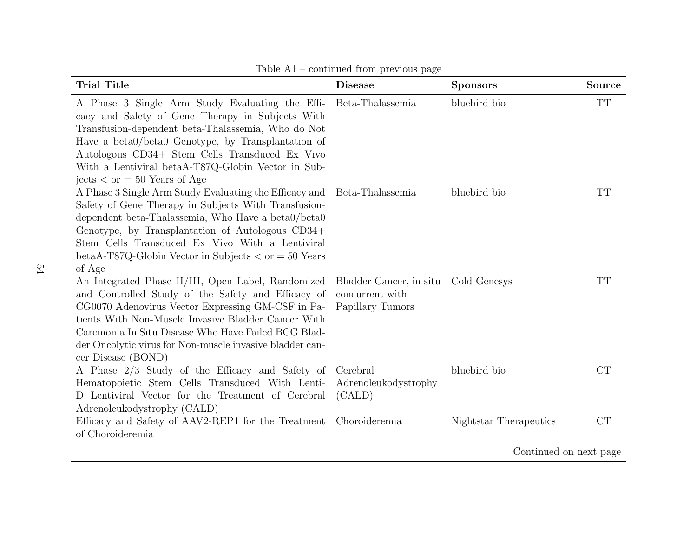| <b>Trial Title</b>                                                                                                                                                                                                                                                                                                                                                     | <b>Disease</b>                                                              | <b>Sponsors</b>        | Source    |
|------------------------------------------------------------------------------------------------------------------------------------------------------------------------------------------------------------------------------------------------------------------------------------------------------------------------------------------------------------------------|-----------------------------------------------------------------------------|------------------------|-----------|
| A Phase 3 Single Arm Study Evaluating the Effi-<br>cacy and Safety of Gene Therapy in Subjects With<br>Transfusion-dependent beta-Thalassemia, Who do Not<br>Have a beta0/beta0 Genotype, by Transplantation of<br>Autologous CD34+ Stem Cells Transduced Ex Vivo<br>With a Lentiviral betaA-T87Q-Globin Vector in Sub-<br>jects $\langle$ or = 50 Years of Age        | Beta-Thalassemia                                                            | bluebird bio           | <b>TT</b> |
| A Phase 3 Single Arm Study Evaluating the Efficacy and Beta-Thalassemia<br>Safety of Gene Therapy in Subjects With Transfusion-<br>dependent beta-Thalassemia, Who Have a beta0/beta0<br>Genotype, by Transplantation of Autologous CD34+<br>Stem Cells Transduced Ex Vivo With a Lentiviral<br>betaA-T87Q-Globin Vector in Subjects $\langle$ or = 50 Years<br>of Age |                                                                             | bluebird bio           | TT        |
| An Integrated Phase II/III, Open Label, Randomized<br>and Controlled Study of the Safety and Efficacy of<br>CG0070 Adenovirus Vector Expressing GM-CSF in Pa-<br>tients With Non-Muscle Invasive Bladder Cancer With<br>Carcinoma In Situ Disease Who Have Failed BCG Blad-<br>der Oncolytic virus for Non-muscle invasive bladder can-<br>cer Disease (BOND)          | Bladder Cancer, in situ Cold Genesys<br>concurrent with<br>Papillary Tumors |                        | TT        |
| A Phase 2/3 Study of the Efficacy and Safety of<br>Hematopoietic Stem Cells Transduced With Lenti-<br>D Lentiviral Vector for the Treatment of Cerebral<br>Adrenoleukodystrophy (CALD)                                                                                                                                                                                 | Cerebral<br>Adrenoleukodystrophy<br>(CALD)                                  | bluebird bio           | CT        |
| Efficacy and Safety of AAV2-REP1 for the Treatment<br>of Choroideremia                                                                                                                                                                                                                                                                                                 | Choroideremia                                                               | Nightstar Therapeutics | CT        |

Table A1 – continued from previous page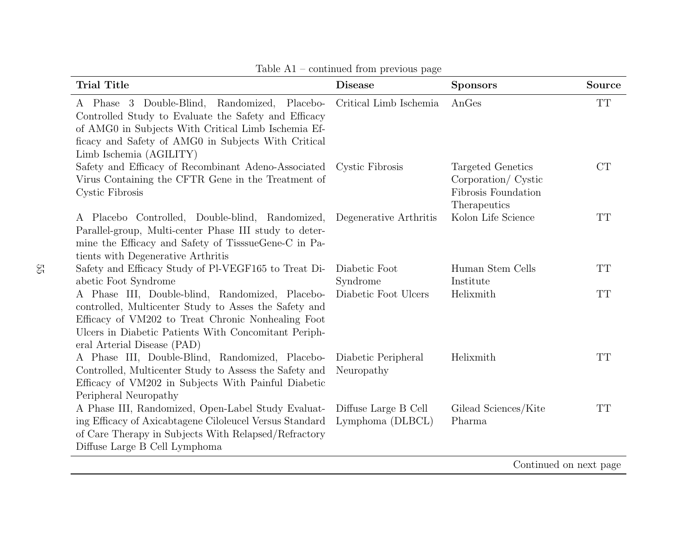| <b>Trial Title</b>                                                                                                                                                                                                                                    | <b>Disease</b>                           | <b>Sponsors</b>                                                                 | Source    |
|-------------------------------------------------------------------------------------------------------------------------------------------------------------------------------------------------------------------------------------------------------|------------------------------------------|---------------------------------------------------------------------------------|-----------|
| A Phase 3 Double-Blind, Randomized, Placebo-<br>Controlled Study to Evaluate the Safety and Efficacy<br>of AMG0 in Subjects With Critical Limb Ischemia Ef-<br>ficacy and Safety of AMG0 in Subjects With Critical<br>Limb Ischemia (AGILITY)         | Critical Limb Ischemia                   | AnGes                                                                           | <b>TT</b> |
| Safety and Efficacy of Recombinant Adeno-Associated Cystic Fibrosis<br>Virus Containing the CFTR Gene in the Treatment of<br>Cystic Fibrosis                                                                                                          |                                          | Targeted Genetics<br>Corporation/ Cystic<br>Fibrosis Foundation<br>Therapeutics | CT        |
| A Placebo Controlled, Double-blind, Randomized,<br>Parallel-group, Multi-center Phase III study to deter-<br>mine the Efficacy and Safety of TisssueGene-C in Pa-<br>tients with Degenerative Arthritis                                               | Degenerative Arthritis                   | Kolon Life Science                                                              | TT        |
| Safety and Efficacy Study of Pl-VEGF165 to Treat Di-<br>abetic Foot Syndrome                                                                                                                                                                          | Diabetic Foot<br>Syndrome                | Human Stem Cells<br>Institute                                                   | <b>TT</b> |
| A Phase III, Double-blind, Randomized, Placebo-<br>controlled, Multicenter Study to Asses the Safety and<br>Efficacy of VM202 to Treat Chronic Nonhealing Foot<br>Ulcers in Diabetic Patients With Concomitant Periph-<br>eral Arterial Disease (PAD) | Diabetic Foot Ulcers                     | Helixmith                                                                       | <b>TT</b> |
| A Phase III, Double-Blind, Randomized, Placebo-<br>Controlled, Multicenter Study to Assess the Safety and<br>Efficacy of VM202 in Subjects With Painful Diabetic<br>Peripheral Neuropathy                                                             | Diabetic Peripheral<br>Neuropathy        | Helixmith                                                                       | <b>TT</b> |
| A Phase III, Randomized, Open-Label Study Evaluat-<br>ing Efficacy of Axicabtagene Ciloleucel Versus Standard<br>of Care Therapy in Subjects With Relapsed/Refractory<br>Diffuse Large B Cell Lymphoma                                                | Diffuse Large B Cell<br>Lymphoma (DLBCL) | Gilead Sciences/Kite<br>Pharma                                                  | <b>TT</b> |
|                                                                                                                                                                                                                                                       |                                          | Continued on next page                                                          |           |

Table A1 – continued from previous page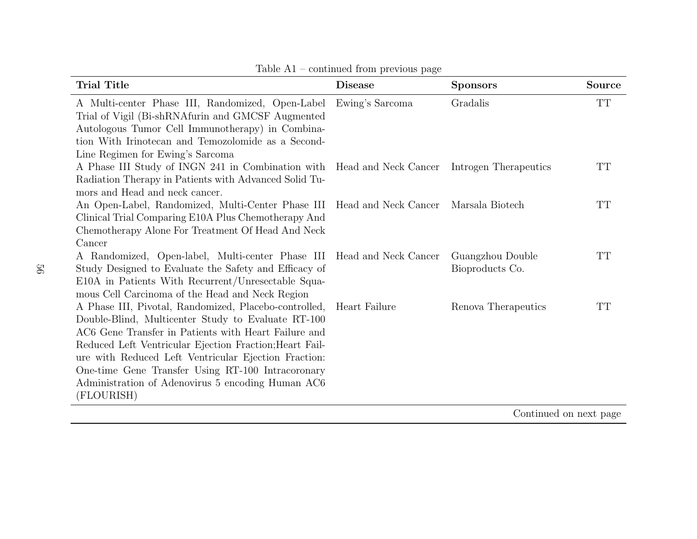| <b>Trial Title</b>                                                                                                                                                                                                                                                                                                                                                                                             | <b>Disease</b>  | <b>Sponsors</b>                     | <b>Source</b>            |
|----------------------------------------------------------------------------------------------------------------------------------------------------------------------------------------------------------------------------------------------------------------------------------------------------------------------------------------------------------------------------------------------------------------|-----------------|-------------------------------------|--------------------------|
| A Multi-center Phase III, Randomized, Open-Label<br>Trial of Vigil (Bi-shRNAfurin and GMCSF Augmented<br>Autologous Tumor Cell Immunotherapy) in Combina-<br>tion With Irinotecan and Temozolomide as a Second-<br>Line Regimen for Ewing's Sarcoma                                                                                                                                                            | Ewing's Sarcoma | Gradalis                            | $\mathcal{T}\mathcal{T}$ |
| A Phase III Study of INGN 241 in Combination with Head and Neck Cancer<br>Radiation Therapy in Patients with Advanced Solid Tu-<br>mors and Head and neck cancer.                                                                                                                                                                                                                                              |                 | Introgen Therapeutics               | TT                       |
| An Open-Label, Randomized, Multi-Center Phase III Head and Neck Cancer Marsala Biotech<br>Clinical Trial Comparing E10A Plus Chemotherapy And<br>Chemotherapy Alone For Treatment Of Head And Neck<br>Cancer                                                                                                                                                                                                   |                 |                                     | TT                       |
| A Randomized, Open-label, Multi-center Phase III Head and Neck Cancer<br>Study Designed to Evaluate the Safety and Efficacy of<br>E10A in Patients With Recurrent/Unresectable Squa-<br>mous Cell Carcinoma of the Head and Neck Region                                                                                                                                                                        |                 | Guangzhou Double<br>Bioproducts Co. | TT                       |
| A Phase III, Pivotal, Randomized, Placebo-controlled,<br>Double-Blind, Multicenter Study to Evaluate RT-100<br>AC6 Gene Transfer in Patients with Heart Failure and<br>Reduced Left Ventricular Ejection Fraction; Heart Fail-<br>ure with Reduced Left Ventricular Ejection Fraction:<br>One-time Gene Transfer Using RT-100 Intracoronary<br>Administration of Adenovirus 5 encoding Human AC6<br>(FLOURISH) | Heart Failure   | Renova Therapeutics                 | $\rm TT$                 |
|                                                                                                                                                                                                                                                                                                                                                                                                                |                 | $\cap$ $\cdots$ $\qquad$ $\Box$     |                          |

Table A1 – continued from previous page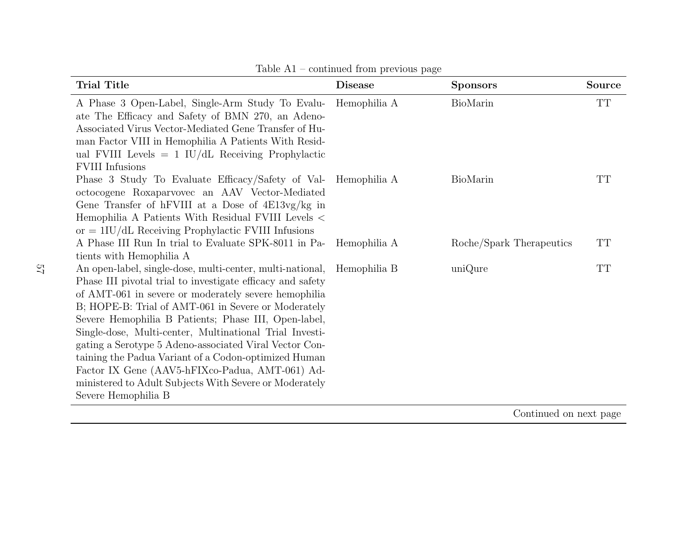| <b>Trial Title</b>                                                                                                                                                                                                                                                                                                                                                                                                                                                                                                                                                                                                           | <b>Disease</b> | <b>Sponsors</b>          | <b>Source</b>            |
|------------------------------------------------------------------------------------------------------------------------------------------------------------------------------------------------------------------------------------------------------------------------------------------------------------------------------------------------------------------------------------------------------------------------------------------------------------------------------------------------------------------------------------------------------------------------------------------------------------------------------|----------------|--------------------------|--------------------------|
| A Phase 3 Open-Label, Single-Arm Study To Evalu- Hemophilia A<br>ate The Efficacy and Safety of BMN 270, an Adeno-<br>Associated Virus Vector-Mediated Gene Transfer of Hu-<br>man Factor VIII in Hemophilia A Patients With Resid-<br>ual FVIII Levels $= 1$ IU/dL Receiving Prophylactic<br><b>FVIII</b> Infusions                                                                                                                                                                                                                                                                                                         |                | BioMarin                 | $\mathcal{T}\mathcal{T}$ |
| Phase 3 Study To Evaluate Efficacy/Safety of Val- Hemophilia A<br>octocogene Roxaparvovec an AAV Vector-Mediated<br>Gene Transfer of hFVIII at a Dose of $4E13vg/kg$ in<br>Hemophilia A Patients With Residual FVIII Levels <<br>or $= 1\text{IU}/\text{dL}$ Receiving Prophylactic FVIII Infusions                                                                                                                                                                                                                                                                                                                          |                | BioMarin                 | TT                       |
| A Phase III Run In trial to Evaluate SPK-8011 in Pa- Hemophilia A<br>tients with Hemophilia A                                                                                                                                                                                                                                                                                                                                                                                                                                                                                                                                |                | Roche/Spark Therapeutics | TT                       |
| An open-label, single-dose, multi-center, multi-national, Hemophilia B<br>Phase III pivotal trial to investigate efficacy and safety<br>of AMT-061 in severe or moderately severe hemophilia<br>B; HOPE-B: Trial of AMT-061 in Severe or Moderately<br>Severe Hemophilia B Patients; Phase III, Open-label,<br>Single-dose, Multi-center, Multinational Trial Investi-<br>gating a Serotype 5 Adeno-associated Viral Vector Con-<br>taining the Padua Variant of a Codon-optimized Human<br>Factor IX Gene (AAV5-hFIXco-Padua, AMT-061) Ad-<br>ministered to Adult Subjects With Severe or Moderately<br>Severe Hemophilia B |                | uniQure                  | TT                       |

Table A1 – continued from previous page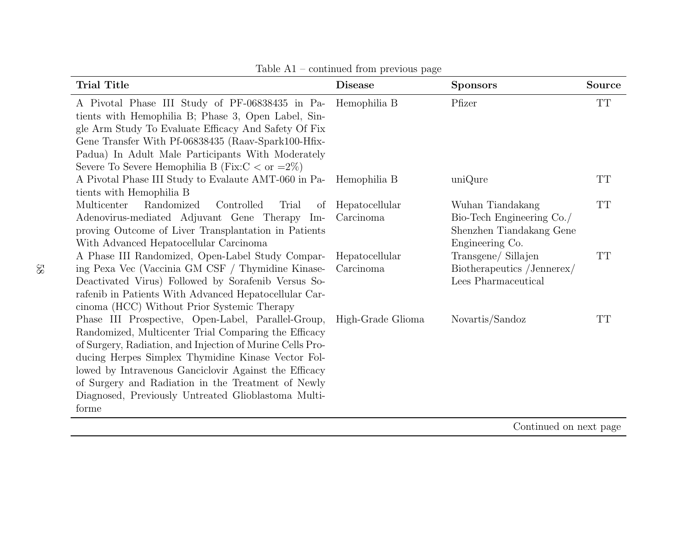| <b>Trial Title</b>                                                                                                                                                                                                                                                                                                                                                                                           | <b>Disease</b>              | <b>Sponsors</b>                                                                              | Source    |
|--------------------------------------------------------------------------------------------------------------------------------------------------------------------------------------------------------------------------------------------------------------------------------------------------------------------------------------------------------------------------------------------------------------|-----------------------------|----------------------------------------------------------------------------------------------|-----------|
| A Pivotal Phase III Study of PF-06838435 in Pa-<br>tients with Hemophilia B; Phase 3, Open Label, Sin-<br>gle Arm Study To Evaluate Efficacy And Safety Of Fix                                                                                                                                                                                                                                               | Hemophilia B                | Pfizer                                                                                       | <b>TT</b> |
| Gene Transfer With Pf-06838435 (Raav-Spark100-Hfix-<br>Padua) In Adult Male Participants With Moderately<br>Severe To Severe Hemophilia B (Fix: $C < \text{or } =2\%)$ )                                                                                                                                                                                                                                     |                             |                                                                                              |           |
| A Pivotal Phase III Study to Evalaute AMT-060 in Pa-<br>tients with Hemophilia B                                                                                                                                                                                                                                                                                                                             | Hemophilia B                | uniQure                                                                                      | TT        |
| Randomized<br>Multicenter<br>Controlled<br>Trial<br>of<br>Adenovirus-mediated Adjuvant Gene Therapy Im-<br>proving Outcome of Liver Transplantation in Patients<br>With Advanced Hepatocellular Carcinoma                                                                                                                                                                                                    | Hepatocellular<br>Carcinoma | Wuhan Tiandakang<br>Bio-Tech Engineering Co./<br>Shenzhen Tiandakang Gene<br>Engineering Co. | <b>TT</b> |
| A Phase III Randomized, Open-Label Study Compar-<br>ing Pexa Vec (Vaccinia GM CSF / Thymidine Kinase-<br>Deactivated Virus) Followed by Sorafenib Versus So-<br>rafenib in Patients With Advanced Hepatocellular Car-<br>cinoma (HCC) Without Prior Systemic Therapy                                                                                                                                         | Hepatocellular<br>Carcinoma | Transgene/ Sillajen<br>Biotherapeutics /Jennerex/<br>Lees Pharmaceutical                     | TT        |
| Phase III Prospective, Open-Label, Parallel-Group,<br>Randomized, Multicenter Trial Comparing the Efficacy<br>of Surgery, Radiation, and Injection of Murine Cells Pro-<br>ducing Herpes Simplex Thymidine Kinase Vector Fol-<br>lowed by Intravenous Ganciclovir Against the Efficacy<br>of Surgery and Radiation in the Treatment of Newly<br>Diagnosed, Previously Untreated Glioblastoma Multi-<br>forme | High-Grade Glioma           | Novartis/Sandoz                                                                              | TT        |
|                                                                                                                                                                                                                                                                                                                                                                                                              |                             | $\bigcap_{i=1}^{n}$ $i = 1, 1, \ldots, n$                                                    |           |

Table A1 – continued from previous page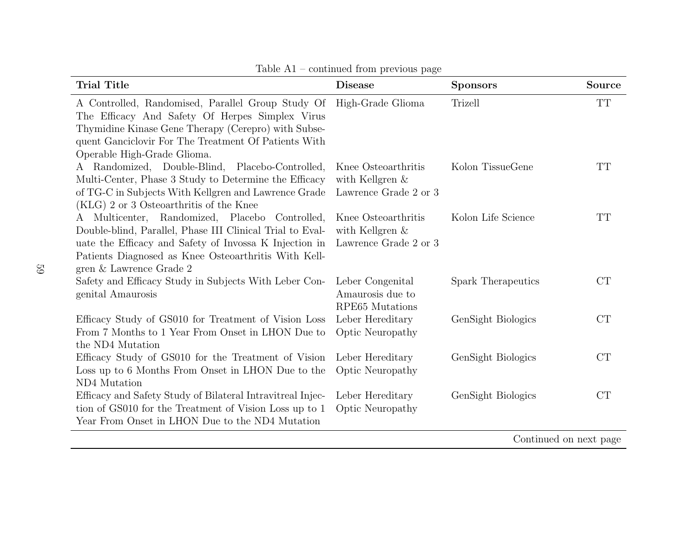| <b>Trial Title</b>                                                                                                                                                                                                                                       | <b>Disease</b>                                                     | <b>Sponsors</b>    | Source    |  |
|----------------------------------------------------------------------------------------------------------------------------------------------------------------------------------------------------------------------------------------------------------|--------------------------------------------------------------------|--------------------|-----------|--|
| A Controlled, Randomised, Parallel Group Study Of<br>The Efficacy And Safety Of Herpes Simplex Virus<br>Thymidine Kinase Gene Therapy (Cerepro) with Subse-<br>quent Ganciclovir For The Treatment Of Patients With<br>Operable High-Grade Glioma.       | High-Grade Glioma                                                  | Trizell            | <b>TT</b> |  |
| A Randomized, Double-Blind, Placebo-Controlled,<br>Multi-Center, Phase 3 Study to Determine the Efficacy<br>of TG-C in Subjects With Kellgren and Lawrence Grade<br>(KLG) 2 or 3 Osteoarthritis of the Knee                                              | Knee Osteoarthritis<br>with Kellgren $\&$<br>Lawrence Grade 2 or 3 | Kolon TissueGene   | TT        |  |
| A Multicenter, Randomized, Placebo Controlled,<br>Double-blind, Parallel, Phase III Clinical Trial to Eval-<br>uate the Efficacy and Safety of Invossa K Injection in<br>Patients Diagnosed as Knee Osteoarthritis With Kell-<br>gren & Lawrence Grade 2 | Knee Osteoarthritis<br>with Kellgren $\&$<br>Lawrence Grade 2 or 3 | Kolon Life Science | <b>TT</b> |  |
| Safety and Efficacy Study in Subjects With Leber Con-<br>genital Amaurosis                                                                                                                                                                               | Leber Congenital<br>Amaurosis due to<br>RPE65 Mutations            | Spark Therapeutics | <b>CT</b> |  |
| Efficacy Study of GS010 for Treatment of Vision Loss<br>From 7 Months to 1 Year From Onset in LHON Due to<br>the ND4 Mutation                                                                                                                            | Leber Hereditary<br>Optic Neuropathy                               | GenSight Biologics | CT        |  |
| Efficacy Study of GS010 for the Treatment of Vision<br>Loss up to 6 Months From Onset in LHON Due to the<br>ND4 Mutation                                                                                                                                 | Leber Hereditary<br><b>Optic Neuropathy</b>                        | GenSight Biologics | CT        |  |
| Efficacy and Safety Study of Bilateral Intravitreal Injec-<br>tion of GS010 for the Treatment of Vision Loss up to 1<br>Year From Onset in LHON Due to the ND4 Mutation                                                                                  | Leber Hereditary<br><b>Optic Neuropathy</b>                        | GenSight Biologics | <b>CT</b> |  |
| Continued on next page                                                                                                                                                                                                                                   |                                                                    |                    |           |  |

Table A1 – continued from previous page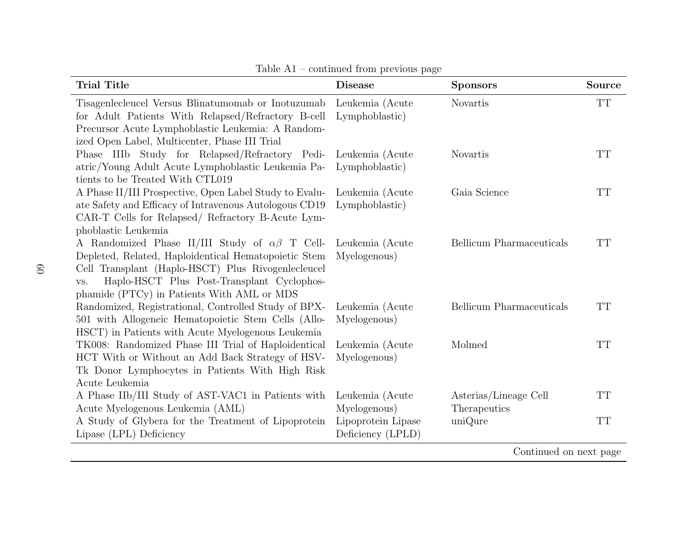| <b>Trial Title</b>                                                                                                                                                                                                                                                        | <b>Disease</b>                          | <b>Sponsors</b>                       | <b>Source</b> |
|---------------------------------------------------------------------------------------------------------------------------------------------------------------------------------------------------------------------------------------------------------------------------|-----------------------------------------|---------------------------------------|---------------|
| Tisagenlecleucel Versus Blinatumomab or Inotuzumab<br>for Adult Patients With Relapsed/Refractory B-cell<br>Precursor Acute Lymphoblastic Leukemia: A Random-<br>ized Open Label, Multicenter, Phase III Trial                                                            | Leukemia (Acute<br>Lymphoblastic)       | Novartis                              | TT            |
| Phase IIIb Study for Relapsed/Refractory Pedi-<br>atric/Young Adult Acute Lymphoblastic Leukemia Pa-<br>tients to be Treated With CTL019                                                                                                                                  | Leukemia (Acute<br>Lymphoblastic)       | <b>Novartis</b>                       | <b>TT</b>     |
| A Phase II/III Prospective, Open Label Study to Evalu-<br>ate Safety and Efficacy of Intravenous Autologous CD19<br>CAR-T Cells for Relapsed/ Refractory B-Acute Lym-<br>phoblastic Leukemia                                                                              | Leukemia (Acute<br>Lymphoblastic)       | Gaia Science                          | <b>TT</b>     |
| A Randomized Phase II/III Study of $\alpha\beta$ T Cell-<br>Depleted, Related, Haploidentical Hematopoietic Stem<br>Cell Transplant (Haplo-HSCT) Plus Rivogenlecleucel<br>Haplo-HSCT Plus Post-Transplant Cyclophos-<br>VS.<br>phamide (PTCy) in Patients With AML or MDS | Leukemia (Acute<br>Myelogenous)         | <b>Bellicum</b> Pharmaceuticals       | <b>TT</b>     |
| Randomized, Registrational, Controlled Study of BPX-<br>501 with Allogeneic Hematopoietic Stem Cells (Allo-<br>HSCT) in Patients with Acute Myelogenous Leukemia                                                                                                          | Leukemia (Acute<br>Myelogenous)         | <b>Bellicum</b> Pharmaceuticals       | <b>TT</b>     |
| TK008: Randomized Phase III Trial of Haploidentical<br>HCT With or Without an Add Back Strategy of HSV-<br>Tk Donor Lymphocytes in Patients With High Risk<br>Acute Leukemia                                                                                              | Leukemia (Acute<br>Myelogenous)         | Molmed                                | <b>TT</b>     |
| A Phase IIb/III Study of AST-VAC1 in Patients with<br>Acute Myelogenous Leukemia (AML)                                                                                                                                                                                    | Leukemia (Acute<br>Myelogenous)         | Asterias/Lineage Cell<br>Therapeutics | <b>TT</b>     |
| A Study of Glybera for the Treatment of Lipoprotein<br>Lipase (LPL) Deficiency                                                                                                                                                                                            | Lipoprotein Lipase<br>Deficiency (LPLD) | uniQure                               | <b>TT</b>     |
|                                                                                                                                                                                                                                                                           |                                         | Continued on next page                |               |

Table A1 – continued from previous page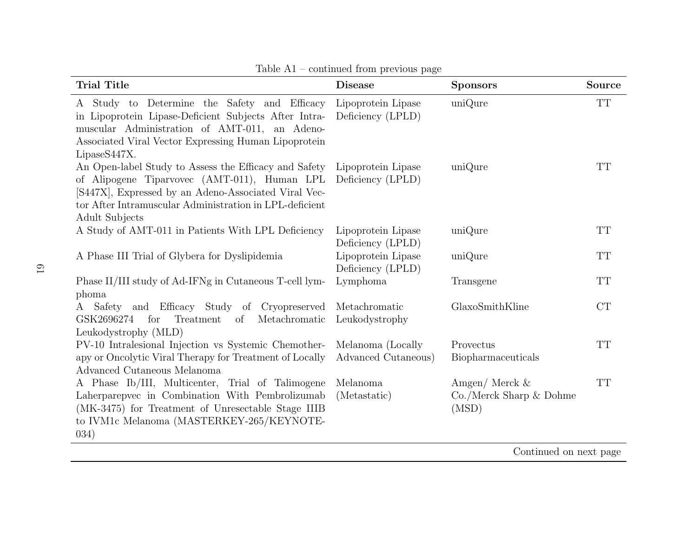| <b>Trial Title</b>                                                                                                                                                                                                                         | <b>Disease</b>                           | <b>Sponsors</b>                                           | Source    |
|--------------------------------------------------------------------------------------------------------------------------------------------------------------------------------------------------------------------------------------------|------------------------------------------|-----------------------------------------------------------|-----------|
| A Study to Determine the Safety and Efficacy<br>in Lipoprotein Lipase-Deficient Subjects After Intra-<br>muscular Administration of AMT-011, an Adeno-<br>Associated Viral Vector Expressing Human Lipoprotein<br>LipaseS447X.             | Lipoprotein Lipase<br>Deficiency (LPLD)  | uniQure                                                   | <b>TT</b> |
| An Open-label Study to Assess the Efficacy and Safety<br>of Alipogene Tiparvovec (AMT-011), Human LPL<br>[S447X], Expressed by an Adeno-Associated Viral Vec-<br>tor After Intramuscular Administration in LPL-deficient<br>Adult Subjects | Lipoprotein Lipase<br>Deficiency (LPLD)  | uniQure                                                   | TT        |
| A Study of AMT-011 in Patients With LPL Deficiency                                                                                                                                                                                         | Lipoprotein Lipase<br>Deficiency (LPLD)  | uniQure                                                   | <b>TT</b> |
| A Phase III Trial of Glybera for Dyslipidemia                                                                                                                                                                                              | Lipoprotein Lipase<br>Deficiency (LPLD)  | uniQure                                                   | <b>TT</b> |
| Phase II/III study of Ad-IFNg in Cutaneous T-cell lym-<br>phoma                                                                                                                                                                            | Lymphoma                                 | Transgene                                                 | <b>TT</b> |
| A Safety and Efficacy Study of Cryopreserved<br>GSK2696274<br>for<br>Treatment<br>Metachromatic<br>of<br>Leukodystrophy (MLD)                                                                                                              | Metachromatic<br>Leukodystrophy          | GlaxoSmithKline                                           | CT        |
| PV-10 Intralesional Injection vs Systemic Chemother-<br>apy or Oncolytic Viral Therapy for Treatment of Locally<br>Advanced Cutaneous Melanoma                                                                                             | Melanoma (Locally<br>Advanced Cutaneous) | Provectus<br>Biopharmaceuticals                           | <b>TT</b> |
| A Phase Ib/III, Multicenter, Trial of Talimogene<br>Laherparepvec in Combination With Pembrolizumab<br>(MK-3475) for Treatment of Unresectable Stage IIIB<br>to IVM1c Melanoma (MASTERKEY-265/KEYNOTE-<br>(034)                            | Melanoma<br>(Metastatic)                 | Amgen/ Merck $&$<br>$Co./$ Merck Sharp $&$ Dohme<br>(MSD) | <b>TT</b> |

Table A1 – continued from previous page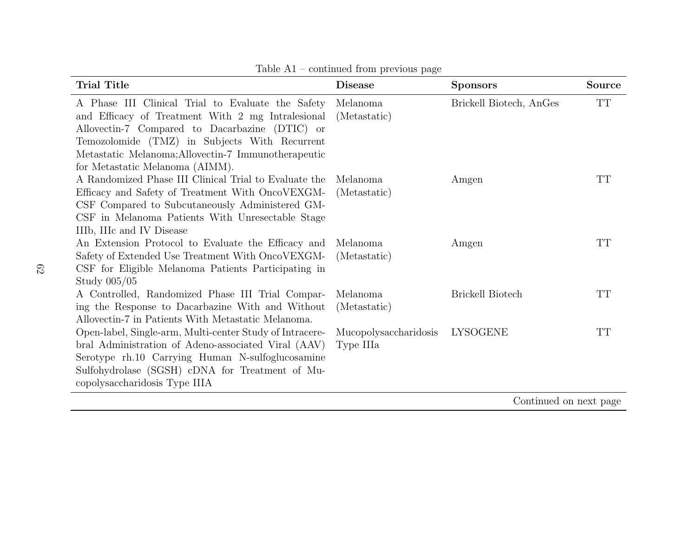| <b>Trial Title</b>                                                                                                                                                                                                                                                                                  | <b>Disease</b>                     | <b>Sponsors</b>         | <b>Source</b> |
|-----------------------------------------------------------------------------------------------------------------------------------------------------------------------------------------------------------------------------------------------------------------------------------------------------|------------------------------------|-------------------------|---------------|
| A Phase III Clinical Trial to Evaluate the Safety<br>and Efficacy of Treatment With 2 mg Intralesional<br>Allovectin-7 Compared to Dacarbazine (DTIC) or<br>Temozolomide (TMZ) in Subjects With Recurrent<br>Metastatic Melanoma; Allovectin-7 Immunotherapeutic<br>for Metastatic Melanoma (AIMM). | Melanoma<br>(Metastatic)           | Brickell Biotech, AnGes | <b>TT</b>     |
| A Randomized Phase III Clinical Trial to Evaluate the<br>Efficacy and Safety of Treatment With OncoVEXGM-<br>CSF Compared to Subcutaneously Administered GM-<br>CSF in Melanoma Patients With Unresectable Stage<br>IIIb, IIIc and IV Disease                                                       | Melanoma<br>(Metastatic)           | Amgen                   | TT            |
| An Extension Protocol to Evaluate the Efficacy and<br>Safety of Extended Use Treatment With OncoVEXGM-<br>CSF for Eligible Melanoma Patients Participating in<br>Study 005/05                                                                                                                       | Melanoma<br>(Metastatic)           | Amgen                   | TT            |
| A Controlled, Randomized Phase III Trial Compar-<br>ing the Response to Dacarbazine With and Without<br>Allovectin-7 in Patients With Metastatic Melanoma.                                                                                                                                          | Melanoma<br>(Metastatic)           | <b>Brickell Biotech</b> | <b>TT</b>     |
| Open-label, Single-arm, Multi-center Study of Intracere-<br>bral Administration of Adeno-associated Viral (AAV)<br>Serotype rh.10 Carrying Human N-sulfoglucosamine<br>Sulfohydrolase (SGSH) cDNA for Treatment of Mu-<br>copolysaccharidosis Type IIIA                                             | Mucopolysaccharidosis<br>Type IIIa | <b>LYSOGENE</b>         | TT            |
|                                                                                                                                                                                                                                                                                                     |                                    | Continued on nort page  |               |

Table A1 – continued from previous page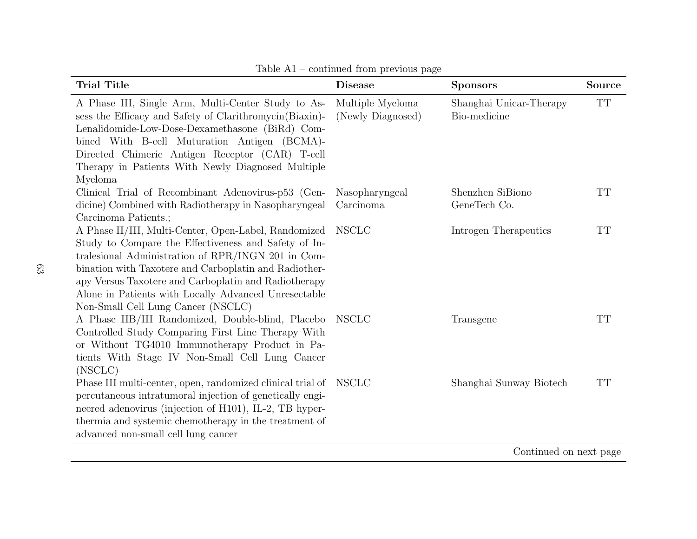| <b>Trial Title</b>                                                                                                                                                                                                                                                                                                                                                                | <b>Disease</b>                        | <b>Sponsors</b>                         | <b>Source</b>            |
|-----------------------------------------------------------------------------------------------------------------------------------------------------------------------------------------------------------------------------------------------------------------------------------------------------------------------------------------------------------------------------------|---------------------------------------|-----------------------------------------|--------------------------|
| A Phase III, Single Arm, Multi-Center Study to As-<br>sess the Efficacy and Safety of Clarithromycin(Biaxin)-<br>Lenalidomide-Low-Dose-Dexamethasone (BiRd) Com-<br>bined With B-cell Muturation Antigen (BCMA)-<br>Directed Chimeric Antigen Receptor (CAR) T-cell<br>Therapy in Patients With Newly Diagnosed Multiple<br>Myeloma                                               | Multiple Myeloma<br>(Newly Diagnosed) | Shanghai Unicar-Therapy<br>Bio-medicine | $\mathcal{T}\mathcal{T}$ |
| Clinical Trial of Recombinant Adenovirus-p53 (Gen-<br>dicine) Combined with Radiotherapy in Nasopharyngeal<br>Carcinoma Patients.;                                                                                                                                                                                                                                                | Nasopharyngeal<br>Carcinoma           | Shenzhen SiBiono<br>GeneTech Co.        | TT                       |
| A Phase II/III, Multi-Center, Open-Label, Randomized<br>Study to Compare the Effectiveness and Safety of In-<br>tralesional Administration of RPR/INGN 201 in Com-<br>bination with Taxotere and Carboplatin and Radiother-<br>apy Versus Taxotere and Carboplatin and Radiotherapy<br>Alone in Patients with Locally Advanced Unresectable<br>Non-Small Cell Lung Cancer (NSCLC) | NSCLC                                 | Introgen Therapeutics                   | <b>TT</b>                |
| A Phase IIB/III Randomized, Double-blind, Placebo<br>Controlled Study Comparing First Line Therapy With<br>or Without TG4010 Immunotherapy Product in Pa-<br>tients With Stage IV Non-Small Cell Lung Cancer<br>(NSCLC)                                                                                                                                                           | NSCLC                                 | Transgene                               | <b>TT</b>                |
| Phase III multi-center, open, randomized clinical trial of NSCLC<br>percutaneous intratumoral injection of genetically engi-<br>neered adenovirus (injection of H101), IL-2, TB hyper-<br>thermia and systemic chemotherapy in the treatment of<br>advanced non-small cell lung cancer                                                                                            |                                       | Shanghai Sunway Biotech                 | <b>TT</b>                |

Table A1 – continued from previous page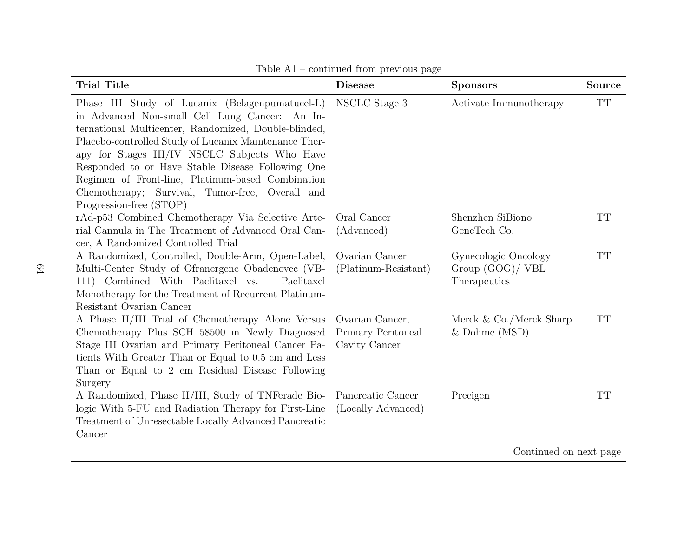| <b>Trial Title</b>                                                                                                                                                                                                                                                                                                                                                                                                                                          | <b>Disease</b>                                         | <b>Sponsors</b>                                          | <b>Source</b> |
|-------------------------------------------------------------------------------------------------------------------------------------------------------------------------------------------------------------------------------------------------------------------------------------------------------------------------------------------------------------------------------------------------------------------------------------------------------------|--------------------------------------------------------|----------------------------------------------------------|---------------|
| Phase III Study of Lucanix (Belagenpumatucel-L)<br>in Advanced Non-small Cell Lung Cancer: An In-<br>ternational Multicenter, Randomized, Double-blinded,<br>Placebo-controlled Study of Lucanix Maintenance Ther-<br>apy for Stages III/IV NSCLC Subjects Who Have<br>Responded to or Have Stable Disease Following One<br>Regimen of Front-line, Platinum-based Combination<br>Chemotherapy; Survival, Tumor-free, Overall and<br>Progression-free (STOP) | NSCLC Stage 3                                          | Activate Immunotherapy                                   | <b>TT</b>     |
| rAd-p53 Combined Chemotherapy Via Selective Arte-<br>rial Cannula in The Treatment of Advanced Oral Can-<br>cer, A Randomized Controlled Trial                                                                                                                                                                                                                                                                                                              | Oral Cancer<br>(Advanced)                              | Shenzhen SiBiono<br>GeneTech Co.                         | TT            |
| A Randomized, Controlled, Double-Arm, Open-Label,<br>Multi-Center Study of Ofranergene Obadenovec (VB-<br>111) Combined With Paclitaxel vs.<br>Paclitaxel<br>Monotherapy for the Treatment of Recurrent Platinum-<br>Resistant Ovarian Cancer                                                                                                                                                                                                               | Ovarian Cancer<br>(Platinum-Resistant)                 | Gynecologic Oncology<br>Group (GOG)/ VBL<br>Therapeutics | <b>TT</b>     |
| A Phase II/III Trial of Chemotherapy Alone Versus<br>Chemotherapy Plus SCH 58500 in Newly Diagnosed<br>Stage III Ovarian and Primary Peritoneal Cancer Pa-<br>tients With Greater Than or Equal to 0.5 cm and Less<br>Than or Equal to 2 cm Residual Disease Following<br>Surgery                                                                                                                                                                           | Ovarian Cancer,<br>Primary Peritoneal<br>Cavity Cancer | Merck $& Co./Merck Sharp$<br>$&$ Dohme (MSD)             | <b>TT</b>     |
| A Randomized, Phase II/III, Study of TNFerade Bio-<br>logic With 5-FU and Radiation Therapy for First-Line<br>Treatment of Unresectable Locally Advanced Pancreatic<br>Cancer                                                                                                                                                                                                                                                                               | Pancreatic Cancer<br>(Locally Advanced)                | Precigen                                                 | <b>TT</b>     |

Table A1 – continued from previous page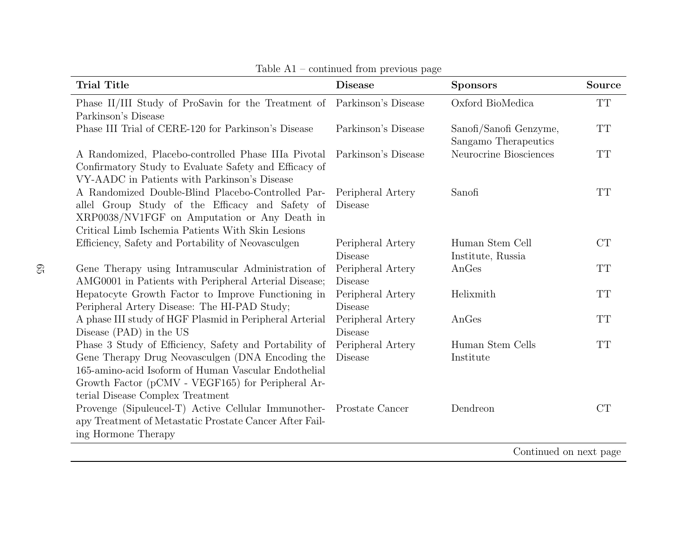| <b>Trial Title</b>                                                                                                                                                                                                                                          | <b>Disease</b>                      | <b>Sponsors</b>                                | <b>Source</b> |
|-------------------------------------------------------------------------------------------------------------------------------------------------------------------------------------------------------------------------------------------------------------|-------------------------------------|------------------------------------------------|---------------|
| Phase II/III Study of ProSavin for the Treatment of<br>Parkinson's Disease                                                                                                                                                                                  | Parkinson's Disease                 | Oxford BioMedica                               | <b>TT</b>     |
| Phase III Trial of CERE-120 for Parkinson's Disease                                                                                                                                                                                                         | Parkinson's Disease                 | Sanofi/Sanofi Genzyme,<br>Sangamo Therapeutics | <b>TT</b>     |
| A Randomized, Placebo-controlled Phase IIIa Pivotal<br>Confirmatory Study to Evaluate Safety and Efficacy of<br>VY-AADC in Patients with Parkinson's Disease                                                                                                | Parkinson's Disease                 | Neurocrine Biosciences                         | <b>TT</b>     |
| A Randomized Double-Blind Placebo-Controlled Par-<br>allel Group Study of the Efficacy and Safety of<br>XRP0038/NV1FGF on Amputation or Any Death in<br>Critical Limb Ischemia Patients With Skin Lesions                                                   | Peripheral Artery<br><b>Disease</b> | Sanofi                                         | TT            |
| Efficiency, Safety and Portability of Neovasculgen                                                                                                                                                                                                          | Peripheral Artery<br><b>Disease</b> | Human Stem Cell<br>Institute, Russia           | CT            |
| Gene Therapy using Intramuscular Administration of<br>AMG0001 in Patients with Peripheral Arterial Disease;                                                                                                                                                 | Peripheral Artery<br><b>Disease</b> | AnGes                                          | <b>TT</b>     |
| Hepatocyte Growth Factor to Improve Functioning in<br>Peripheral Artery Disease: The HI-PAD Study;                                                                                                                                                          | Peripheral Artery<br><b>Disease</b> | Helixmith                                      | <b>TT</b>     |
| A phase III study of HGF Plasmid in Peripheral Arterial<br>Disease (PAD) in the US                                                                                                                                                                          | Peripheral Artery<br><b>Disease</b> | AnGes                                          | <b>TT</b>     |
| Phase 3 Study of Efficiency, Safety and Portability of<br>Gene Therapy Drug Neovasculgen (DNA Encoding the<br>165-amino-acid Isoform of Human Vascular Endothelial<br>Growth Factor (pCMV - VEGF165) for Peripheral Ar-<br>terial Disease Complex Treatment | Peripheral Artery<br><b>Disease</b> | Human Stem Cells<br>Institute                  | <b>TT</b>     |
| Provenge (Sipuleucel-T) Active Cellular Immunother- Prostate Cancer<br>apy Treatment of Metastatic Prostate Cancer After Fail-<br>ing Hormone Therapy                                                                                                       |                                     | Dendreon                                       | CT            |
| Continued on next page                                                                                                                                                                                                                                      |                                     |                                                |               |

Table A1 – continued from previous page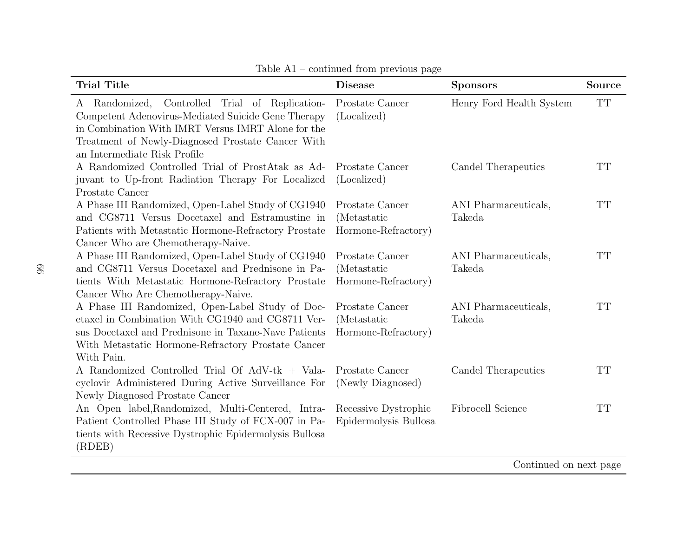| <b>Trial Title</b>                                                                                                                                                                                                                                    | <b>Disease</b>                                                | <b>Sponsors</b>                              | Source    |
|-------------------------------------------------------------------------------------------------------------------------------------------------------------------------------------------------------------------------------------------------------|---------------------------------------------------------------|----------------------------------------------|-----------|
| Controlled Trial of Replication-<br>Randomized,<br>A<br>Competent Adenovirus-Mediated Suicide Gene Therapy<br>in Combination With IMRT Versus IMRT Alone for the<br>Treatment of Newly-Diagnosed Prostate Cancer With<br>an Intermediate Risk Profile | Prostate Cancer<br>(Localized)                                | Henry Ford Health System                     | <b>TT</b> |
| A Randomized Controlled Trial of ProstAtak as Ad-<br>juvant to Up-front Radiation Therapy For Localized<br>Prostate Cancer                                                                                                                            | Prostate Cancer<br>(Localized)                                | Candel Therapeutics                          | <b>TT</b> |
| A Phase III Randomized, Open-Label Study of CG1940<br>and CG8711 Versus Docetaxel and Estramustine in<br>Patients with Metastatic Hormone-Refractory Prostate<br>Cancer Who are Chemotherapy-Naive.                                                   | Prostate Cancer<br><i>(Metastatic)</i><br>Hormone-Refractory) | ANI Pharmaceuticals,<br>Takeda               | TT        |
| A Phase III Randomized, Open-Label Study of CG1940<br>and CG8711 Versus Docetaxel and Prednisone in Pa-<br>tients With Metastatic Hormone-Refractory Prostate<br>Cancer Who Are Chemotherapy-Naive.                                                   | Prostate Cancer<br><i>(Metastatic)</i><br>Hormone-Refractory) | ANI Pharmaceuticals,<br>Takeda               | <b>TT</b> |
| A Phase III Randomized, Open-Label Study of Doc-<br>etaxel in Combination With CG1940 and CG8711 Ver-<br>sus Docetaxel and Prednisone in Taxane-Nave Patients<br>With Metastatic Hormone-Refractory Prostate Cancer<br>With Pain.                     | Prostate Cancer<br><i>(Metastatic)</i><br>Hormone-Refractory) | ANI Pharmaceuticals,<br>Takeda               | <b>TT</b> |
| A Randomized Controlled Trial Of AdV-tk + Vala-<br>cyclovir Administered During Active Surveillance For<br>Newly Diagnosed Prostate Cancer                                                                                                            | Prostate Cancer<br>(Newly Diagnosed)                          | Candel Therapeutics                          | TT        |
| An Open label, Randomized, Multi-Centered, Intra-<br>Patient Controlled Phase III Study of FCX-007 in Pa-<br>tients with Recessive Dystrophic Epidermolysis Bullosa<br>(RDEB)                                                                         | Recessive Dystrophic<br>Epidermolysis Bullosa                 | Fibrocell Science<br>$Ooptimal$ on nort name | TT        |

Table A1 – continued from previous page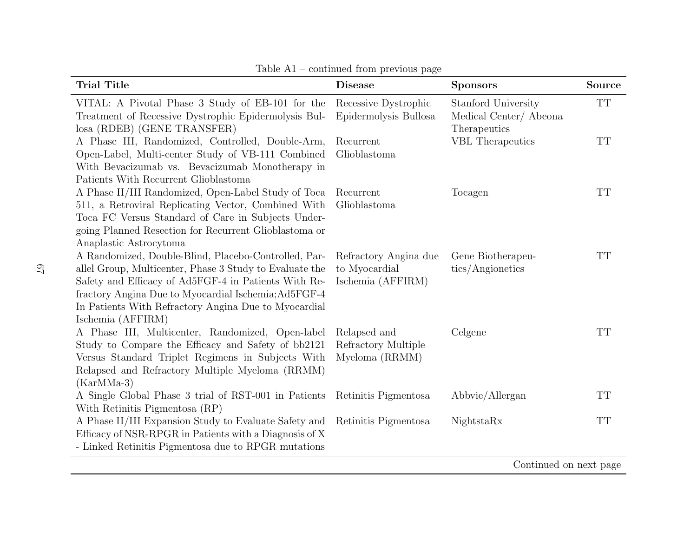| <b>Trial Title</b>                                                                                                                                                                                                                                                                                           | <b>Disease</b>                                              | <b>Sponsors</b>                                              | Source    |
|--------------------------------------------------------------------------------------------------------------------------------------------------------------------------------------------------------------------------------------------------------------------------------------------------------------|-------------------------------------------------------------|--------------------------------------------------------------|-----------|
| VITAL: A Pivotal Phase 3 Study of EB-101 for the<br>Treatment of Recessive Dystrophic Epidermolysis Bul-<br>losa (RDEB) (GENE TRANSFER)                                                                                                                                                                      | Recessive Dystrophic<br>Epidermolysis Bullosa               | Stanford University<br>Medical Center/Abeona<br>Therapeutics | <b>TT</b> |
| A Phase III, Randomized, Controlled, Double-Arm,<br>Open-Label, Multi-center Study of VB-111 Combined<br>With Bevacizumab vs. Bevacizumab Monotherapy in<br>Patients With Recurrent Glioblastoma                                                                                                             | Recurrent<br>Glioblastoma                                   | <b>VBL</b> Therapeutics                                      | <b>TT</b> |
| A Phase II/III Randomized, Open-Label Study of Toca<br>511, a Retroviral Replicating Vector, Combined With<br>Toca FC Versus Standard of Care in Subjects Under-<br>going Planned Resection for Recurrent Glioblastoma or<br>Anaplastic Astrocytoma                                                          | Recurrent<br>Glioblastoma                                   | Tocagen                                                      | <b>TT</b> |
| A Randomized, Double-Blind, Placebo-Controlled, Par-<br>allel Group, Multicenter, Phase 3 Study to Evaluate the<br>Safety and Efficacy of Ad5FGF-4 in Patients With Re-<br>fractory Angina Due to Myocardial Ischemia; Ad5FGF-4<br>In Patients With Refractory Angina Due to Myocardial<br>Ischemia (AFFIRM) | Refractory Angina due<br>to Myocardial<br>Ischemia (AFFIRM) | Gene Biotherapeu-<br>tics/Angionetics                        | <b>TT</b> |
| A Phase III, Multicenter, Randomized, Open-label<br>Study to Compare the Efficacy and Safety of bb2121<br>Versus Standard Triplet Regimens in Subjects With<br>Relapsed and Refractory Multiple Myeloma (RRMM)<br>$(KarMMa-3)$                                                                               | Relapsed and<br>Refractory Multiple<br>Myeloma (RRMM)       | Celgene                                                      | <b>TT</b> |
| A Single Global Phase 3 trial of RST-001 in Patients<br>With Retinitis Pigmentosa (RP)                                                                                                                                                                                                                       | Retinitis Pigmentosa                                        | Abbyie/Allergan                                              | <b>TT</b> |
| A Phase II/III Expansion Study to Evaluate Safety and<br>Efficacy of NSR-RPGR in Patients with a Diagnosis of X<br>- Linked Retinitis Pigmentosa due to RPGR mutations                                                                                                                                       | Retinitis Pigmentosa                                        | NightstaRx                                                   | <b>TT</b> |
|                                                                                                                                                                                                                                                                                                              |                                                             | Continued on next page                                       |           |

Table A1 – continued from previous page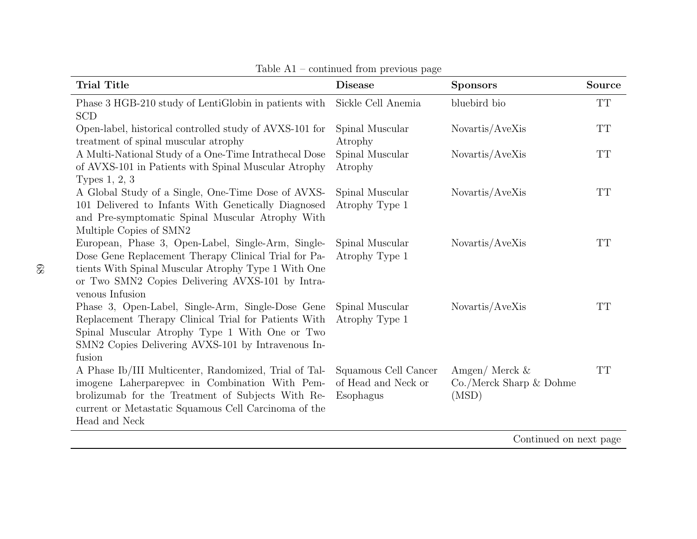| <b>Trial Title</b>                                                                                                                                                                                                                       | <b>Disease</b>                                           | <b>Sponsors</b>                                            | <b>Source</b> |
|------------------------------------------------------------------------------------------------------------------------------------------------------------------------------------------------------------------------------------------|----------------------------------------------------------|------------------------------------------------------------|---------------|
| Phase 3 HGB-210 study of LentiGlobin in patients with<br><b>SCD</b>                                                                                                                                                                      | Sickle Cell Anemia                                       | bluebird bio                                               | <b>TT</b>     |
| Open-label, historical controlled study of AVXS-101 for<br>treatment of spinal muscular atrophy                                                                                                                                          | Spinal Muscular<br>Atrophy                               | Novartis/AveXis                                            | <b>TT</b>     |
| A Multi-National Study of a One-Time Intrathecal Dose<br>of AVXS-101 in Patients with Spinal Muscular Atrophy<br>Types 1, 2, 3                                                                                                           | Spinal Muscular<br>Atrophy                               | Novartis/AveXis                                            | <b>TT</b>     |
| A Global Study of a Single, One-Time Dose of AVXS-<br>101 Delivered to Infants With Genetically Diagnosed<br>and Pre-symptomatic Spinal Muscular Atrophy With<br>Multiple Copies of SMN2                                                 | Spinal Muscular<br>Atrophy Type 1                        | Novartis/AveXis                                            | <b>TT</b>     |
| European, Phase 3, Open-Label, Single-Arm, Single-<br>Dose Gene Replacement Therapy Clinical Trial for Pa-<br>tients With Spinal Muscular Atrophy Type 1 With One<br>or Two SMN2 Copies Delivering AVXS-101 by Intra-<br>venous Infusion | Spinal Muscular<br>Atrophy Type 1                        | Novartis/AveXis                                            | <b>TT</b>     |
| Phase 3, Open-Label, Single-Arm, Single-Dose Gene<br>Replacement Therapy Clinical Trial for Patients With<br>Spinal Muscular Atrophy Type 1 With One or Two<br>SMN2 Copies Delivering AVXS-101 by Intravenous In-<br>fusion              | Spinal Muscular<br>Atrophy Type 1                        | Novartis/AveXis                                            | <b>TT</b>     |
| A Phase Ib/III Multicenter, Randomized, Trial of Tal-<br>imogene Laherparepvec in Combination With Pem-<br>brolizumab for the Treatment of Subjects With Re-<br>current or Metastatic Squamous Cell Carcinoma of the<br>Head and Neck    | Squamous Cell Cancer<br>of Head and Neck or<br>Esophagus | Amgen/ Merck $\&$<br>$Co./$ Merck Sharp $&$ Dohme<br>(MSD) | TT            |

Table A1 – continued from previous page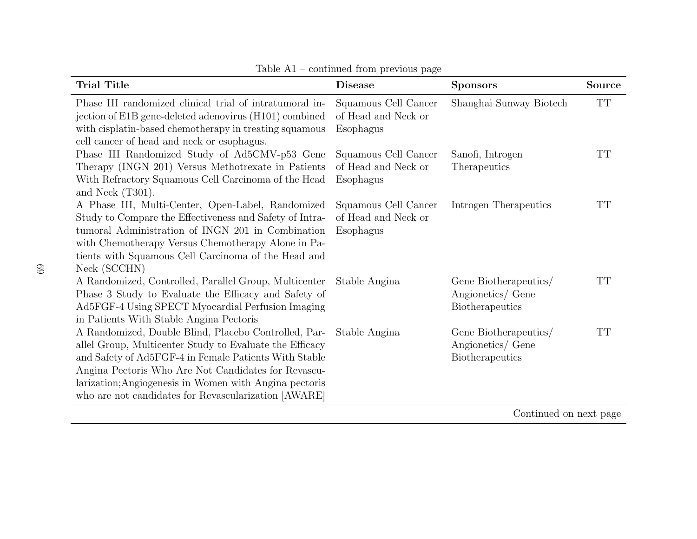| <b>Trial Title</b>                                                                                                                                                                                                                                                                                                                                | <b>Disease</b>                                           | <b>Sponsors</b>                                                      | <b>Source</b> |
|---------------------------------------------------------------------------------------------------------------------------------------------------------------------------------------------------------------------------------------------------------------------------------------------------------------------------------------------------|----------------------------------------------------------|----------------------------------------------------------------------|---------------|
| Phase III randomized clinical trial of intratumoral in-<br>jection of E1B gene-deleted adenovirus (H101) combined<br>with cisplatin-based chemotherapy in treating squamous<br>cell cancer of head and neck or esophagus.                                                                                                                         | Squamous Cell Cancer<br>of Head and Neck or<br>Esophagus | Shanghai Sunway Biotech                                              | TT            |
| Phase III Randomized Study of Ad5CMV-p53 Gene<br>Therapy (INGN 201) Versus Methotrexate in Patients<br>With Refractory Squamous Cell Carcinoma of the Head<br>and Neck $(T301)$ .                                                                                                                                                                 | Squamous Cell Cancer<br>of Head and Neck or<br>Esophagus | Sanofi, Introgen<br>Therapeutics                                     | TТ            |
| A Phase III, Multi-Center, Open-Label, Randomized<br>Study to Compare the Effectiveness and Safety of Intra-<br>tumoral Administration of INGN 201 in Combination<br>with Chemotherapy Versus Chemotherapy Alone in Pa-<br>tients with Squamous Cell Carcinoma of the Head and<br>Neck (SCCHN)                                                    | Squamous Cell Cancer<br>of Head and Neck or<br>Esophagus | Introgen Therapeutics                                                | TТ            |
| A Randomized, Controlled, Parallel Group, Multicenter<br>Phase 3 Study to Evaluate the Efficacy and Safety of<br>Ad5FGF-4 Using SPECT Myocardial Perfusion Imaging<br>in Patients With Stable Angina Pectoris                                                                                                                                     | Stable Angina                                            | Gene Biotherapeutics/<br>Angionetics/ Gene<br><b>Biotherapeutics</b> | TT            |
| A Randomized, Double Blind, Placebo Controlled, Par-<br>allel Group, Multicenter Study to Evaluate the Efficacy<br>and Safety of Ad5FGF-4 in Female Patients With Stable<br>Angina Pectoris Who Are Not Candidates for Revascu-<br>larization; Angiogenesis in Women with Angina pectoris<br>who are not candidates for Revascularization [AWARE] | Stable Angina                                            | Gene Biotherapeutics/<br>Angionetics/ Gene<br>Biotherapeutics        | $\rm TT$      |

Table A1 – continued from previous page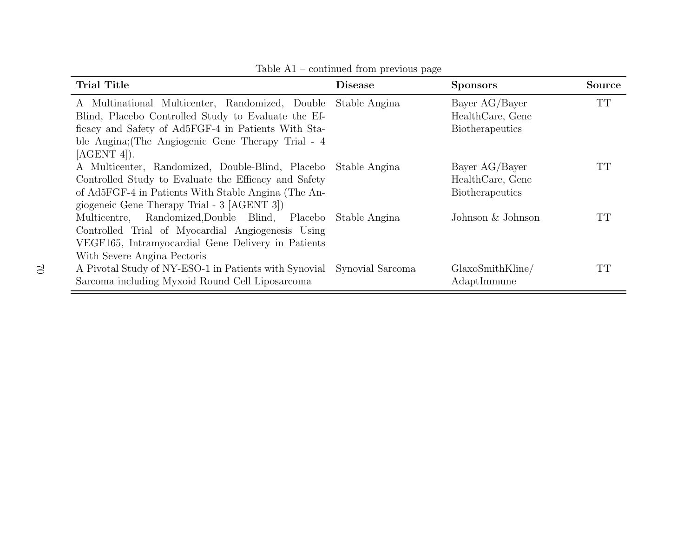| <b>Trial Title</b>                                                     | <b>Disease</b> | <b>Sponsors</b>        | <b>Source</b> |
|------------------------------------------------------------------------|----------------|------------------------|---------------|
| A Multinational Multicenter, Randomized, Double Stable Angina          |                | Bayer AG/Bayer         | <b>TT</b>     |
| Blind, Placebo Controlled Study to Evaluate the Ef-                    |                | HealthCare, Gene       |               |
| ficacy and Safety of Ad5FGF-4 in Patients With Sta-                    |                | <b>Biotherapeutics</b> |               |
| ble Angina; (The Angiogenic Gene Therapy Trial - 4                     |                |                        |               |
| $[AGENT 4]$ .                                                          |                |                        |               |
| A Multicenter, Randomized, Double-Blind, Placebo Stable Angina         |                | Bayer AG/Bayer         | TT            |
| Controlled Study to Evaluate the Efficacy and Safety                   |                | HealthCare, Gene       |               |
| of Ad5FGF-4 in Patients With Stable Angina (The An-                    |                | <b>Biotherapeutics</b> |               |
| giogeneic Gene Therapy Trial - 3 [AGENT 3])                            |                |                        |               |
| Multicentre, Randomized, Double Blind, Placebo Stable Angina           |                | Johnson $&$ Johnson    | TT            |
| Controlled Trial of Myocardial Angiogenesis Using                      |                |                        |               |
| VEGF165, Intramyocardial Gene Delivery in Patients                     |                |                        |               |
| With Severe Angina Pectoris                                            |                |                        |               |
| A Pivotal Study of NY-ESO-1 in Patients with Synovial Synovial Sarcoma |                | GlaxoSmithKline/       | TT            |
| Sarcoma including Myxoid Round Cell Liposarcoma                        |                | AdaptImmune            |               |

Table A1 – continued from previous page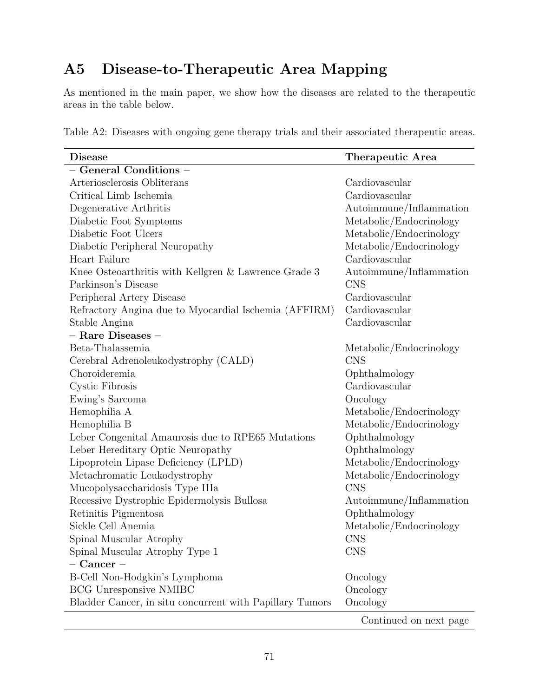# A5 Disease-to-Therapeutic Area Mapping

As mentioned in the main paper, we show how the diseases are related to the therapeutic areas in the table below.

|  |  |  |  |  |  |  |  |  |  | Table A2: Diseases with ongoing gene therapy trials and their associated therapeutic areas. |  |
|--|--|--|--|--|--|--|--|--|--|---------------------------------------------------------------------------------------------|--|
|--|--|--|--|--|--|--|--|--|--|---------------------------------------------------------------------------------------------|--|

| <b>Disease</b>                                           | Therapeutic Area        |
|----------------------------------------------------------|-------------------------|
| - General Conditions -                                   |                         |
| Arteriosclerosis Obliterans                              | Cardiovascular          |
| Critical Limb Ischemia                                   | Cardiovascular          |
| Degenerative Arthritis                                   | Autoimmune/Inflammation |
| Diabetic Foot Symptoms                                   | Metabolic/Endocrinology |
| Diabetic Foot Ulcers                                     | Metabolic/Endocrinology |
| Diabetic Peripheral Neuropathy                           | Metabolic/Endocrinology |
| Heart Failure                                            | Cardiovascular          |
| Knee Osteoarthritis with Kellgren & Lawrence Grade 3     | Autoimmune/Inflammation |
| Parkinson's Disease                                      | <b>CNS</b>              |
| Peripheral Artery Disease                                | Cardiovascular          |
| Refractory Angina due to Myocardial Ischemia (AFFIRM)    | Cardiovascular          |
| Stable Angina                                            | Cardiovascular          |
| - Rare Diseases -                                        |                         |
| Beta-Thalassemia                                         | Metabolic/Endocrinology |
| Cerebral Adrenoleukodystrophy (CALD)                     | <b>CNS</b>              |
| Choroideremia                                            | Ophthalmology           |
| Cystic Fibrosis                                          | Cardiovascular          |
| Ewing's Sarcoma                                          | Oncology                |
| Hemophilia A                                             | Metabolic/Endocrinology |
| Hemophilia B                                             | Metabolic/Endocrinology |
| Leber Congenital Amaurosis due to RPE65 Mutations        | Ophthalmology           |
| Leber Hereditary Optic Neuropathy                        | Ophthalmology           |
| Lipoprotein Lipase Deficiency (LPLD)                     | Metabolic/Endocrinology |
| Metachromatic Leukodystrophy                             | Metabolic/Endocrinology |
| Mucopolysaccharidosis Type IIIa                          | <b>CNS</b>              |
| Recessive Dystrophic Epidermolysis Bullosa               | Autoimmune/Inflammation |
| Retinitis Pigmentosa                                     | Ophthalmology           |
| Sickle Cell Anemia                                       | Metabolic/Endocrinology |
| Spinal Muscular Atrophy                                  | <b>CNS</b>              |
| Spinal Muscular Atrophy Type 1                           | <b>CNS</b>              |
| $-$ Cancer $-$                                           |                         |
| B-Cell Non-Hodgkin's Lymphoma                            | Oncology                |
| <b>BCG Unresponsive NMIBC</b>                            | Oncology                |
| Bladder Cancer, in situ concurrent with Papillary Tumors | Oncology                |
|                                                          | Continued on next page  |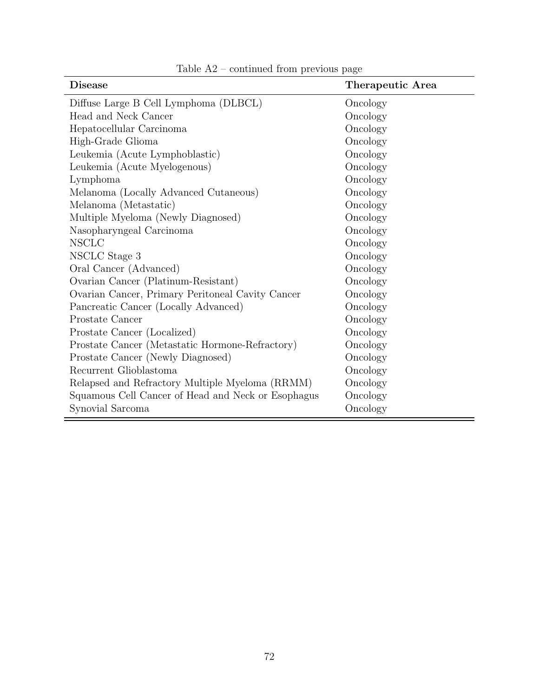| <b>Disease</b>                                     | Therapeutic Area |
|----------------------------------------------------|------------------|
| Diffuse Large B Cell Lymphoma (DLBCL)              | Oncology         |
| Head and Neck Cancer                               | Oncology         |
| Hepatocellular Carcinoma                           | Oncology         |
| High-Grade Glioma                                  | Oncology         |
| Leukemia (Acute Lymphoblastic)                     | Oncology         |
| Leukemia (Acute Myelogenous)                       | Oncology         |
| Lymphoma                                           | Oncology         |
| Melanoma (Locally Advanced Cutaneous)              | Oncology         |
| Melanoma (Metastatic)                              | Oncology         |
| Multiple Myeloma (Newly Diagnosed)                 | Oncology         |
| Nasopharyngeal Carcinoma                           | Oncology         |
| <b>NSCLC</b>                                       | Oncology         |
| NSCLC Stage 3                                      | Oncology         |
| Oral Cancer (Advanced)                             | Oncology         |
| Ovarian Cancer (Platinum-Resistant)                | Oncology         |
| Ovarian Cancer, Primary Peritoneal Cavity Cancer   | Oncology         |
| Pancreatic Cancer (Locally Advanced)               | Oncology         |
| Prostate Cancer                                    | Oncology         |
| Prostate Cancer (Localized)                        | Oncology         |
| Prostate Cancer (Metastatic Hormone-Refractory)    | Oncology         |
| Prostate Cancer (Newly Diagnosed)                  | Oncology         |
| Recurrent Glioblastoma                             | Oncology         |
| Relapsed and Refractory Multiple Myeloma (RRMM)    | Oncology         |
| Squamous Cell Cancer of Head and Neck or Esophagus | Oncology         |
| Synovial Sarcoma                                   | Oncology         |

Table  $\rm{A2}$  – continued from previous page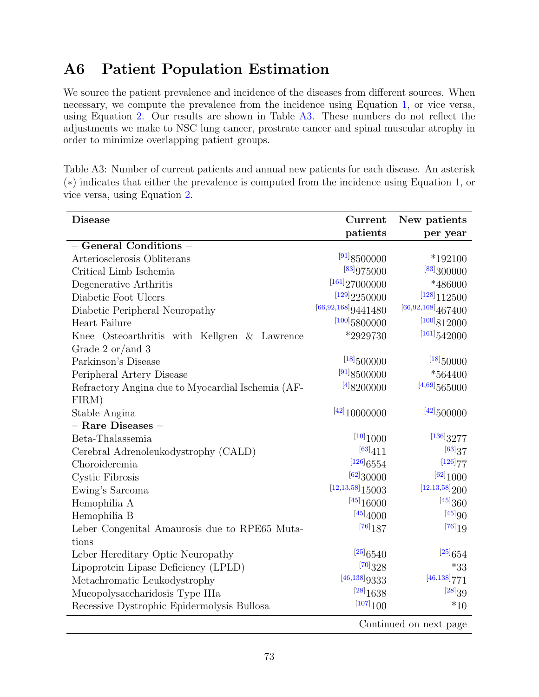## A6 Patient Population Estimation

We source the patient prevalence and incidence of the diseases from different sources. When necessary, we compute the prevalence from the incidence using Equation [1,](#page-9-0) or vice versa, using Equation [2.](#page-9-1) Our results are shown in Table [A3.](#page-74-0) These numbers do not reflect the adjustments we make to NSC lung cancer, prostrate cancer and spinal muscular atrophy in order to minimize overlapping patient groups.

<span id="page-74-0"></span>Table A3: Number of current patients and annual new patients for each disease. An asterisk (∗) indicates that either the prevalence is computed from the incidence using Equation [1,](#page-9-0) or vice versa, using Equation [2.](#page-9-1)

| <b>Disease</b>                                    | Current                 | New patients            |  |  |  |  |
|---------------------------------------------------|-------------------------|-------------------------|--|--|--|--|
|                                                   | patients                | per year                |  |  |  |  |
| - General Conditions -                            |                         |                         |  |  |  |  |
| Arteriosclerosis Obliterans                       | [91]8500000             | $*192100$               |  |  |  |  |
| Critical Limb Ischemia                            | [83]975000              | [83]300000              |  |  |  |  |
| Degenerative Arthritis                            | [161]27000000           | *486000                 |  |  |  |  |
| Diabetic Foot Ulcers                              | [129]2250000            | $^{[128]}112500$        |  |  |  |  |
| Diabetic Peripheral Neuropathy                    | $^{[66,92,168]}9441480$ | $^{[66,92,168]}467400$  |  |  |  |  |
| Heart Failure                                     | $^{\rm [100]}5800000$   | $^{\rm [100]}812000$    |  |  |  |  |
| Knee Osteoarthritis with Kellgren & Lawrence      | *2929730                | $^{[161]}542000$        |  |  |  |  |
| Grade 2 or/and 3                                  |                         |                         |  |  |  |  |
| Parkinson's Disease                               | $[18]$ 500000           | $[18]$ 50000            |  |  |  |  |
| Peripheral Artery Disease                         | $^{\text{[91]}}8500000$ | $*564400$               |  |  |  |  |
| Refractory Angina due to Myocardial Ischemia (AF- | [4]8200000              | $^{[4,69]}565000$       |  |  |  |  |
| FIRM)                                             |                         |                         |  |  |  |  |
| Stable Angina                                     | $[42]$ 10000000         | $[42]$ 500000           |  |  |  |  |
| $-$ Rare Diseases $-$                             |                         |                         |  |  |  |  |
| Beta-Thalassemia                                  | [10]1000                | $[136]$ 3277            |  |  |  |  |
| Cerebral Adrenoleukodystrophy (CALD)              | $^{[63]}411$            | [63]37                  |  |  |  |  |
| Choroideremia                                     | $[126]$ 6554            | [126] 77                |  |  |  |  |
| Cystic Fibrosis                                   | [62]30000               | [62]1000                |  |  |  |  |
| Ewing's Sarcoma                                   | $[12, 13, 58]$ 15003    | $[12, 13, 58]$ 200      |  |  |  |  |
| Hemophilia A                                      | [45]16000               | $\left[45\right]360$    |  |  |  |  |
| Hemophilia B                                      | [45]4000                | [45]90                  |  |  |  |  |
| Leber Congenital Amaurosis due to RPE65 Muta-     | $[76]$ 187              | $\left[76\right]19$     |  |  |  |  |
| tions                                             |                         |                         |  |  |  |  |
| Leber Hereditary Optic Neuropathy                 | [25]6540                | $\phantom{a}^{[25]}654$ |  |  |  |  |
| Lipoprotein Lipase Deficiency (LPLD)              | [70]328                 | $*33$                   |  |  |  |  |
| Metachromatic Leukodystrophy                      | [46, 138] 9333          | $[46, 138]$ 771         |  |  |  |  |
| Mucopolysaccharidosis Type IIIa                   | [28]1638                | [28]39                  |  |  |  |  |
| Recessive Dystrophic Epidermolysis Bullosa        | [107]100                | $^{\ast}10$             |  |  |  |  |
| Continued on next page                            |                         |                         |  |  |  |  |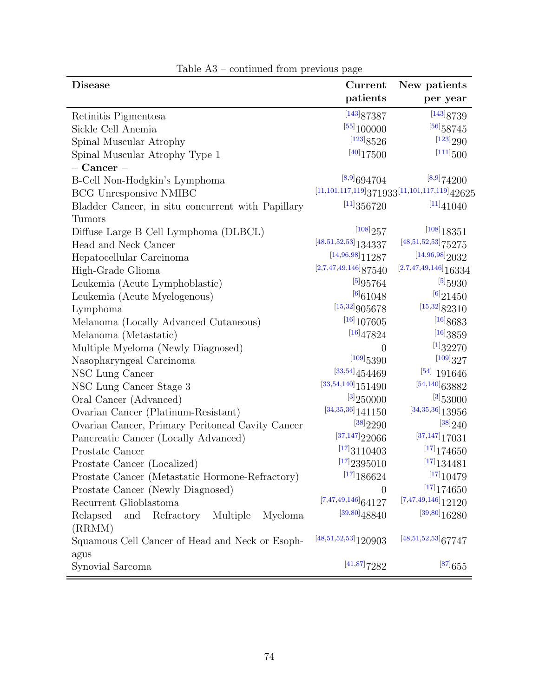| <b>Disease</b>                                                 | Current                                | New patients                                        |
|----------------------------------------------------------------|----------------------------------------|-----------------------------------------------------|
|                                                                | patients                               | per year                                            |
| Retinitis Pigmentosa                                           | [143]87387                             | [143]8739                                           |
| Sickle Cell Anemia                                             | [55]100000                             | $[56]$ 58745                                        |
| Spinal Muscular Atrophy                                        | $\left[123\right]8526$                 | [123]290                                            |
| Spinal Muscular Atrophy Type 1                                 | $[40]$ 17500                           | $[111]$ $500$                                       |
| $-$ Cancer $-$                                                 |                                        |                                                     |
| B-Cell Non-Hodgkin's Lymphoma                                  | $[8,9]$ 694704                         | [8,9]74200                                          |
| <b>BCG</b> Unresponsive NMIBC                                  |                                        | $^{[11,101,117,119]}371933^{[11,101,117,119]}42625$ |
| Bladder Cancer, in situ concurrent with Papillary              | [11]356720                             | [11]41040                                           |
| Tumors                                                         |                                        |                                                     |
| Diffuse Large B Cell Lymphoma (DLBCL)                          | [108]257                               | $^{\left[108\right]}18351$                          |
| Head and Neck Cancer                                           | $\left[48,51,52,53\right]134337$       | $\left[48,51,52,53\right]75275$                     |
| Hepatocellular Carcinoma                                       | $[14,96,98]$ $11287$                   | [14,96,98]2032                                      |
| High-Grade Glioma                                              | $[2,7,47,49,146]$ 87540                | $[2,7,47,49,146]$ 16334                             |
| Leukemia (Acute Lymphoblastic)                                 | [5]95764                               | [5]5930                                             |
| Leukemia (Acute Myelogenous)                                   | $^{[6]}61048$                          | $[6]$ 21450                                         |
| Lymphoma                                                       | $^{[15,32]}905678$                     | $\left[ 15,32\right] 82310$                         |
| Melanoma (Locally Advanced Cutaneous)                          | $^{[16]}107605$                        | [16]8683                                            |
| Melanoma (Metastatic)                                          | [16]47824                              | [16]3859                                            |
| Multiple Myeloma (Newly Diagnosed)                             |                                        | $[1]$ 32270                                         |
| Nasopharyngeal Carcinoma                                       | $^{\left[109\right]}5390$              | [109]327                                            |
| NSC Lung Cancer                                                | $\left[^{33,54}\right]454469$          | $^{[54]}$ 191646                                    |
| NSC Lung Cancer Stage 3                                        | $^{[33,54,140]}151490$                 | $\,{}^{[54,140]}63882$                              |
| Oral Cancer (Advanced)                                         | [3]250000                              | $^{[3]}$ 53000                                      |
| Ovarian Cancer (Platinum-Resistant)                            | $^{[34,35,36]}141150$                  | $^{[34,35,36]}13956$                                |
| Ovarian Cancer, Primary Peritoneal Cavity Cancer               | [38]2290                               | [38]240                                             |
| Pancreatic Cancer (Locally Advanced)                           | $^{[37,147]}22066$                     | $^{[37,147]}17031$                                  |
| Prostate Cancer                                                | [17]3110403                            | $^{[17]}$ 174650                                    |
| Prostate Cancer (Localized)                                    | $\left[ \text{^{17}\!}\right] 2395010$ | $\left[ \text{^{17}\right] }134481$                 |
| Prostate Cancer (Metastatic Hormone-Refractory)                | [17]186624                             | [17]10479                                           |
| Prostate Cancer (Newly Diagnosed)                              | $\theta$                               | [17]174650                                          |
| Recurrent Glioblastoma                                         | $[7,47,49,146]$ 64127                  | $[7,47,49,146]$ <sub>12120</sub>                    |
| Relapsed<br>Refractory<br>and<br>Multiple<br>Myeloma<br>(RRMM) | $[39,80]$ 48840                        | $[39,80]$ 16280                                     |
| Squamous Cell Cancer of Head and Neck or Esoph-                | $[48,51,52,53]$ 120903                 | $[48, 51, 52, 53]$ 67747                            |
| agus                                                           |                                        |                                                     |
| Synovial Sarcoma                                               | $[41,87]$ 7282                         | $^{[87]}$ 655                                       |

### Table A3 – continued from previous page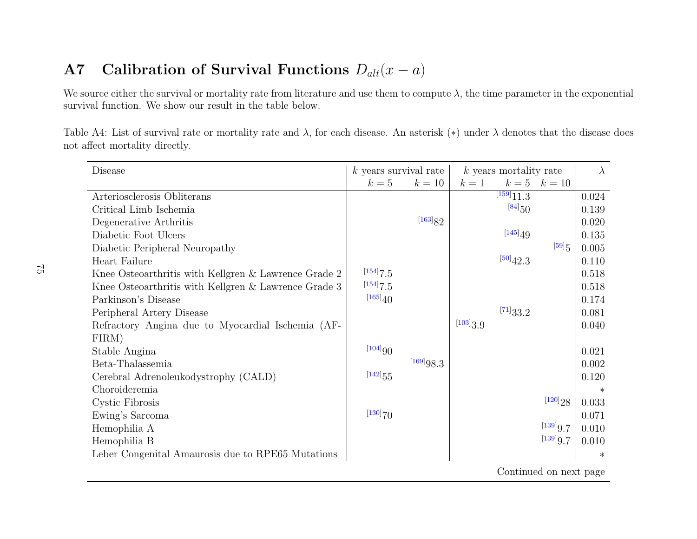#### A77 Calibration of Survival Functions  $D_{alt}(x - a)$

We source either the survival or mortality rate from literature and use them to compute  $\lambda$ , the time parameter in the exponential survival function. We show our result in the table below.

Table A4: List of survival rate or mortality rate and  $\lambda$ , for each disease. An asterisk (\*) under  $\lambda$  denotes that the disease does not affect mortality directly.

| Disease                                              | $k$ years survival rate |           | $k$ years mortality rate |                        |                  | $\lambda$ |  |  |  |
|------------------------------------------------------|-------------------------|-----------|--------------------------|------------------------|------------------|-----------|--|--|--|
|                                                      | $k=5$                   | $k=10$    | $k=1$                    |                        | $k = 5$ $k = 10$ |           |  |  |  |
| Arteriosclerosis Obliterans                          |                         |           |                          | $\overline{[159]}11.3$ |                  | 0.024     |  |  |  |
| Critical Limb Ischemia                               |                         |           |                          | $[84]_{50}$            |                  | 0.139     |  |  |  |
| Degenerative Arthritis                               |                         | [163]82   |                          |                        |                  | 0.020     |  |  |  |
| Diabetic Foot Ulcers                                 |                         |           |                          | [145]49                |                  | 0.135     |  |  |  |
| Diabetic Peripheral Neuropathy                       |                         |           |                          |                        | $[59]_5$         | 0.005     |  |  |  |
| Heart Failure                                        |                         |           |                          | [50]42.3               |                  | 0.110     |  |  |  |
| Knee Osteoarthritis with Kellgren & Lawrence Grade 2 | [154]7.5                |           |                          |                        |                  | 0.518     |  |  |  |
| Knee Osteoarthritis with Kellgren & Lawrence Grade 3 | $[154]$ 7.5             |           |                          |                        |                  | 0.518     |  |  |  |
| Parkinson's Disease                                  | [165]40                 |           |                          |                        |                  | 0.174     |  |  |  |
| Peripheral Artery Disease                            |                         |           |                          | $^{[71]}33.2$          |                  | 0.081     |  |  |  |
| Refractory Angina due to Myocardial Ischemia (AF-    |                         |           | [103]3.9                 |                        |                  | 0.040     |  |  |  |
| FIRM)                                                |                         |           |                          |                        |                  |           |  |  |  |
| Stable Angina                                        | [104]90                 |           |                          |                        |                  | 0.021     |  |  |  |
| Beta-Thalassemia                                     |                         | [169]98.3 |                          |                        |                  | 0.002     |  |  |  |
| Cerebral Adrenoleukodystrophy (CALD)                 | $[142]_{55}$            |           |                          |                        |                  | 0.120     |  |  |  |
| Choroideremia                                        |                         |           |                          |                        |                  | $\ast$    |  |  |  |
| Cystic Fibrosis                                      |                         |           |                          |                        | [120]28          | 0.033     |  |  |  |
| Ewing's Sarcoma                                      | $[130]$ 70              |           |                          |                        |                  | 0.071     |  |  |  |
| Hemophilia A                                         |                         |           |                          |                        | [139]9.7         | 0.010     |  |  |  |
| Hemophilia B                                         |                         |           |                          |                        | [139]9.7         | 0.010     |  |  |  |
| Leber Congenital Amaurosis due to RPE65 Mutations    |                         |           |                          |                        |                  | $\ast$    |  |  |  |
| Continued on next page                               |                         |           |                          |                        |                  |           |  |  |  |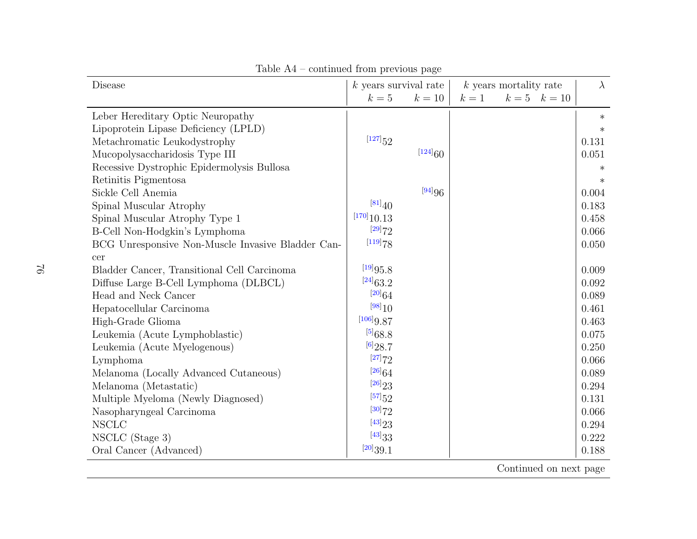| Disease                                           | $k$ years survival rate |         |       | $k$ years mortality rate |                  | $\lambda$ |
|---------------------------------------------------|-------------------------|---------|-------|--------------------------|------------------|-----------|
|                                                   | $k=5$                   | $k=10$  | $k=1$ |                          | $k = 5$ $k = 10$ |           |
| Leber Hereditary Optic Neuropathy                 |                         |         |       |                          |                  | $\ast$    |
| Lipoprotein Lipase Deficiency (LPLD)              |                         |         |       |                          |                  | $\ast$    |
| Metachromatic Leukodystrophy                      | $[127]_{52}$            |         |       |                          |                  | 0.131     |
| Mucopolysaccharidosis Type III                    |                         | [124]60 |       |                          |                  | 0.051     |
| Recessive Dystrophic Epidermolysis Bullosa        |                         |         |       |                          |                  | $\ast$    |
| Retinitis Pigmentosa                              |                         |         |       |                          |                  | $\ast$    |
| Sickle Cell Anemia                                |                         | [94]96  |       |                          |                  | 0.004     |
| Spinal Muscular Atrophy                           | [81]40                  |         |       |                          |                  | 0.183     |
| Spinal Muscular Atrophy Type 1                    | [170]10.13              |         |       |                          |                  | 0.458     |
| B-Cell Non-Hodgkin's Lymphoma                     | [29]72                  |         |       |                          |                  | 0.066     |
| BCG Unresponsive Non-Muscle Invasive Bladder Can- | [119]78                 |         |       |                          |                  | 0.050     |
| cer                                               |                         |         |       |                          |                  |           |
| Bladder Cancer, Transitional Cell Carcinoma       | [19]95.8                |         |       |                          |                  | 0.009     |
| Diffuse Large B-Cell Lymphoma (DLBCL)             | $[24]_{63.2}$           |         |       |                          |                  | 0.092     |
| Head and Neck Cancer                              | $[20]$ 64               |         |       |                          |                  | 0.089     |
| Hepatocellular Carcinoma                          | [98]10                  |         |       |                          |                  | 0.461     |
| High-Grade Glioma                                 | [106]9.87               |         |       |                          |                  | 0.463     |
| Leukemia (Acute Lymphoblastic)                    | $^{[5]}68.8$            |         |       |                          |                  | 0.075     |
| Leukemia (Acute Myelogenous)                      | $^{[6]}28.7$            |         |       |                          |                  | 0.250     |
| Lymphoma                                          | [27]72                  |         |       |                          |                  | 0.066     |
| Melanoma (Locally Advanced Cutaneous)             | $[26]$ 64               |         |       |                          |                  | 0.089     |
| Melanoma (Metastatic)                             | [26]23                  |         |       |                          |                  | 0.294     |
| Multiple Myeloma (Newly Diagnosed)                | $^{[57]}52$             |         |       |                          |                  | 0.131     |
| Nasopharyngeal Carcinoma                          | [30]72                  |         |       |                          |                  | 0.066     |
| <b>NSCLC</b>                                      | [43]23                  |         |       |                          |                  | 0.294     |
| NSCLC (Stage 3)                                   | [43]33                  |         |       |                          |                  | 0.222     |
| Oral Cancer (Advanced)                            | [20]39.1                |         |       |                          |                  | 0.188     |

Table A4 – continued from previous page

Continued on next page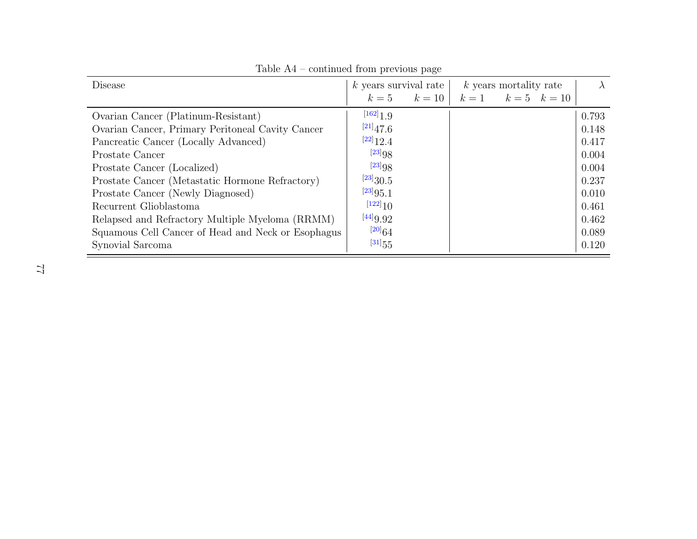| <b>Disease</b>                                     | $k$ years survival rate |        | $k$ years mortality rate |                          |  | $\lambda$ |
|----------------------------------------------------|-------------------------|--------|--------------------------|--------------------------|--|-----------|
|                                                    | $k=5$                   | $k=10$ |                          | $k = 1$ $k = 5$ $k = 10$ |  |           |
| Ovarian Cancer (Platinum-Resistant)                | $[162]$ 1 9             |        |                          |                          |  | 0.793     |
| Ovarian Cancer, Primary Peritoneal Cavity Cancer   | $[21]$ 47.6             |        |                          |                          |  | 0.148     |
| Pancreatic Cancer (Locally Advanced)               | $[22]$ 12.4             |        |                          |                          |  | 0.417     |
| Prostate Cancer                                    | $[23]_{98}$             |        |                          |                          |  | 0.004     |
| Prostate Cancer (Localized)                        | $[23]_{98}$             |        |                          |                          |  | 0.004     |
| Prostate Cancer (Metastatic Hormone Refractory)    | $^{[23]}30.5$           |        |                          |                          |  | 0.237     |
| Prostate Cancer (Newly Diagnosed)                  | $^{[23]}95.1$           |        |                          |                          |  | 0.010     |
| Recurrent Glioblastoma                             | $[122]_1$               |        |                          |                          |  | 0.461     |
| Relapsed and Refractory Multiple Myeloma (RRMM)    | [44]9.92                |        |                          |                          |  | 0.462     |
| Squamous Cell Cancer of Head and Neck or Esophagus | $[20]$ 64               |        |                          |                          |  | 0.089     |
| Synovial Sarcoma                                   | $[31]_{55}$             |        |                          |                          |  | 0.120     |

Table A4 – continued from previous page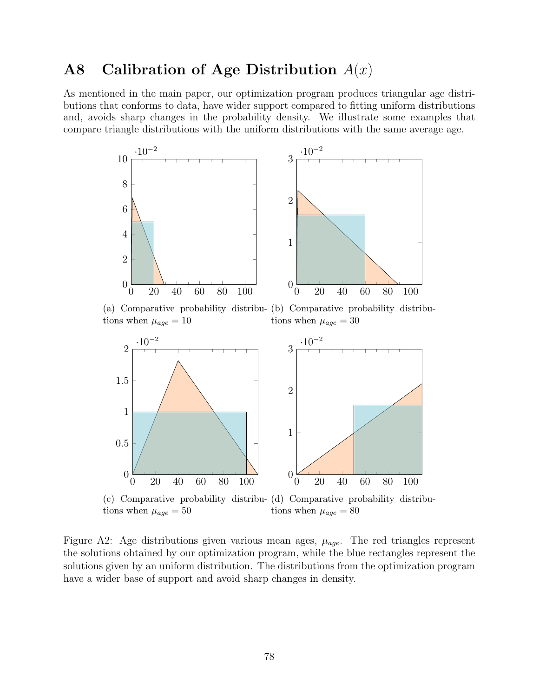## A8 Calibration of Age Distribution  $A(x)$

As mentioned in the main paper, our optimization program produces triangular age distributions that conforms to data, have wider support compared to fitting uniform distributions and, avoids sharp changes in the probability density. We illustrate some examples that compare triangle distributions with the uniform distributions with the same average age.



(a) Comparative probability distribu-(b) Comparative probability distributions when  $\mu_{age} = 10$ tions when  $\mu_{age} = 30$ 



tions when  $\mu_{age} = 50$ 

tions when  $\mu_{age} = 80$ 

Figure A2: Age distributions given various mean ages,  $\mu_{age}$ . The red triangles represent the solutions obtained by our optimization program, while the blue rectangles represent the solutions given by an uniform distribution. The distributions from the optimization program have a wider base of support and avoid sharp changes in density.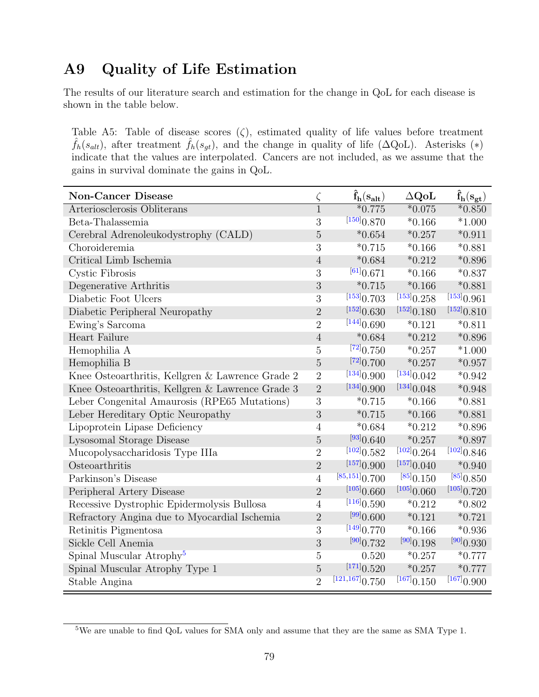### A9 Quality of Life Estimation

The results of our literature search and estimation for the change in QoL for each disease is shown in the table below.

Table A5: Table of disease scores  $(\zeta)$ , estimated quality of life values before treatment  $\hat{f}_h(s_{alt})$ , after treatment  $\hat{f}_h(s_{gt})$ , and the change in quality of life ( $\Delta \text{QoL}$ ). Asterisks (\*) indicate that the values are interpolated. Cancers are not included, as we assume that the gains in survival dominate the gains in QoL.

| <b>Non-Cancer Disease</b>                        | $\zeta$        | $\hat{\mathbf{f}}_{\mathbf{h}}(\mathbf{s}_{\mathbf{alt}})$ | $\Delta \mathbf{Q}$ o $\mathbf{L}$ | $\ddot{\mathbf{f}}_{\mathbf{h}}(\mathbf{s}_{\mathbf{gt}})$ |
|--------------------------------------------------|----------------|------------------------------------------------------------|------------------------------------|------------------------------------------------------------|
| Arteriosclerosis Obliterans                      | $\overline{1}$ | $*0.775$                                                   | $*0.075$                           | $*0.850$                                                   |
| Beta-Thalassemia                                 | 3              | [150] 0.870                                                | $*0.166$                           | $*1.000$                                                   |
| Cerebral Adrenoleukodystrophy (CALD)             | $\overline{5}$ | $*0.654$                                                   | $*0.257$                           | $*0.911$                                                   |
| Choroideremia                                    | 3              | $*0.715$                                                   | $*0.166$                           | $*0.881$                                                   |
| Critical Limb Ischemia                           | $\overline{4}$ | $*0.684$                                                   | $*0.212$                           | $*0.896$                                                   |
| Cystic Fibrosis                                  | 3              | [61] 0.671                                                 | $*0.166$                           | $*0.837$                                                   |
| Degenerative Arthritis                           | $\mathfrak{Z}$ | $*0.715$                                                   | $*0.166$                           | $*0.881$                                                   |
| Diabetic Foot Ulcers                             | 3              | [153] 0.703                                                | [153] 0.258                        | [153] 0.961                                                |
| Diabetic Peripheral Neuropathy                   | $\overline{2}$ | $^{[152]}0.630$                                            | [152] 0.180                        | [152] 0.810                                                |
| Ewing's Sarcoma                                  | $\overline{2}$ | [144] 0.690                                                | $*0.121$                           | $*0.811$                                                   |
| Heart Failure                                    | $\overline{4}$ | $*0.684$                                                   | $*0.212$                           | $*0.896$                                                   |
| Hemophilia A                                     | $\overline{5}$ | $^{[72]}0.750$                                             | $*0.257$                           | $*1.000$                                                   |
| Hemophilia B                                     | $\overline{5}$ | $^{[72]}0.700$                                             | $*0.257$                           | $*0.957$                                                   |
| Knee Osteoarthritis, Kellgren & Lawrence Grade 2 | $\overline{2}$ | [134] 0.900                                                | [134] 0.042                        | $*0.942$                                                   |
| Knee Osteoarthritis, Kellgren & Lawrence Grade 3 | $\overline{2}$ | [134] 0.900                                                | [134] 0.048                        | $*0.948$                                                   |
| Leber Congenital Amaurosis (RPE65 Mutations)     | 3              | $*0.715$                                                   | $*0.166$                           | $*0.881$                                                   |
| Leber Hereditary Optic Neuropathy                | 3              | $*0.715$                                                   | $*0.166$                           | $*0.881$                                                   |
| Lipoprotein Lipase Deficiency                    | $\overline{4}$ | $*0.684$                                                   | $*0.212$                           | $*0.896$                                                   |
| Lysosomal Storage Disease                        | $\overline{5}$ | $^{[93]}0.640$                                             | $*0.257$                           | $*0.897$                                                   |
| Mucopolysaccharidosis Type IIIa                  | $\overline{2}$ | [102] 0.582                                                | [102] 0.264                        | [102] 0.846                                                |
| Osteoarthritis                                   | $\overline{2}$ | [157] 0.900                                                | [157] 0.040                        | $*0.940$                                                   |
| Parkinson's Disease                              | $\overline{4}$ | [85, 151] 0.700                                            | [85] 0.150                         | $^{[85]}0.850$                                             |
| Peripheral Artery Disease                        | $\overline{2}$ | [105] 0.660                                                | [105] 0.060                        | [105] 0.720                                                |
| Recessive Dystrophic Epidermolysis Bullosa       | $\overline{4}$ | [116] 0.590                                                | $*0.212$                           | $*0.802$                                                   |
| Refractory Angina due to Myocardial Ischemia     | $\sqrt{2}$     | $^{[99]}0.600$                                             | $*0.121$                           | $*0.721$                                                   |
| Retinitis Pigmentosa                             | 3              | [149] 0.770                                                | $*0.166$                           | $*0.936$                                                   |
| Sickle Cell Anemia                               | 3              | [90] 0.732                                                 | [90] 0.198                         | [90] 0.930                                                 |
| Spinal Muscular Atrophy <sup>5</sup>             | $\overline{5}$ | 0.520                                                      | $*0.257$                           | $*0.777$                                                   |
| Spinal Muscular Atrophy Type 1                   | $\bf 5$        | [171] 0.520                                                | $*0.257$                           | $*0.777$                                                   |
| Stable Angina                                    | $\overline{2}$ | [121, 167] 0.750                                           | [167] 0.150                        | [167] 0.900                                                |

<span id="page-80-0"></span><sup>5</sup>We are unable to find QoL values for SMA only and assume that they are the same as SMA Type 1.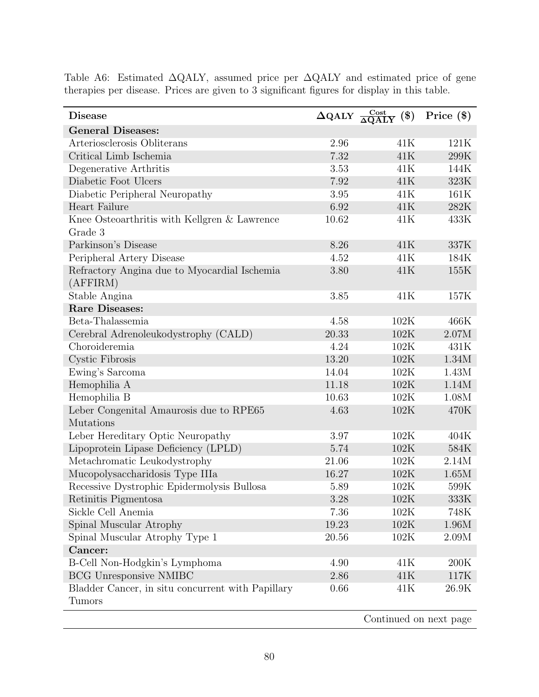| <b>Disease</b>                                                     | $\overline{\Delta \rm QALY} \; \frac{\rm Cost}{\Delta \rm QALY}$ | $(\$\)$ | Price $(\$)$ |
|--------------------------------------------------------------------|------------------------------------------------------------------|---------|--------------|
| <b>General Diseases:</b>                                           |                                                                  |         |              |
| Arteriosclerosis Obliterans                                        | 2.96                                                             | 41K     | 121K         |
| Critical Limb Ischemia                                             | 7.32                                                             | 41K     | 299K         |
| Degenerative Arthritis                                             | 3.53                                                             | 41K     | 144K         |
| Diabetic Foot Ulcers                                               | 7.92                                                             | 41K     | 323K         |
| Diabetic Peripheral Neuropathy                                     | 3.95                                                             | 41K     | 161K         |
| Heart Failure                                                      | 6.92                                                             | 41K     | 282K         |
| Knee Osteoarthritis with Kellgren & Lawrence                       | 10.62                                                            | 41K     | 433K         |
| Grade 3                                                            |                                                                  |         |              |
| Parkinson's Disease                                                | 8.26                                                             | 41K     | 337K         |
| Peripheral Artery Disease                                          | 4.52                                                             | 41K     | 184K         |
| Refractory Angina due to Myocardial Ischemia                       | 3.80                                                             | 41K     | 155K         |
| (AFFIRM)                                                           |                                                                  |         |              |
| Stable Angina                                                      | 3.85                                                             | 41K     | 157K         |
| <b>Rare Diseases:</b>                                              |                                                                  |         |              |
| Beta-Thalassemia                                                   | 4.58                                                             | 102K    | 466K         |
| Cerebral Adrenoleukodystrophy (CALD)                               | 20.33                                                            | 102K    | 2.07M        |
| Choroideremia                                                      | 4.24                                                             | 102K    | 431K         |
| Cystic Fibrosis                                                    | 13.20                                                            | 102K    | 1.34M        |
| Ewing's Sarcoma                                                    | 14.04                                                            | 102K    | 1.43M        |
| Hemophilia A                                                       | 11.18                                                            | 102K    | 1.14M        |
| Hemophilia B                                                       | 10.63                                                            | 102K    | 1.08M        |
| Leber Congenital Amaurosis due to RPE65                            | 4.63                                                             | 102K    | 470K         |
| Mutations                                                          |                                                                  |         |              |
| Leber Hereditary Optic Neuropathy                                  | 3.97                                                             | 102K    | 404K         |
| Lipoprotein Lipase Deficiency (LPLD)                               | 5.74                                                             | 102K    | 584K         |
| Metachromatic Leukodystrophy                                       | 21.06                                                            | 102K    | 2.14M        |
| Mucopolysaccharidosis Type IIIa                                    | 16.27                                                            | 102K    | 1.65M        |
| Recessive Dystrophic Epidermolysis Bullosa                         | 5.89                                                             | 102K    | 599K         |
| Retinitis Pigmentosa                                               | 3.28                                                             | 102K    | 333K         |
| Sickle Cell Anemia                                                 | 7.36                                                             | 102K    | 748K         |
| Spinal Muscular Atrophy                                            | 19.23                                                            | 102K    | 1.96M        |
| Spinal Muscular Atrophy Type 1                                     | 20.56                                                            | 102K    | 2.09M        |
| Cancer:                                                            |                                                                  |         |              |
| B-Cell Non-Hodgkin's Lymphoma                                      | 4.90                                                             | 41K     | 200K         |
| <b>BCG Unresponsive NMIBC</b>                                      | 2.86                                                             | 41K     | 117K         |
| Bladder Cancer, in situ concurrent with Papillary<br><b>Tumors</b> | 0.66                                                             | 41K     | 26.9K        |

Table A6: Estimated ∆QALY, assumed price per ∆QALY and estimated price of gene therapies per disease. Prices are given to 3 significant figures for display in this table.

Continued on next page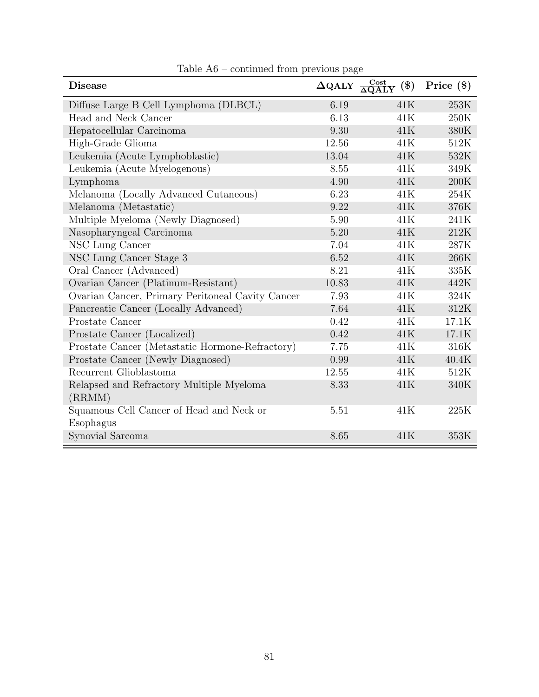| <b>Disease</b>                                   | $\Delta \text{QALY}$ | $\frac{\text{Cost}}{\Delta\text{QALY}}$<br>$(\$\)$ | Price $(\$)$ |
|--------------------------------------------------|----------------------|----------------------------------------------------|--------------|
| Diffuse Large B Cell Lymphoma (DLBCL)            | 6.19                 | 41K                                                | 253K         |
| Head and Neck Cancer                             | 6.13                 | 41K                                                | $250K$       |
| Hepatocellular Carcinoma                         | 9.30                 | 41K                                                | 380K         |
| High-Grade Glioma                                | 12.56                | 41K                                                | 512K         |
| Leukemia (Acute Lymphoblastic)                   | 13.04                | 41K                                                | 532K         |
| Leukemia (Acute Myelogenous)                     | 8.55                 | 41K                                                | 349K         |
| Lymphoma                                         | 4.90                 | 41K                                                | 200K         |
| Melanoma (Locally Advanced Cutaneous)            | 6.23                 | 41K                                                | 254K         |
| Melanoma (Metastatic)                            | 9.22                 | 41K                                                | 376K         |
| Multiple Myeloma (Newly Diagnosed)               | 5.90                 | 41K                                                | 241K         |
| Nasopharyngeal Carcinoma                         | 5.20                 | 41K                                                | 212K         |
| NSC Lung Cancer                                  | 7.04                 | 41K                                                | 287K         |
| NSC Lung Cancer Stage 3                          | 6.52                 | 41K                                                | 266K         |
| Oral Cancer (Advanced)                           | 8.21                 | 41K                                                | 335K         |
| Ovarian Cancer (Platinum-Resistant)              | 10.83                | 41K                                                | 442K         |
| Ovarian Cancer, Primary Peritoneal Cavity Cancer | 7.93                 | 41K                                                | 324K         |
| Pancreatic Cancer (Locally Advanced)             | 7.64                 | 41K                                                | 312K         |
| Prostate Cancer                                  | 0.42                 | 41K                                                | 17.1K        |
| Prostate Cancer (Localized)                      | 0.42                 | 41K                                                | 17.1K        |
| Prostate Cancer (Metastatic Hormone-Refractory)  | 7.75                 | 41K                                                | 316K         |
| Prostate Cancer (Newly Diagnosed)                | 0.99                 | 41K                                                | 40.4K        |
| Recurrent Glioblastoma                           | 12.55                | 41K                                                | 512K         |
| Relapsed and Refractory Multiple Myeloma         | 8.33                 | 41K                                                | 340K         |
| (RRMM)                                           |                      |                                                    |              |
| Squamous Cell Cancer of Head and Neck or         | 5.51                 | 41K                                                | 225K         |
| Esophagus                                        |                      |                                                    |              |
| Synovial Sarcoma                                 | 8.65                 | 41K                                                | 353K         |

Table A6 – continued from previous page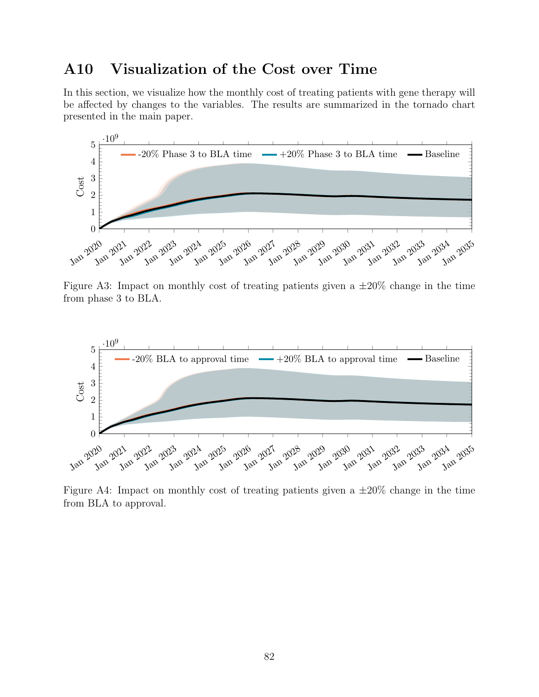### A10 Visualization of the Cost over Time

In this section, we visualize how the monthly cost of treating patients with gene therapy will be affected by changes to the variables. The results are summarized in the tornado chart presented in the main paper.



Figure A3: Impact on monthly cost of treating patients given a  $\pm 20\%$  change in the time from phase 3 to BLA.



Figure A4: Impact on monthly cost of treating patients given a  $\pm 20\%$  change in the time from BLA to approval.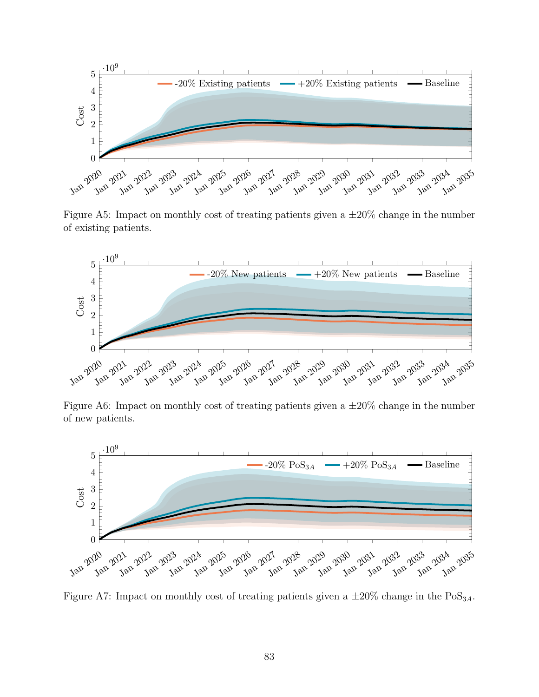

Figure A5: Impact on monthly cost of treating patients given a  $\pm 20\%$  change in the number of existing patients.



Figure A6: Impact on monthly cost of treating patients given a  $\pm 20\%$  change in the number of new patients.



Figure A7: Impact on monthly cost of treating patients given a  $\pm 20\%$  change in the PoS<sub>3A</sub>.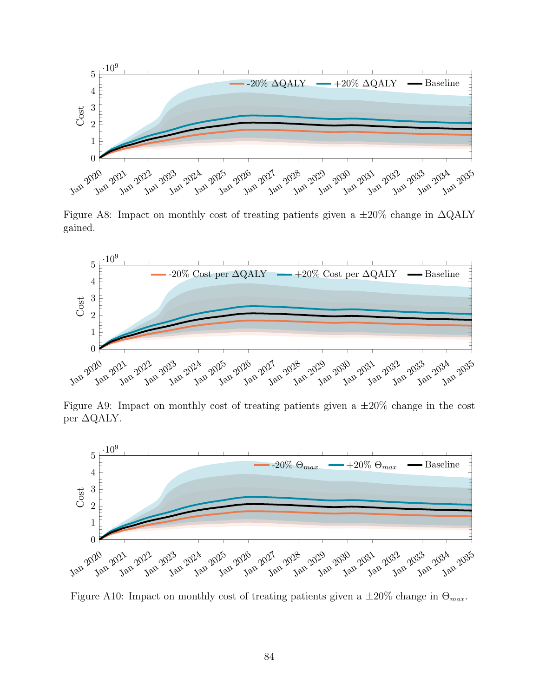

Figure A8: Impact on monthly cost of treating patients given a  $\pm 20\%$  change in  $\Delta \text{QALY}$ gained.



Figure A9: Impact on monthly cost of treating patients given a  $\pm 20\%$  change in the cost per ∆QALY.



Figure A10: Impact on monthly cost of treating patients given a  $\pm 20\%$  change in  $\Theta_{max}$ .